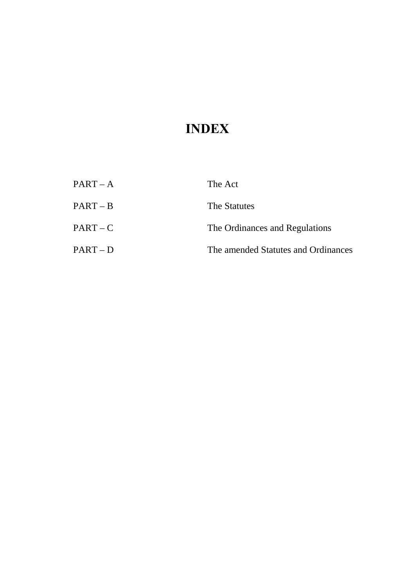# **INDEX**

| $PART - A$ | The Act                             |
|------------|-------------------------------------|
| $PART - B$ | The Statutes                        |
| $PART - C$ | The Ordinances and Regulations      |
| $PART-D$   | The amended Statutes and Ordinances |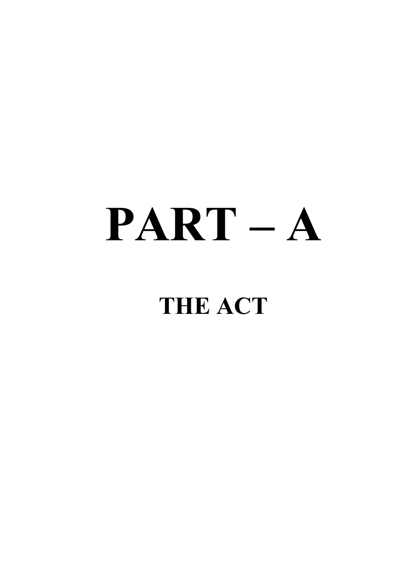# **PART – A**

# **THE ACT**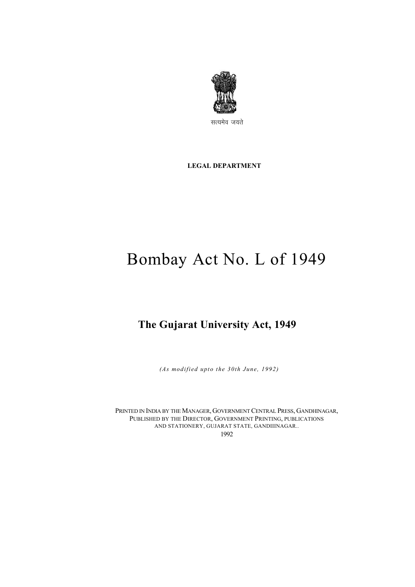

सत्यमेव जयते

**LEGAL DEPARTMENT** 

# Bombay Act No. L of 1949

# **The Gujarat University Act, 1949**

*(As modified upto the 30th June, 1992)*

PRINTED IN INDIA BY THE MANAGER, GOVERNMENT CENTRAL PRESS, GANDHINAGAR, PUBLISHED BY THE DIRECTOR, GOVERNMENT PRINTING, PUBLICATIONS AND STATIONERY, GUJARAT STATE, GANDIIINAGAR.. 1992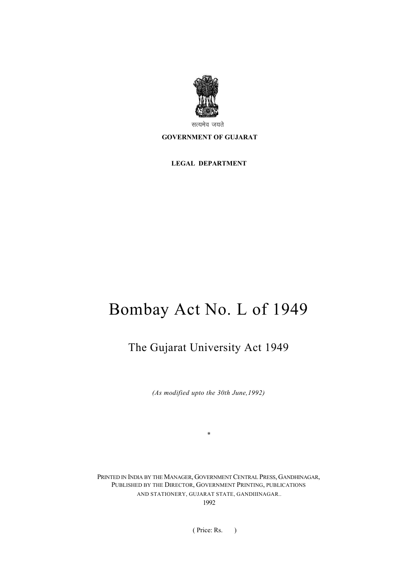

सत्यमेव जयते

#### **GOVERNMENT OF GUJARAT**

**LEGAL DEPARTMENT** 

# Bombay Act No. L of 1949

# The Gujarat University Act 1949

*(As modified upto the 30th June,1992)* 

*\** 

PRINTED IN INDIA BY THE MANAGER, GOVERNMENT CENTRAL PRESS, GANDHINAGAR, PUBLISHED BY THE DIRECTOR, GOVERNMENT PRINTING, PUBLICATIONS AND STATIONERY, GUJARAT STATE, GANDIIINAGAR.. 1992

( Price: Rs. )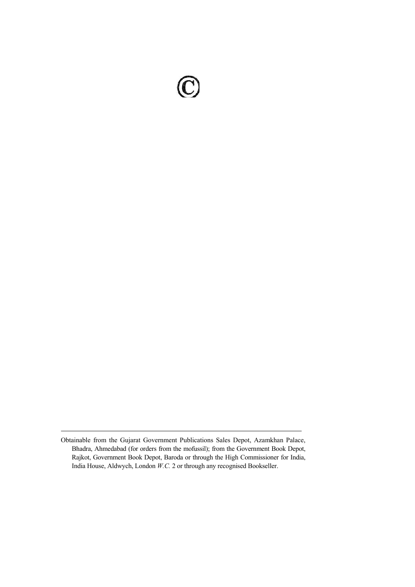Obtainable from the Gujarat Government Publications Sales Depot, Azamkhan Palace, Bhadra, Ahmedabad (for orders from the mofussil); from the Government Book Depot, Rajkot, Government Book Depot, Baroda or through the High Commissioner for India, India House, Aldwych, London *W.C.* 2 or through any recognised Bookseller.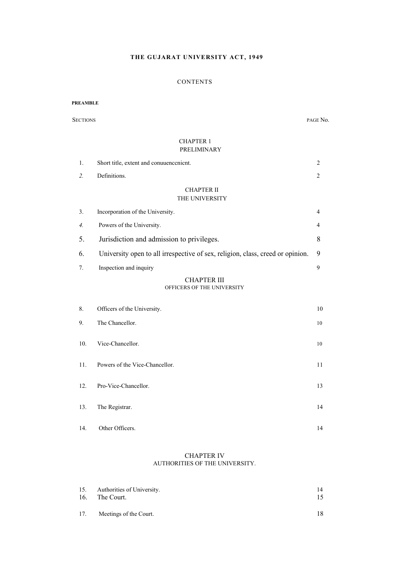#### **THE GUJARAT UNIVERSITY ACT, 1949**

#### **CONTENTS**

#### **PREAMBLE**

SECTIONS PAGE No.

#### CHAPTER 1 PRELIMINARY

| 1. | Short title, extent and conuuence nicht.                                       | 2              |
|----|--------------------------------------------------------------------------------|----------------|
| 2. | Definitions.                                                                   | 2              |
|    | <b>CHAPTER II</b><br>THE UNIVERSITY                                            |                |
| 3. | Incorporation of the University.                                               | $\overline{4}$ |
| 4. | Powers of the University.                                                      | 4              |
| 5. | Jurisdiction and admission to privileges.                                      | 8              |
| 6. | University open to all irrespective of sex, religion, class, creed or opinion. | 9              |
| 7. | Inspection and inquiry                                                         | 9              |
|    | <b>CHAPTER III</b><br>OFFICERS OF THE UNIVERSITY                               |                |

| 8.  | Officers of the University.    | 10 |
|-----|--------------------------------|----|
| 9.  | The Chancellor.                | 10 |
| 10. | Vice-Chancellor.               | 10 |
| 11. | Powers of the Vice-Chancellor. | 11 |
| 12. | Pro-Vice-Chancellor.           | 13 |
| 13. | The Registrar.                 | 14 |
| 14. | Other Officers.                | 14 |

#### CHAPTER IV AUTHORITIES OF THE UNIVERSITY.

| 15. | Authorities of University. | 14  |
|-----|----------------------------|-----|
| 16. | The Court.                 | 15. |
| 17. | Meetings of the Court.     | 18. |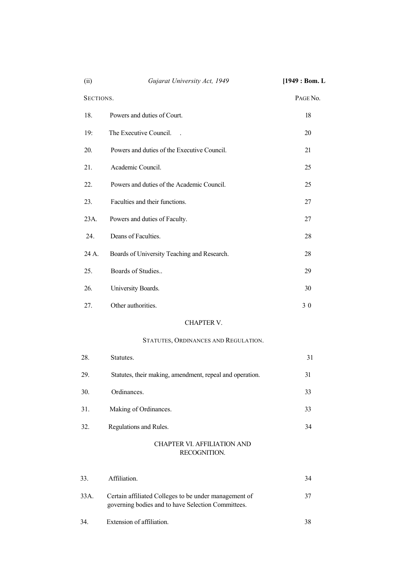| (ii)      | Gujarat University Act, 1949                             | [1949 : Born. L] |
|-----------|----------------------------------------------------------|------------------|
| SECTIONS. |                                                          | PAGE No.         |
| 18.       | Powers and duties of Court.                              | 18               |
| 19:       | The Executive Council.                                   | 20               |
| 20.       | Powers and duties of the Executive Council.              | 21               |
| 21.       | Academic Council.                                        | 25               |
| 22.       | Powers and duties of the Academic Council.               | 25               |
| 23.       | Faculties and their functions.                           | 27               |
| 23A.      | Powers and duties of Faculty.                            | 27               |
| 24.       | Deans of Faculties.                                      | 28               |
| 24 A.     | Boards of University Teaching and Research.              |                  |
| 25.       | Boards of Studies                                        | 29               |
| 26.       | University Boards.                                       | 30               |
| 27.       | Other authorities.                                       | 30               |
|           | CHAPTER V.                                               |                  |
|           | STATUTES, ORDINANCES AND REGULATION.                     |                  |
| 28.       | Statutes.                                                | 31               |
| 29.       | Statutes, their making, amendment, repeal and operation. | 31               |
| 30.       | Ordinances.                                              | 33               |
| 31.       | Making of Ordinances.                                    | 33               |
| 32.       | Regulations and Rules.                                   | 34               |
|           | <b>CHAPTER VI. AFFILIATION AND</b><br>RECOGNITION.       |                  |

| 33.  | Affiliation.                                                                                                | 34 |
|------|-------------------------------------------------------------------------------------------------------------|----|
| 33A. | Certain affiliated Colleges to be under management of<br>governing bodies and to have Selection Committees. |    |
| 34.  | Extension of affiliation.                                                                                   |    |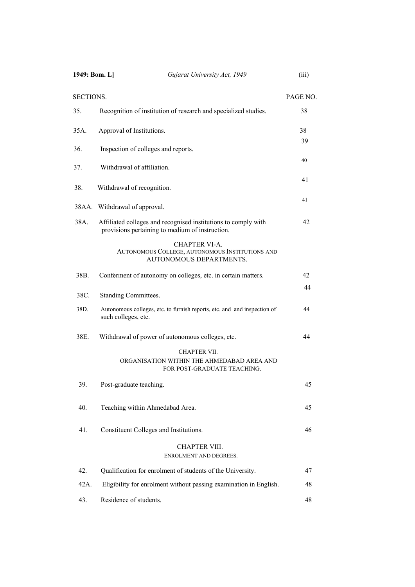| 1949: Bom. L]    | Gujarat University Act, 1949                                                                                      | (iii)    |
|------------------|-------------------------------------------------------------------------------------------------------------------|----------|
| <b>SECTIONS.</b> |                                                                                                                   | PAGE NO. |
| 35.              | Recognition of institution of research and specialized studies.                                                   | 38       |
| 35A.             | Approval of Institutions.                                                                                         | 38       |
| 36.              | Inspection of colleges and reports.                                                                               | 39       |
| 37.              | Withdrawal of affiliation.                                                                                        | 40       |
| 38.              | Withdrawal of recognition.                                                                                        | 41       |
|                  | 38AA. Withdrawal of approval.                                                                                     | 41       |
| 38A.             | Affiliated colleges and recognised institutions to comply with<br>provisions pertaining to medium of instruction. | 42       |
|                  | <b>CHAPTER VI-A.</b><br>AUTONOMOUS COLLEGE, AUTONOMOUS INSTITUTIONS AND<br>AUTONOMOUS DEPARTMENTS.                |          |
| 38B.             | Conferment of autonomy on colleges, etc. in certain matters.                                                      | 42       |
| 38C.             | Standing Committees.                                                                                              | 44       |
| 38D.             | Autonomous colleges, etc. to furnish reports, etc. and and inspection of<br>such colleges, etc.                   | 44       |
| 38E.             | Withdrawal of power of autonomous colleges, etc.                                                                  | 44       |
|                  | CHAPTER VII.<br>ORGANISATION WITHIN THE AHMEDABAD AREA AND<br>FOR POST-GRADUATE TEACHING.                         |          |
| 39.              | Post-graduate teaching.                                                                                           | 45       |
| 40.              | Teaching within Ahmedabad Area.                                                                                   | 45       |
| 41.              | Constituent Colleges and Institutions.                                                                            | 46       |
|                  | <b>CHAPTER VIII.</b><br>ENROLMENT AND DEGREES.                                                                    |          |
| 42.              | Qualification for enrolment of students of the University.                                                        | 47       |
| 42A.             | Eligibility for enrolment without passing examination in English.                                                 | 48       |
| 43.              | Residence of students.                                                                                            | 48       |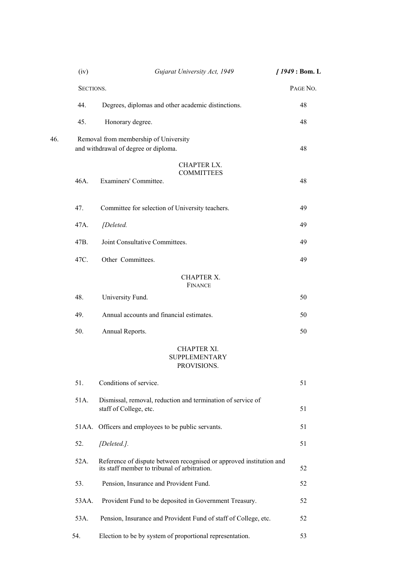|     | (iv)      | Gujarat University Act, 1949                                                                                        | $1949:$ Bom. L |
|-----|-----------|---------------------------------------------------------------------------------------------------------------------|----------------|
|     | SECTIONS. |                                                                                                                     | PAGE NO.       |
|     | 44.       | Degrees, diplomas and other academic distinctions.                                                                  | 48             |
|     | 45.       | Honorary degree.                                                                                                    | 48             |
| 46. |           | Removal from membership of University<br>and withdrawal of degree or diploma.                                       | 48             |
|     |           | <b>CHAPTER LX.</b><br><b>COMMITTEES</b>                                                                             |                |
|     | 46A.      | Examiners' Committee.                                                                                               | 48             |
|     | 47.       | Committee for selection of University teachers.                                                                     | 49             |
|     | 47A.      | [Deleted.                                                                                                           | 49             |
|     | 47B.      | Joint Consultative Committees.                                                                                      | 49             |
|     | 47C.      | Other Committees.                                                                                                   | 49             |
|     |           | <b>CHAPTER X.</b><br><b>FINANCE</b>                                                                                 |                |
|     | 48.       | University Fund.                                                                                                    | 50             |
|     | 49.       | Annual accounts and financial estimates.                                                                            | 50             |
|     | 50.       | Annual Reports.                                                                                                     | 50             |
|     |           | CHAPTER XI.<br><b>SUPPLEMENTARY</b><br>PROVISIONS.                                                                  |                |
|     | 51.       | Conditions of service.                                                                                              | 51             |
|     | 51A.      | Dismissal, removal, reduction and termination of service of<br>staff of College, etc.                               | 51             |
|     |           | 51AA. Officers and employees to be public servants.                                                                 | 51             |
|     | 52.       | [Deleted.].                                                                                                         | 51             |
|     | 52A.      | Reference of dispute between recognised or approved institution and<br>its staff member to tribunal of arbitration. | 52             |
|     | 53.       | Pension, Insurance and Provident Fund.                                                                              | 52             |
|     | 53AA.     | Provident Fund to be deposited in Government Treasury.                                                              | 52             |
|     | 53A.      | Pension, Insurance and Provident Fund of staff of College, etc.                                                     | 52             |
|     | 54.       | Election to be by system of proportional representation.                                                            | 53             |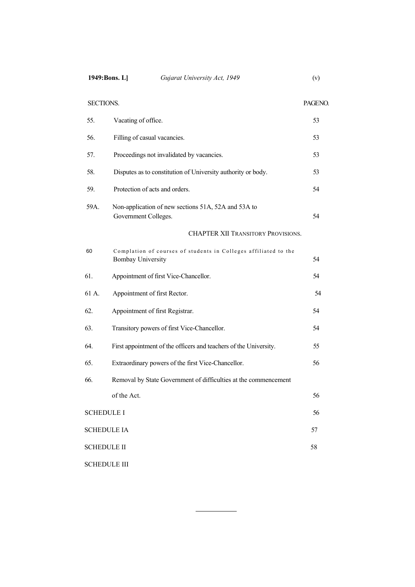| SECTIONS.           |                                                                                             | PAGENO. |  |
|---------------------|---------------------------------------------------------------------------------------------|---------|--|
| 55.                 | Vacating of office.                                                                         | 53      |  |
| 56.                 | Filling of casual vacancies.                                                                | 53      |  |
| 57.                 | Proceedings not invalidated by vacancies.                                                   | 53      |  |
| 58.                 | Disputes as to constitution of University authority or body.                                | 53      |  |
| 59.                 | Protection of acts and orders.                                                              | 54      |  |
| 59A.                | Non-application of new sections 51A, 52A and 53A to<br>Government Colleges.                 |         |  |
|                     | <b>CHAPTER XII TRANSITORY PROVISIONS.</b>                                                   |         |  |
| 60                  | Complation of courses of students in Colleges affiliated to the<br><b>Bombay University</b> | 54      |  |
| 61.                 | Appointment of first Vice-Chancellor.                                                       | 54      |  |
| 61 A.               | Appointment of first Rector.                                                                | 54      |  |
| 62.                 | Appointment of first Registrar.                                                             | 54      |  |
| 63.                 | Transitory powers of first Vice-Chancellor.                                                 | 54      |  |
| 64.                 | First appointment of the officers and teachers of the University.                           | 55      |  |
| 65.                 | Extraordinary powers of the first Vice-Chancellor.                                          | 56      |  |
| 66.                 | Removal by State Government of difficulties at the commencement                             |         |  |
|                     | of the Act.                                                                                 | 56      |  |
| <b>SCHEDULE I</b>   |                                                                                             | 56      |  |
| <b>SCHEDULE IA</b>  |                                                                                             | 57      |  |
| <b>SCHEDULE II</b>  |                                                                                             |         |  |
| <b>SCHEDULE III</b> |                                                                                             |         |  |

 $\overline{\phantom{0}}$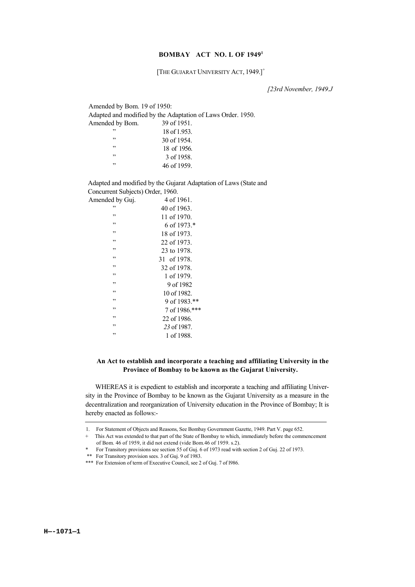#### **BOMBAY ACT NO. L OF 19491**

[THE GUJARAT UNIVERSITY ACT, 1949.]<sup>+</sup>

*[23rd November, 1949.J*

| Amended by Bom. 19 of 1950:                                 |              |  |  |  |
|-------------------------------------------------------------|--------------|--|--|--|
| Adapted and modified by the Adaptation of Laws Order. 1950. |              |  |  |  |
| Amended by Bom.                                             | 39 of 1951.  |  |  |  |
| , 2                                                         | 18 of 1.953. |  |  |  |
| , 2                                                         | 30 of 1954.  |  |  |  |
| , 2                                                         | 18 of 1956.  |  |  |  |
| , 2                                                         | 3 of 1958.   |  |  |  |
| , 2                                                         | 46 of 1959.  |  |  |  |
|                                                             |              |  |  |  |

Adapted and modified by the Gujarat Adaptation of Laws (State and Concurrent Subjects) Order, 1960.

| Amended by Guj. | 4 of 1961        |
|-----------------|------------------|
| ,,              | $40$ of $1963$ . |
| ,,              | 11 of 1970.      |
| ,,              | 6 of $1973.*$    |
| ,,              | 18 of 1973.      |
| ,,              | $22$ of 1973.    |
| , 2             | 23 to 1978.      |
| ,,              | 31 of 1978.      |
| ,,              | 32 of 1978.      |
| ,,              | 1 of 1979.       |
| ,,              | 9 of 1982        |
| ,,              | 10 of 1982.      |
| ,,              | 9 of 1983.**     |
| ,,              | 7 of 1986.***    |
| ,,              | 22 of 1986.      |
| , 2             | 23 of 1987.      |
| ,,              | 1 of 1988.       |

#### **An Act to establish and incorporate a teaching and affiliating University in the Province of Bombay to be known as the Gujarat University.**

WHEREAS it is expedient to establish and incorporate a teaching and affiliating University in the Province of Bombay to be known as the Gujarat University as a measure in the decentralization and reorganization of University education in the Province of Bombay; It is hereby enacted as follows:-

<sup>1.</sup> For Statement of Objects and Reasons, See Bombay Government Gazette, 1949. Part V. page 652.

<sup>+</sup> This Act was extended to that part of the State of Bombay to which, immediately before the commencement of Bom. 46 of 1959, it did not extend (vide Bom.46 of 1959. s.2).

<sup>\*</sup> For Transitory provisions see section 55 of Guj. 6 of 1973 read with section 2 of Guj. 22 of 1973.

 <sup>\*\*</sup> For Transitory provision sees. 3 of Guj. 9 of 1983.

<sup>\*\*\*</sup> For Extension of term of Executive Council, see 2 of Guj. 7 of 1986.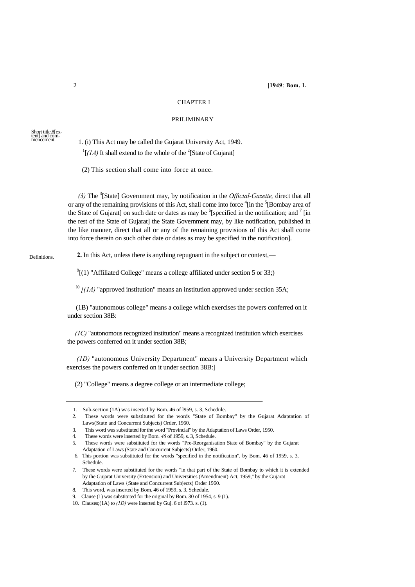#### CHAPTER I

#### PRILIMINARY

#### Short title,8[ex-tent] and commencement.

 1. (i) This Act may be called the Gujarat University Act, 1949.  $\frac{1}{1}$ [*(1A)* It shall extend to the whole of the <sup>2</sup>[State of Gujarat]

(2) This section shall come into force at once.

*(3)* The <sup>3</sup> [State] Government may, by notification in the *Official-Gazette,* direct that all or any of the remaining provisions of this Act, shall come into force <sup>4</sup>[in the <sup>5</sup>[Bombay area of the State of Gujarat] on such date or dates as may be  $6$ [specified in the notification; and  $7$  [in the rest of the State of Gujarat] the State Government may, by like notification, published in the like manner, direct that all or any of the remaining provisions of this Act shall come into force therein on such other date or dates as may be specified in the notification].

#### **Definitions**

**2.** In this Act, unless there is anything repugnant in the subject or context,—

 $^{9}$ [(1) "Affiliated College" means a college affiliated under section 5 or 33;)

 $\frac{10}{10}$  *[(1A)* "approved institution" means an institution approved under section 35A;

(1B) "autonomous college" means a college which exercises the powers conferred on it under section 38B:

*(1C)* "autonomous recognized institution" means a recognized institution which exercises the powers conferred on it under section 38B;

*(1D)* "autonomous University Department" means a University Department which exercises the powers conferred on it under section 38B:]

(2) "College" means a degree college or an intermediate college;

<sup>1.</sup> Sub-section (1A) was inserted by Bom. 46 of l959, s. 3, Schedule.

<sup>2.</sup> These words were substituted for the words "State of Bombay" by the Gujarat Adaptation of Laws(State and Concurrent Subjects) Order, 1960.

<sup>3.</sup> This word was substituted for the word "Provincial" by the Adaptation of Laws Order, 1950.

<sup>4.</sup> These words were inserted by Bom. *46* of 1959, s. 3, Schedule.

<sup>5.</sup> These words were substituted for the words "Pre-Reorganisation State of Bombay" by the Gujarat Adaptation of Laws (State and Concurrent Subjects) Order, 1960.

<sup>6.</sup> This portion was substituted for the words "specified in the notification", by Bom. 46 of 1959, s. 3, Schedule.

<sup>7.</sup> These words were substituted for the words "in that part of the State of Bombay to which it is extended by the Gujarat University (Extension) and Universities (Amendment) Act, 1959," by the Gujarat Adaptation of Laws {State and Concurrent Subjects) Order 1960.

<sup>8.</sup> This word, was inserted by Bom. 46 of 1959, s. 3, Schedule.

Clause (1) was substituted for the original by Bom. 30 of 1954, s. 9 (1).

<sup>10.</sup> Clauses;(1A) to *(1D)* were inserted by Guj. 6 of l973. s. (1)*.*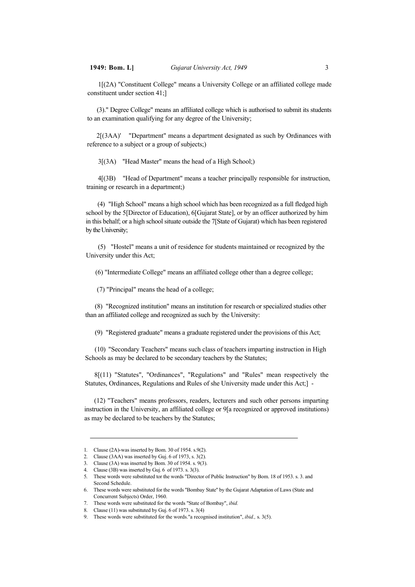1[(2A) "Constituent College" means a University College or an affiliated college made constituent under section 41;]

(3)." Degree College" means an affiliated college which is authorised to submit its students to an examination qualifying for any degree of the University;

2[(3AA)' "Department" means a department designated as such by Ordinances with reference to a subject or a group of subjects;)

3[(3A) ''Head Master" means the head of a High School;)

4[(3B) "Head of Department" means a teacher principally responsible for instruction, training or research in a department;)

(4) "High School" means a high school which has been recognized as a full fledged high school by the 5[Director of Education), 6[Gujarat State], or by an officer authorized by him in this behalf; or a high school situate outside the 7[State of Gujarat) which has been registered by the University;

(5) "Hostel" means a unit of residence for students maintained or recognized by the University under this Act;

(6) "Intermediate College" means an affiliated college other than a degree college;

(7) "Principal" means the head of a college;

(8) "Recognized institution" means an institution for research or specialized studies other than an affiliated college and recognized as such by the University:

(9) "Registered graduate" means a graduate registered under the provisions of this Act;

(10) "Secondary Teachers" means such class of teachers imparting instruction in High Schools as may be declared to be secondary teachers by the Statutes;

8[(11) "Statutes", "Ordinances", "Regulations" and "Rules" mean respectively the Statutes, Ordinances, Regulations and Rules of she University made under this Act;] -

(12) "Teachers" means professors, readers, lecturers and such other persons imparting instruction in the University, an affiliated college or 9[a recognized or approved institutions) as may be declared to be teachers by the Statutes;

<sup>1.</sup> Clause (2A)-was inserted by Bom. 30 of 1954. s.9(2).

<sup>2.</sup> Clause (3AA) was inserted by Guj. 6 of 1973, s. 3(2).

<sup>3.</sup> Clause (3A) was inserted by Bom. 30 of 1954. s. 9(3).

<sup>4.</sup> Clause (3B) was inserted by Guj. 6 of 1973. s. 3(3).

<sup>5.</sup> These words were substituted tor the words "Director of Public Instruction" by Bom. 18 of 1953. s. 3. and Second Schedule.

<sup>6.</sup> These words were substituted for the words ''Bombay State'' by the Gujarat Adaptation of Laws (State and Concurrent Subjects) Order, 1960.

<sup>7.</sup> These words were substituted for the words "State of Bombay", *ibid.*

<sup>8.</sup> Clause (11) was substituted by Guj. 6 of 1973. s. 3(4)

<sup>9.</sup> These words were substituted for the words."a recognised institution", *ibid.,* s. 3(5).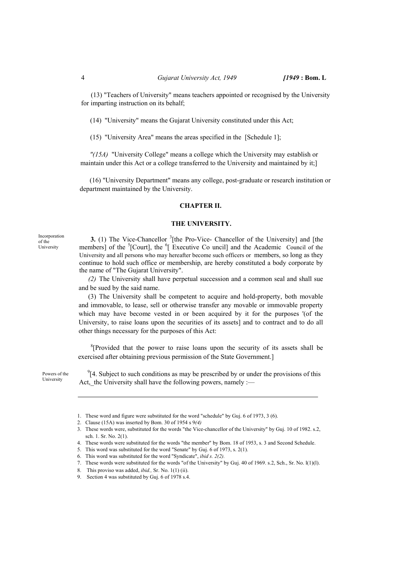(13) "Teachers of University" means teachers appointed or recognised by the University for imparting instruction on its behalf;

(14) "University" means the Gujarat University constituted under this Act;

(15) "University Area" means the areas specified in the [Schedule 1];

*"(15A)* "University College" means a college which the University may establish or maintain under this Act or a college transferred to the University and maintained by it;]

(16) "University Department" means any college, post-graduate or research institution or department maintained by the University.

#### **CHAPTER II.**

#### **THE UNIVERSITY.**

**3.** (1) The Vice-Chancellor <sup>3</sup>[the Pro-Vice- Chancellor of the University] and [the members] of the  ${}^{5}$ [Court], the  ${}^{6}$ [Executive Co uncil] and the Academic Council of the University and all persons who may hereafter become such officers or members, so long as they continue to hold such office or membership, are hereby constituted a body corporate by Incorporation

the name of "The Gujarat University".

*(2)* The University shall have perpetual succession and a common seal and shall sue and be sued by the said name.

(3) The University shall be competent to acquire and hold-property, both movable and immovable, to lease, sell or otherwise transfer any movable or immovable property which may have become vested in or been acquired by it for the purposes '(of the University, to raise loans upon the securities of its assets] and to contract and to do all other things necessary for the purposes of this Act:

 ${}^{8}$ [Provided that the power to raise loans upon the security of its assets shall be exercised after obtaining previous permission of the State Government.]

Powers of the University

of the University

> $9$ [4. Subject to such conditions as may be prescribed by or under the provisions of this Act,\_thc University shall have the following powers, namely :-

<sup>1.</sup> These word and figure were substituted for the word "schedule" by Guj. 6 of 1973, 3 (6).

<sup>2.</sup> Clause (15A) was inserted by Bom. 30 of 1954 s 9*(4)*

<sup>3.</sup> These words were, substituted for the words "the Vice-chancellor of the University" by Guj. 10 of 1982. s.2, sch. 1. Sr. No. 2(1).

<sup>4.</sup> These words were substituted for the words "the member" by Bom. 18 of 1953, s. 3 and Second Schedule.

<sup>5.</sup> This word was substituted for the word "Senate" by Guj. 6 of 1973, s. 2(1).

<sup>6.</sup> This word was substituted for the word ''Syndicate", *ibid s. 2(2).*

<sup>7.</sup> These words were substituted for the words "of the University" by Guj. 40 of 1969. s.2, Sch., Sr. No. l(1)(l).

<sup>8.</sup> This proviso was added, *ibid.,* Sr. No. 1(1) (ii).

<sup>9.</sup> Section 4 was substituted by Guj. 6 of 1978 s.4.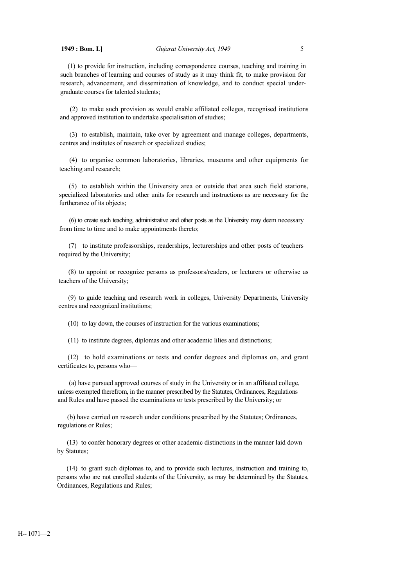(1) to provide for instruction, including correspondence courses, teaching and training in such branches of learning and courses of study as it may think fit, to make provision for research, advancement, and dissemination of knowledge, and to conduct special undergraduate courses for talented students;

(2) to make such provision as would enable affiliated colleges, recognised institutions and approved institution to undertake specialisation of studies;

(3) to establish, maintain, take over by agreement and manage colleges, departments, centres and institutes of research or specialized studies;

(4) to organise common laboratories, libraries, museums and other equipments for teaching and research;

(5) to establish within the University area or outside that area such field stations, specialized laboratories and other units for research and instructions as are necessary for the furtherance of its objects;

(6) to create such teaching, administrative and other posts as the University may deem necessary from time to time and to make appointments thereto;

(7) to institute professorships, readerships, lecturerships and other posts of teachers required by the University;

(8) to appoint or recognize persons as professors/readers, or lecturers or otherwise as teachers of the University;

(9) to guide teaching and research work in colleges, University Departments, University centres and recognized institutions;

(10) to lay down, the courses of instruction for the various examinations;

(11) to institute degrees, diplomas and other academic lilies and distinctions;

(12) to hold examinations or tests and confer degrees and diplomas on, and grant certificates to, persons who—

(a) have pursued approved courses of study in the University or in an affiliated college, unless exempted therefrom, in the manner prescribed by the Statutes, Ordinances, Regulations and Rules and have passed the examinations or tests prescribed by the University; or

(b) have carried on research under conditions prescribed by the Statutes; Ordinances, regulations or Rules;

(13) to confer honorary degrees or other academic distinctions in the manner laid down by Statutes;

(14) to grant such diplomas to, and to provide such lectures, instruction and training to, persons who are not enrolled students of the University, as may be determined by the Statutes, Ordinances, Regulations and Rules;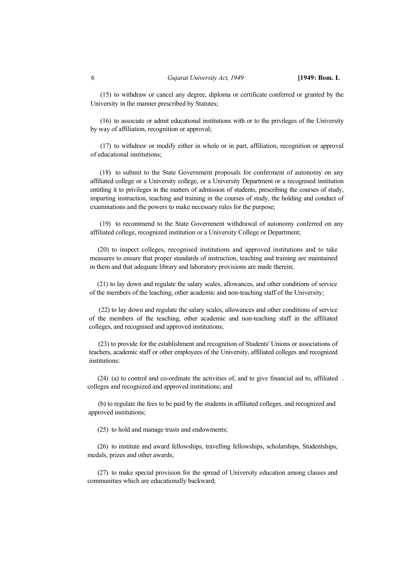(15) to withdraw or cancel any degree, diploma or certificate conferred or granted by the University in the manner prescribed by Statutes;

(16) to associate or admit educational institutions with or to the privileges of the University by way of affiliation, recognition or approval;

(17) to withdraw or modify either in whole or in part, affiliation, recognition or approval of educational institutions;

(18) to submit to the State Government proposals for conferment of autonomy on any affiliated college or a University college, or a University Department or a recognised institution entitling it to privileges in the matters of admission of students, prescribing the courses of study, imparting instruction, teaching and training in the courses of study, the holding and conduct of examinations and the powers to make necessary rules for the purpose;

(19) to recommend to the State Government withdrawal of autonomy conferred on any affiliated college, recognized institution or a University College or Department;

 (20) to inspect colleges, recognised institutions and approved institutions and to take measures to ensure that proper standards of instruction, teaching and training are maintained in them and that adequate library and laboratory provisions are made therein;

 (21) to lay down and regulate the salary scales, allowances, and other conditions of service of the members of the leaching, other academic and non-teaching staff of the University;

(22) to lay down and regulate the salary scales, allowances and other conditions of service of the members of the teaching, other academic and non-teaching staff in the affiliated colleges, and recognised and approved institutions;

 (23) to provide for the establishment and recognition of Students' Unions or associations of teachers, academic staff or other employees of the University, affiliated colleges and recognized institutions:

(24) (a) to control and co-ordinate the activities of, and to give financial aid to, affiliated . colleges and recognized and approved institutions; and

(b) to regulate the fees to be paid by the students in affiliated colleges, and recognized and approved institutions;

(25) to hold and manage trusts and endowments;

(26) to institute and award fellowships, travelling fellowships, scholarships, Studentships, medals, prizes and other awards;

(27) to make special provision for the spread of University education among classes and communities which are educationally backward;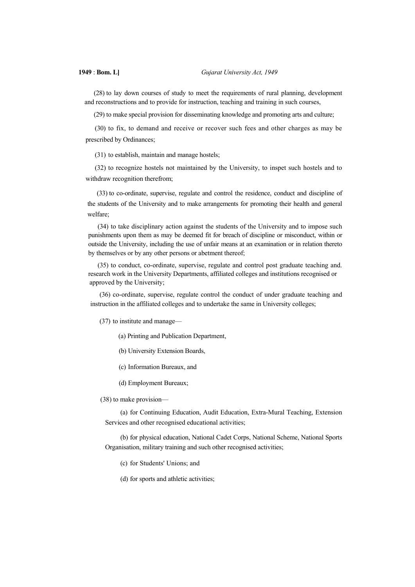**1949** : **Bom. L]** *Gujarat University Act, 1949*

(28) to lay down courses of study to meet the requirements of rural planning, development and reconstructions and to provide for instruction, teaching and training in such courses,

(29) to make special provision for disseminating knowledge and promoting arts and culture;

(30) to fix, to demand and receive or recover such fees and other charges as may be prescribed by Ordinances;

(31) to establish, maintain and manage hostels;

(32) to recognize hostels not maintained by the University, to inspet such hostels and to withdraw recognition therefrom;

(33) to co-ordinate, supervise, regulate and control the residence, conduct and discipline of the students of the University and to make arrangements for promoting their health and general welfare;

(34) to take disciplinary action against the students of the University and to impose such punishments upon them as may be deemed fit for breach of discipline or misconduct, within or outside the University, including the use of unfair means at an examination or in relation thereto by themselves or by any other persons or abetment thereof;

(35) to conduct, co-ordinate, supervise, regulate and control post graduate teaching and. research work in the University Departments, affiliated colleges and institutions recognised or approved by the University;

(36) co-ordinate, supervise, regulate control the conduct of under graduate teaching and instruction in the affiliated colleges and to undertake the same in University colleges;

(37) to institute and manage—

(a) Printing and Publication Department,

(b) University Extension Boards,

(c) Information Bureaux, and

(d) Employment Bureaux;

(38) to make provision—

(a) for Continuing Education, Audit Education, Extra-Mural Teaching, Extension Services and other recognised educational activities;

(b) for physical education, National Cadet Corps, National Scheme, National Sports Organisation, military training and such other recognised activities;

(c) for Students' Unions; and

(d) for sports and athletic activities;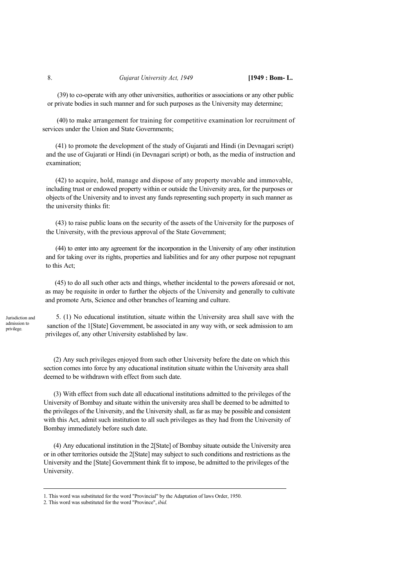(39) to co-operate with any other universities, authorities or associations or any other public or private bodies in such manner and for such purposes as the University may determine;

(40) to make arrangement for training for competitive examination lor recruitment of services under the Union and State Governments;

(41) to promote the development of the study of Gujarati and Hindi (in Devnagari script) and the use of Gujarati or Hindi (in Devnagari script) or both, as the media of instruction and examination;

(42) to acquire, hold, manage and dispose of any property movable and immovable, including trust or endowed property within or outside the University area, for the purposes or objects of the University and to invest any funds representing such property in such manner as the university thinks fit:

(43) to raise public loans on the security of the assets of the University for the purposes of the University, with the previous approval of the State Government;

(44) to enter into any agreement for the incorporation in the University of any other institution and for taking over its rights, properties and liabilities and for any other purpose not repugnant to this Act;

(45) to do all such other acts and things, whether incidental to the powers aforesaid or not, as may be requisite in order to further the objects of the University and generally to cultivate and promote Arts, Science and other branches of learning and culture.

Jurisdiction and admission to privilege.

5. (1) No educational institution, situate within the University area shall save with the sanction of the 1[State] Government, be associated in any way with, or seek admission to am privileges of, any other University established by law.

(2) Any such privileges enjoyed from such other University before the date on which this section comes into force by any educational institution situate within the University area shall deemed to be withdrawn with effect from such date.

(3) With effect from such date all educational institutions admitted to the privileges of the University of Bombay and situate within the university area shall be deemed to be admitted to the privileges of the University, and the University shall, as far as may be possible and consistent with this Act, admit such institution to all such privileges as they had from the University of Bombay immediately before such date.

(4) Any educational institution in the 2[State] of Bombay situate outside the University area or in other territories outside the 2[State] may subject to such conditions and restrictions as the University and the [State] Government think fit to impose, be admitted to the privileges of the University.

<sup>1.</sup> This word was substituted for the word "Provincial" by the Adaptation of laws Order, 1950.

<sup>2.</sup> This word was substituted for the word "Province", *ibid.*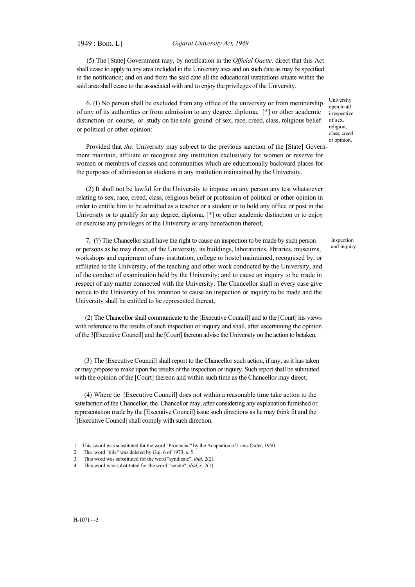1949 : Bom. L] *Gujarat University Act, 1949*

(5) The [State] Government may, by notification in the *Official Gaette,* direct that this Act shall cease to apply to any area included in the University area and on such date as may be specified in the notification; and on and from the said date all the educational institutions situate within the said area shall cease to the associated with and to enjoy the privileges of the University.

6. (I) No person shall be excluded from any office of the university or from membership of any of its authorities or from admission to any degree, diploma, [\*] or other academic distinction or course, or study on the sole ground of sex, race, creed, class, religious belief or political or other opinion:

University open to all irrespective of sex. religion, class, creed or opinion.

Inspection and inquiry

Provided that *the.* University may subject to the previous sanction of the [State] Government maintain, affiliate or recognise any institution exclusively for women or reserve for women or members of classes and communities which are educationally backward places for the purposes of admission as students in any institution maintained by the University.

(2) It shall not be lawful for the University to impose on any person any test whatsoever relating to sex, race, creed, class, religious belief or profession of political or other opinion in order to entitle him to be admitted as a teacher or a student or to hold any office or post in the University or to qualify for any degree, diploma, [\*] or other academic distinction or to enjoy or exercise any privileges of the University or any benefaction thereof,

7, (?) The Chancellor shall have the right to cause an inspection to be made by such person or persons as he may direct, of the University, its buildings, laboratories, libraries, museums, workshops and equipment of any institution, college or hostel maintained, recognised by, or affiliated to the University, of the teaching and other work conducted by the University, and of the conduct of examination held by the University; and to cause an inquiry to be made in respect of any matter connected with the University. The Chancellor shall in every case give notice to the University of his intention to cause an inspection or inquiry to be made and the University shall be entitled to be represented thereat,

(2) The Chancellor shall communicate to the [Executive Council] and to the [Court] his views with reference to the results of such inspection or inquiry and shall, after ascertaining the opinion of the 3[Executive Council] and the [Court] thereon advise the University on the action to betaken.

(3) The [Executive Council] shall report to the Chancellor such action, if any, as it has taken or may propose to make upon the results of the inspection or inquiry. Such report shall be submitted with the opinion of the [Court] thereon and within such time as the Chancellor may direct.

(4) Where tie [Executive Council] does not within a reasonable time take action to the satisfaction of the Chancellor, the. Chancellor may, after considering any explanation furnished or representation made by the [Executive Council] issue such directions as he may think fit and the <sup>3</sup>[Executive Council] shall comply with such direction.

<sup>1.</sup> This sword was substituted for the word "Provincial" by the Adaptation of Laws Order, 1950.

<sup>2.</sup> The. word "title" was deleted by Guj. 6 of 1973, s. 5.

<sup>3.</sup> This word was substituted for the word "syndicate", *ibid,* 2(2).

<sup>4.</sup> This word was substituted for the word "senate", *ibid, s.* 2(1).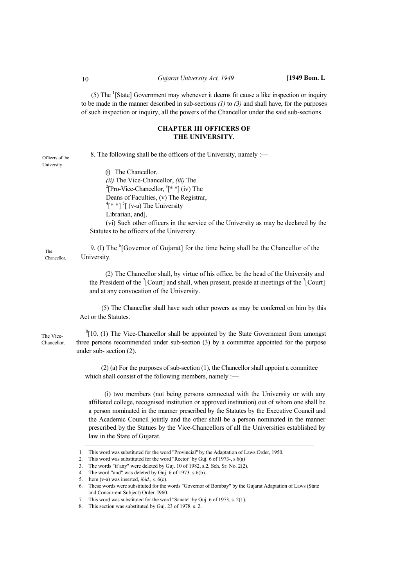(5) The  $\frac{1}{3}$ [State] Government may whenever it deems fit cause a like inspection or inquiry to be made in the manner described in sub-sections *(1)* to *(3)* and shall have, for the purposes of such inspection or inquiry, all the powers of the Chancellor under the said sub-sections.

#### **CHAPTER III OFFICERS OF THE UNIVERSITY.**

8. The following shall be the officers of the University, namely :—

Officers of the University.

(i) The Chancellor,

*(ii)* The Vice-Chancellor, *(iii)* The [Pro-Vice-Chancellor,  ${}^{3}$ [\* \*] (iv) The Deans of Faculties, (v) The Registrar,  $^{4}$ [\* \*]  $^{5}$ [ (v-a) The University Librarian, and],

(vi) Such other officers in the service of the University as may be declared by the Statutes to be officers of the University.

9. (I) The <sup>6</sup>[Governor of Gujarat] for the time being shall be the Chancellor of the University.

(2) The Chancellor shall, by virtue of his office, be the head of the University and the President of the  $\sqrt[7]{$ [Court] and shall, when present, preside at meetings of the  $\sqrt[7]{$ [Court] and at any convocation of the University.

(5) The Chancellor shall have such other powers as may be conferred on him by this Act or the Statutes.

The Vice-Chancellor.

The **Chancellor** 

> ${}^{8}$ [10. (1) The Vice-Chancellor shall be appointed by the State Government from amongst three persons recommended under sub-section (3) by a committee appointed for the purpose under sub- section (2).

(2) (a) For the purposes of sub-section (1), the Chancellor shall appoint a committee which shall consist of the following members, namely :—

(i) two members (not being persons connected with the University or with any affiliated college, recognised institution or approved institution) out of whom one shall be a person nominated in the manner prescribed by the Statutes by the Executive Council and the Academic Council jointly and the other shall be a person nominated in the manner prescribed by the Statues by the Vice-Chancellors of all the Universities established by law in the State of Gujarat.

<sup>1.</sup> This word was substituted for the word "Provincial" by the Adaptation of Laws Order, 1950.

<sup>2.</sup> This word was substituted for the word "Rector" by Guj. 6 of 1973-, s 6(a)

<sup>3.</sup> The words "if any" were deleted by Guj. 10 of 1982, s.2, Sch. Sr. No. 2(2).

<sup>4.</sup> The word "and" was deleted by Guj. 6 of 1973. s.6(b).

<sup>5.</sup> Item (v-a) was inserted, *ibid., s.* 6(c).

<sup>6.</sup> These words were substituted for the words "Governor of Bombay" by the Gujarat Adaptation of Laws (State and Concurrent Subject) Order. I960.

<sup>7.</sup> This word was substituted for the word "Sanate" by Guj. 6 of 1973, s. 2(1).

<sup>8.</sup> This section was substituted by Guj. 23 of 1978. s. 2.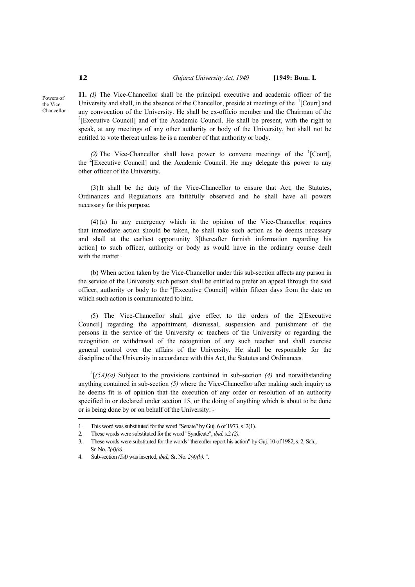**11.** *(I)* The Vice-Chancellor shall be the principal executive and academic officer of the University and shall, in the absence of the Chancellor, preside at meetings of the <sup>1</sup>[Court] and any convocation of the University. He shall be ex-officio member and the Chairman of the  $2$ <sup>2</sup>[Executive Council] and of the Academic Council. He shall be present, with the right to speak, at any meetings of any other authority or body of the University, but shall not be entitled to vote thereat unless he is a member of that authority or body.

(2) The Vice-Chancellor shall have power to convene meetings of the  ${}^{1}$ [Court], the <sup>2</sup>[Executive Council] and the Academic Council. He may delegate this power to any other officer of the University.

(3)It shall be the duty of the Vice-Chancellor to ensure that Act, the Statutes, Ordinances and Regulations are faithfully observed and he shall have all powers necessary for this purpose.

(4)(a) In any emergency which in the opinion of the Vice-Chancellor requires that immediate action should be taken, he shall take such action as he deems necessary and shall at the earliest opportunity 3[thereafter furnish information regarding his action] to such officer, authority or body as would have in the ordinary course dealt with the matter

(b) When action taken by the Vice-Chancellor under this sub-section affects any parson in the service of the University such person shall be entitled to prefer an appeal through the said officer, authority or body to the  $2$ [Executive Council] within fifteen days from the date on which such action is communicated to him.

*(*5) The Vice-Chancellor shall give effect to the orders of the 2[Executive Council] regarding the appointment, dismissal, suspension and punishment of the persons in the service of the University or teachers of the University or regarding the recognition or withdrawal of the recognition of any such teacher and shall exercise general control over the affairs of the University. He shall be responsible for the discipline of the University in accordance with this Act, the Statutes and Ordinances.

 $^{4}$ [(5A)(a) Subject to the provisions contained in sub-section (4) and notwithstanding anything contained in sub-section *(5)* where the Vice-Chancellor after making such inquiry as he deems fit is of opinion that the execution of any order or resolution of an authority specified in or declared under section 15, or the doing of anything which is about to be done or is being done by or on behalf of the University: -

Powers of the Vice Chancellor

<sup>1.</sup> This word was substituted for the word "Senate" by Guj. 6 of 1973, s. 2(1).

<sup>2.</sup> These words were substituted for the word "Syndicate", *ibid,* s.2 *(2).*

<sup>3.</sup> These words were substituted for the words "thereafter report his action" by Guj. 10 of 1982, s. 2, Sch., Sr. No. *2(4)(a).*

<sup>4.</sup> Sub-section *(5A)* was inserted, *ibid.,* Sr. No. *2(4)(b).* ".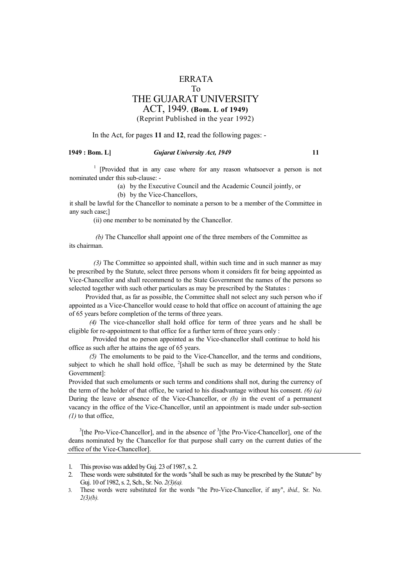#### ERRATA

#### To

### THE GUJARAT UNIVERSITY

ACT, 1949. **(Bom. L of 1949)**

#### (Reprint Published in the year 1992)

#### In the Act, for pages **11** and **12**, read the following pages: -

#### **1949 : Bom. L]** *Gujarat University Act, 1949* **11**

<sup>1</sup> [Provided that in any case where for any reason whatsoever a person is not nominated under this sub-clause: -

(a) by the Executive Council and the Academic Council jointly, or

(b) by the Vice-Chancellors,

it shall be lawful for the Chancellor to nominate a person to be a member of the Committee in any such case;]

(ii) one member to be nominated by the Chancellor.

*(b)* The Chancellor shall appoint one of the three members of the Committee as its chairman.

*(3)* The Committee so appointed shall, within such time and in such manner as may be prescribed by the Statute, select three persons whom it considers fit for being appointed as Vice-Chancellor and shall recommend to the State Government the names of the persons so selected together with such other particulars as may be prescribed by the Statutes :

Provided that, as far as possible, the Committee shall not select any such person who if appointed as a Vice-Chancellor would cease to hold that office on account of attaining the age of 65 years before completion of the terms of three years.

*(4)* The vice-chancellor shall hold office for term of three years and he shall be eligible for re-appointment to that office for a further term of three years only :

Provided that no person appointed as the Vice-chancellor shall continue to hold his office as such after he attains the age of 65 years.

*(5)* The emoluments to be paid to the Vice-Chancellor, and the terms and conditions, subject to which he shall hold office,  $^{2}$ [shall be such as may be determined by the State Government]:

Provided that such emoluments or such terms and conditions shall not, during the currency of the term of the holder of that office, be varied to his disadvantage without his consent. *(6) (a)*  During the leave or absence of the Vice-Chancellor, or *(b)* in the event of a permanent vacancy in the office of the Vice-Chancellor, until an appointment is made under sub-section *(1)* to that office,

 $3$ [the Pro-Vice-Chancellor], and in the absence of  $3$ [the Pro-Vice-Chancellor], one of the deans nominated by the Chancellor for that purpose shall carry on the current duties of the office of the Vice-Chancellor].

3. These words were substituted for the words "the Pro-Vice-Chancellor, if any", *ibid.,* Sr. No. *2(3)(b).*

<sup>1.</sup> This proviso was added by Guj. 23 of 1987, s. 2.

<sup>2.</sup> These words were substituted for the words "shall be such as may be prescribed by the Statute" by Guj. 10 of 1982, s. 2, Sch., Sr. No. *2(3)(a).*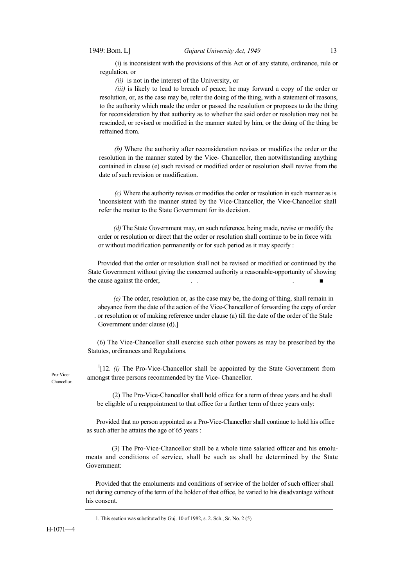(i) is inconsistent with the provisions of this Act or of any statute, ordinance, rule or regulation, or

*(ii)* is not in the interest of the University, or

*(iii)* is likely to lead to breach of peace; he may forward a copy of the order or resolution, or, as the case may be, refer the doing of the thing, with a statement of reasons, to the authority which made the order or passed the resolution or proposes to do the thing for reconsideration by that authority as to whether the said order or resolution may not be rescinded, or revised or modified in the manner stated by him, or the doing of the thing be refrained from.

*(b)* Where the authority after reconsideration revises or modifies the order or the resolution in the manner stated by the Vice- Chancellor, then notwithstanding anything contained in clause (e) such revised or modified order or resolution shall revive from the date of such revision or modification.

*(c)* Where the authority revises or modifies the order or resolution in such manner as is 'inconsistent with the manner stated by the Vice-Chancellor, the Vice-Chancellor shall refer the matter to the State Government for its decision.

*(d)* The State Government may, on such reference, being made, revise or modify the order or resolution or direct that the order or resolution shall continue to be in force with or without modification permanently or for such period as it may specify :

Provided that the order or resolution shall not be revised or modified or continued by the State Government without giving the concerned authority a reasonable-opportunity of showing the cause against the order,

*(e)* The order, resolution or, as the case may be, the doing of thing, shall remain in abeyance from the date of the action of the Vice-Chancellor of forwarding the copy of order . or resolution or of making reference under clause (a) till the date of the order of the Stale Government under clause (d).]

(6) The Vice-Chancellor shall exercise such other powers as may be prescribed by the Statutes, ordinances and Regulations.

Pro-Vice-Chancellor.

 $1$ [12. *(i)* The Pro-Vice-Chancellor shall be appointed by the State Government from amongst three persons recommended by the Vice- Chancellor.

(2) The Pro-Vice-Chancellor shall hold office for a term of three years and he shall be eligible of a reappointment to that office for a further term of three years only:

Provided that no person appointed as a Pro-Vice-Chancellor shall continue to hold his office as such after he attains the age of 65 years :

(3) The Pro-Vice-Chancellor shall be a whole time salaried officer and his emolumeats and conditions of service, shall be such as shall be determined by the State Government:

Provided that the emoluments and conditions of service of the holder of such officer shall not during currency of the term of the holder of that office, be varied to his disadvantage without his consent.

<sup>1.</sup> This section was substituted by Guj. 10 of 1982, s. 2. Sch., Sr. No. 2 (5).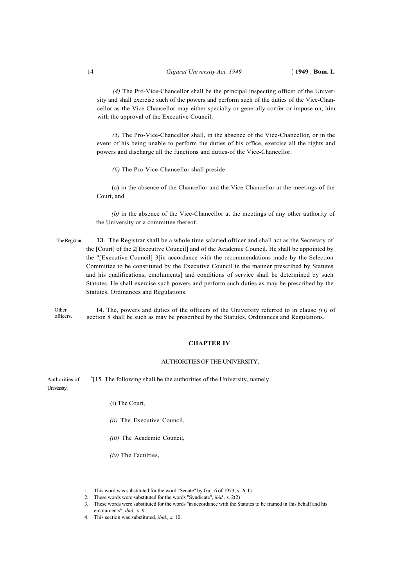*(4)* The Pro-Vice-Chancellor shall be the principal inspecting officer of the University and shall exercise such of the powers and perform such of the duties of the Vice-Chancellor as the Vice-Chancellor may either specially or generally confer or impose on, him with the approval of the Executive Council.

*(5)* The Pro-Vice-Chancellor shall, in the absence of the Vice-Chancellor, or in the event of his being unable to perform the duties of his office, exercise all the rights and powers and discharge all the functions and duties-of the Vice-Chancellor.

*(6)* The Pro-Vice-Chancellor shall preside—

(a) in the absence of the Chancellor and the Vice-Chancellor at the meetings of the Court, and

*(b)* in the absence of the Vice-Chancellor at the meetings of any other authority of the University or a committee thereof.

The Registrar. 13. The Registrar shall be a whole time salaried officer and shall act as the Secretary of the [Court] of the 2[Executive Council] and of the Academic Council. He shall be appointed by the "[Executive Council] 3[in accordance with the recommendations made by the Selection Committee to be constituted by the Executive Council in the manner prescribed by Statutes and his qualifications, emoluments] and conditions of service shall be determined by such Statutes. He shall exercise such powers and perform such duties as may be prescribed by the Statutes, Ordinances and Regulations.

14. The, powers and duties of the officers of the University referred to in clause *(vi)* of section 8 shall be such as may be prescribed by the Statutes, Ordinances and Regulations. Other officers.

#### **CHAPTER IV**

#### AUTHORITIES OF THE UNIVERSITY.

Authorities of  $^{4}$ [15. The following shall be the authorities of the University, namely University.

- (i) The Court,
- *(ii)* The Executive Council,
- *(iii)* The Academic Council,
- *(iv)* The Faculties,

<sup>1.</sup> This word was substituted for the word "Senate" by Guj. 6 of 1973, s. 2( 1).

<sup>2.</sup> These words were substituted for the words "Syndicate", *ibid.,* s. 2(2)

<sup>3.</sup> These words were substituted for the words ''in accordance with the Statutes to be framed in (his behalf and his emoluments", *ibid.,* s. 9.

<sup>4.</sup> This section was substituted. *ibid., s.* 10.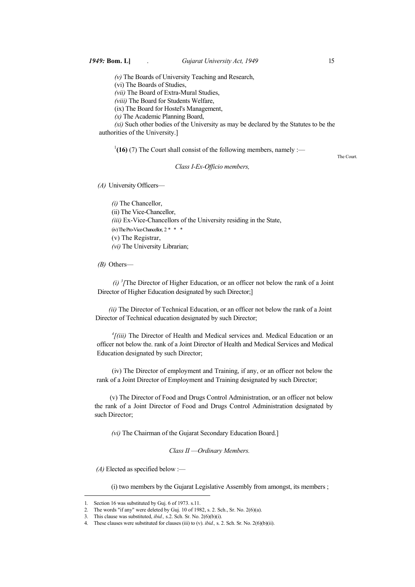*(v)* The Boards of University Teaching and Research,

(vi) The Boards of Studies,

*(vii)* The Board of Extra-Mural Studies,

*(viii)* The Board for Students Welfare,

(ix) The Board for Hostel's Management,

*(x)* The Academic Planning Board,

*(xi)* Such other bodies of the University as may be declared by the Statutes to be the authorities of the University.]

 $\frac{1}{16}$  (7) The Court shall consist of the following members, namely :— The Court.

#### *Class I-Ex-Officio members,*

*(A)* University Officers—

*(i)* The Chancellor, (ii) The Vice-Chancellor, *(iii)* Ex-Vice-Chancellors of the University residing in the State, (iv) The Pro-Vice-Chancellor, 2 \* \* \* (v) The Registrar, *(vi)* The University Librarian;

*(B)* Others—

 $(i)$ <sup>3</sup>/The Director of Higher Education, or an officer not below the rank of a Joint Director of Higher Education designated by such Director;]

 *(ii)* The Director of Technical Education, or an officer not below the rank of a Joint Director of Technical education designated by such Director;

<sup>4</sup>/(iii) The Director of Health and Medical services and. Medical Education or an officer not below the. rank of a Joint Director of Health and Medical Services and Medical Education designated by such Director;

(iv) The Director of employment and Training, if any, or an officer not below the rank of a Joint Director of Employment and Training designated by such Director;

(v) The Director of Food and Drugs Control Administration, or an officer not below the rank of a Joint Director of Food and Drugs Control Administration designated by such Director;

*(vi)* The Chairman of the Gujarat Secondary Education Board.]

*Class II* —*Ordinary Members.* 

*(A)* Elected as specified below :—

(i) two members by the Gujarat Legislative Assembly from amongst, its members ;

<sup>1.</sup> Section 16 was substituted by Guj. 6 of 1973. s.11.

<sup>2.</sup> The words "if any" were deleted by Guj. 10 of 1982, s. 2. Sch., Sr. No. 2(6)(a).

<sup>3.</sup> This clause was substituted, *ibid.,* s.2. Sch. Sr. No. 2(6)(b)(i).

<sup>4.</sup> These clauses were substituted for clauses (iii) to (v). *ibid.,* s. 2. Sch. Sr. No. 2(6)(b)(ii).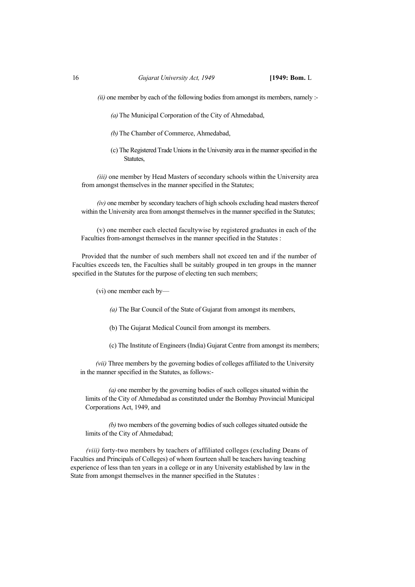*(ii)* one member by each of the following bodies from amongst its members, namely :-

*(a)*The Municipal Corporation of the City of Ahmedabad,

- *(b)*The Chamber of Commerce, Ahmedabad,
- (c) The Registered Trade Unions in the University area in the manner specified in the Statutes,

*(iii)* one member by Head Masters of secondary schools within the University area from amongst themselves in the manner specified in the Statutes;

*(iv)* one member by secondary teachers of high schools excluding head masters thereof within the University area from amongst themselves in the manner specified in the Statutes;

(v) one member each elected facultywise by registered graduates in each of the Faculties from-amongst themselves in the manner specified in the Statutes :

Provided that the number of such members shall not exceed ten and if the number of Faculties exceeds ten, the Faculties shall be suitably grouped in ten groups in the manner specified in the Statutes for the purpose of electing ten such members;

(vi) one member each by—

*(a)* The Bar Council of the State of Gujarat from amongst its members,

(b) The Gujarat Medical Council from amongst its members.

(c) The Institute of Engineers (India) Gujarat Centre from amongst its members;

*(vii)* Three members by the governing bodies of colleges affiliated to the University in the manner specified in the Statutes, as follows:-

*(a)* one member by the governing bodies of such colleges situated within the limits of the City of Ahmedabad as constituted under the Bombay Provincial Municipal Corporations Act, 1949, and

*(b)* two members of the governing bodies of such colleges situated outside the limits of the City of Ahmedabad;

*(viii)* forty-two members by teachers of affiliated colleges (excluding Deans of Faculties and Principals of Colleges) of whom fourteen shall be teachers having teaching experience of less than ten years in a college or in any University established by law in the State from amongst themselves in the manner specified in the Statutes :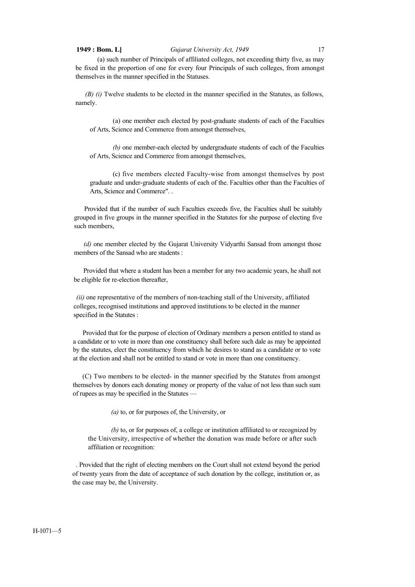#### **1949 : Bom. L]** *Gujarat University Act, 1949* 17

(a) such number of Principals of affiliated colleges, not exceeding thirty five, as may be fixed in the proportion of one for every four Principals of such colleges, from amongst themselves in the manner specified in the Statuses.

*(B) (i)* Twelve students to be elected in the manner specified in the Statutes, as follows, namely.

(a) one member each elected by post-graduate students of each of the Faculties of Arts, Science and Commerce from amongst themselves,

*(b)* one member-each elected by undergraduate students of each of the Faculties of Arts, Science and Commerce from amongst themselves,

(c) five members elected Faculty-wise from amongst themselves by post graduate and under-graduate students of each of the. Faculties other than the Faculties of Arts, Science and Commerce". .

Provided that if the number of such Faculties exceeds five, the Faculties shall be suitably grouped in five groups in the manner specified in the Statutes for she purpose of electing five such members,

*(d)* one member elected by the Gujarat University Vidyarthi Sansad from amongst those members of the Sansad who are students :

Provided that where a student has been a member for any two academic years, he shall not be eligible for re-election thereafter,

*(ii)* one representative of the members of non-teaching stall of the University, affiliated colleges, recognised institutions and approved institutions to be elected in the manner specified in the Statutes :

Provided that for the purpose of election of Ordinary members a person entitled to stand as a candidate or to vote in more than one constituency shall before such dale as may be appointed by the statutes, elect the constituency from which he desires to stand as a candidate or to vote at the election and shall not be entitled to stand or vote in more than one constituency.

(C) Two members to be elected- in the manner specified by the Statutes from amongst themselves by donors each donating money or property of the value of not less than such sum of rupees as may be specified in the Statutes —

*(a)* to, or for purposes of, the University, or

*(b)* to, or for purposes of, a college or institution affiliated to or recognized by the University, irrespective of whether the donation was made before or after such affiliation or recognition:

. Provided that the right of electing members on the Court shall not extend beyond the period of twenty years from the date of acceptance of such donation by the college, institution or, as the case may be, the University.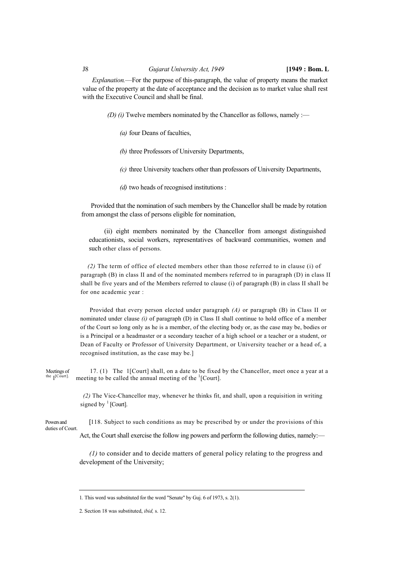#### J8 *Gujarat University Act, 1949* **[1949 : Bom. L**

*Explanation.*—For the purpose of this-paragraph, the value of property means the market value of the property at the date of acceptance and the decision as to market value shall rest with the Executive Council and shall be final.

*(D) (i)* Twelve members nominated by the Chancellor as follows, namely :—

*(a)* four Deans of faculties,

*(b)* three Professors of University Departments,

*(c)* three University teachers other than professors of University Departments,

*(d)* two heads of recognised institutions :

Provided that the nomination of such members by the Chancellor shall be made by rotation from amongst the class of persons eligible for nomination,

(ii) eight members nominated by the Chancellor from amongst distinguished educationists, social workers, representatives of backward communities, women and such other class of persons.

*(2)* The term of office of elected members other than those referred to in clause (i) of paragraph (B) in class II and of the nominated members referred to in paragraph (D) in class II shall be five years and of the Members referred to clause (i) of paragraph (B) in class II shall be for one academic year :

Provided that every person elected under paragraph *(A)* or paragraph (B) in Class II or nominated under clause *(i)* of paragraph (D) in Class II shall continue to hold office of a member of the Court so long only as he is a member, of the electing body or, as the case may be, bodies or is a Principal or a headmaster or a secondary teacher of a high school or a teacher or a student, or Dean of Faculty or Professor of University Department, or University teacher or a head of, a recognised institution, as the case may be.]

Meetings of 17. (1) The 1[Court] shall, on a date to be fixed by the Chancellor, meet once a year at a the l<sup>[Court]</sup>. meeting to be called the annual meeting of the <sup>1</sup>[Court] meeting to be called the annual meeting of the <sup>1</sup>[Court].

> *(2)* The Vice-Chancellor may, whenever he thinks fit, and shall, upon a requisition in writing signed by  $\frac{1}{2}$  [Court].

Powers and [118. Subject to such conditions as may be prescribed by or under the provisions of this duties of Court.

Act, the Court shall exercise the follow ing powers and perform the following duties, namely:—

*(1)* to consider and to decide matters of general policy relating to the progress and development of the University;

<sup>1.</sup> This word was substituted for the word "Senate" by Guj. 6 of 1973, s. 2(1).

<sup>2.</sup> Section 18 was substituted, *ibid,* s. 12.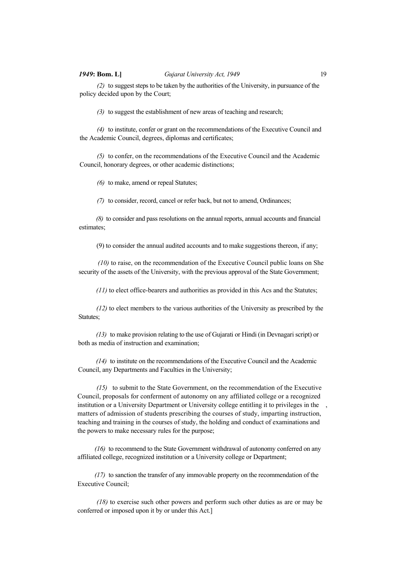*(2)* to suggest steps to be taken by the authorities of the University, in pursuance of the policy decided upon by the Court;

*(3)* to suggest the establishment of new areas of teaching and research;

*(4)* to institute, confer or grant on the recommendations of the Executive Council and the Academic Council, degrees, diplomas and certificates;

*(5)* to confer, on the recommendations of the Executive Council and the Academic Council, honorary degrees, or other academic distinctions;

*(6)* to make, amend or repeal Statutes;

*(7)* to consider, record, cancel or refer back, but not to amend, Ordinances;

*(8)* to consider and pass resolutions on the annual reports, annual accounts and financial estimates;

(9) to consider the annual audited accounts and to make suggestions thereon, if any;

*(10)* to raise, on the recommendation of the Executive Council public loans on She security of the assets of the University, with the previous approval of the State Government;

*(11)* to elect office-bearers and authorities as provided in this Acs and the Statutes;

*(12)* to elect members to the various authorities of the University as prescribed by the Statutes;

*(13)* to make provision relating to the use of Gujarati or Hindi (in Devnagari script) or both as media of instruction and examination;

*(14)* to institute on the recommendations of the Executive Council and the Academic Council, any Departments and Faculties in the University;

*(15)* to submit to the State Government, on the recommendation of the Executive Council, proposals for conferment of autonomy on any affiliated college or a recognized institution or a University Department or University college entitling it to privileges in the matters of admission of students prescribing the courses of study, imparting instruction, teaching and training in the courses of study, the holding and conduct of examinations and the powers to make necessary rules for the purpose;

*(16)* to recommend to the State Government withdrawal of autonomy conferred on any affiliated college, recognized institution or a University college or Department;

*(17)* to sanction the transfer of any immovable property on the recommendation of the Executive Council;

*(18)* to exercise such other powers and perform such other duties as are or may be conferred or imposed upon it by or under this Act.]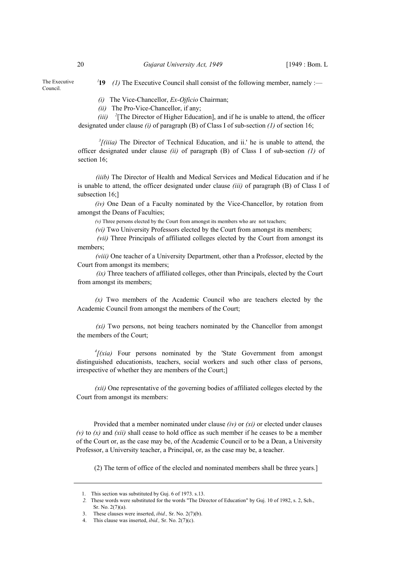The Executive Council.

<sup>1</sup>19 (1) The Executive Council shall consist of the following member, namely :—

*(i)* The Vice-Chancellor, *Ex-Ojficio* Chairman;

*(ii)* The Pro-Vice-Chancellor, if any;

*(iii)* <sup>2</sup> [The Director of Higher Education], and if he is unable to attend, the officer designated under clause *(i)* of paragraph (B) of Class I of sub-section *(1)* of section 16;

<sup>3</sup>[(iiia) The Director of Technical Education, and ii.' he is unable to attend, the officer designated under clause *(ii)* of paragraph (B) of Class I of sub-section *(1)* of section 16:

*(iiib)* The Director of Health and Medical Services and Medical Education and if he is unable to attend, the officer designated under clause *(iii)* of paragraph (B) of Class I of subsection 16;]

*(iv)* One Dean of a Faculty nominated by the Vice-Chancellor, by rotation from amongst the Deans of Faculties;

*(v)* Three persons elected by the Court from amongst its members who are not teachers;

*(vi)* Two University Professors elected by the Court from amongst its members;

*(vii)* Three Principals of affiliated colleges elected by the Court from amongst its members;

*(viii)* One teacher of a University Department, other than a Professor, elected by the Court from amongst its members;

*(ix)* Three teachers of affiliated colleges, other than Principals, elected by the Court from amongst its members;

*(x)* Two members of the Academic Council who are teachers elected by the Academic Council from amongst the members of the Court;

*(xi)* Two persons, not being teachers nominated by the Chancellor from amongst the members of the Court;

 $f(xia)$  Four persons nominated by the 'State Government from amongst distinguished educationists, teachers, social workers and such other class of persons, irrespective of whether they are members of the Court;]

*(xii)* One representative of the governing bodies of affiliated colleges elected by the Court from amongst its members:

Provided that a member nominated under clause *(iv)* or *(xi)* or elected under clauses  $(v)$  to  $(x)$  and  $(xii)$  shall cease to hold office as such member if he ceases to be a member of the Court or, as the case may be, of the Academic Council or to be a Dean, a University Professor, a University teacher, a Principal, or, as the case may be, a teacher.

(2) The term of office of the elecled and nominated members shall be three years.]

<sup>1.</sup> This section was substituted by Guj. 6 of 1973. s.13.

*<sup>2.</sup>* These words were substituted for the words "The Director of Education" by Guj. 10 of 1982, s. 2, Sch., Sr. No. 2(7)(a).

<sup>3.</sup> These clauses were inserted, *ibid.,* Sr. No. 2(7)(b).

<sup>4.</sup> This clause was inserted, *ibid.,* Sr. No. 2(7)(c).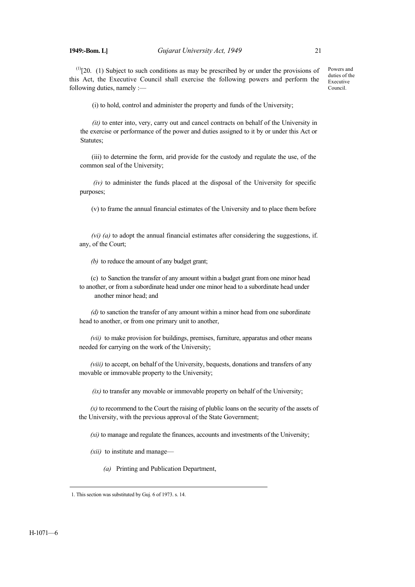$<sup>(1)</sup>[20. (1)$  Subject to such conditions as may be prescribed by or under the provisions of</sup> this Act, the Executive Council shall exercise the following powers and perform the following duties, namely :—

Powers and duties of the Executive Council.

(i) to hold, control and administer the property and funds of the University;

*(it)* to enter into, very, carry out and cancel contracts on behalf of the University in the exercise or performance of the power and duties assigned to it by or under this Act or Statutes;

(iii) to determine the form, arid provide for the custody and regulate the use, of the common seal of the University;

*(iv)* to administer the funds placed at the disposal of the University for specific purposes;

(v) to frame the annual financial estimates of the University and to place them before

*(vi) (a)* to adopt the annual financial estimates after considering the suggestions, if. any, of the Court;

*(b)* to reduce the amount of any budget grant;

(c) to Sanction the transfer of any amount within a budget grant from one minor head to another, or from a subordinate head under one minor head to a subordinate head under another minor head; and

*(d)* to sanction the transfer of any amount within a minor head from one subordinate head to another, or from one primary unit to another,

*(vii)* to make provision for buildings, premises, furniture, apparatus and other means needed for carrying on the work of the University;

*(viii)* to accept, on behalf of the University, bequests, donations and transfers of any movable or immovable property to the University;

*(ix)* to transfer any movable or immovable property on behalf of the University;

*(x)* to recommend to the Court the raising of plublic loans on the security of the assets of the University, with the previous approval of the State Government;

*(xi)* to manage and regulate the finances, accounts and investments of the University;

*(xii)* to institute and manage—

*(a)* Printing and Publication Department,

<sup>1.</sup> This section was substituted by Guj. 6 of 1973. s. 14.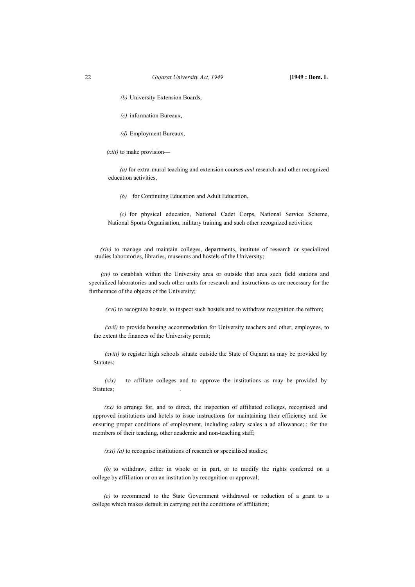- *(b)* University Extension Boards,
- *(c)* information Bureaux,
- *(d)* Employment Bureaux,

#### *(xiii)* to make provision—

*(a)* for extra-mural teaching and extension courses *and* research and other recognized education activities,

*(b)* for Continuing Education and Adult Education,

*(c)* for physical education, National Cadet Corps, National Service Scheme, National Sports Organisation, military training and such other recognized activities;

*(xiv)* to manage and maintain colleges, departments, institute of research or specialized studies laboratories, libraries, museums and hostels of the University;

*(xv)* to establish within the University area or outside that area such field stations and specialized laboratories and such other units for research and instructions as are necessary for the furtherance of the objects of the University;

*(xvi)* to recognize hostels, to inspect such hostels and to withdraw recognition the refrom;

*(xvii)* to provide bousing accommodation for University teachers and other, employees, to the extent the finances of the University permit;

*(xviii)* to register high schools situate outside the State of Gujarat as may be provided by Statutes:

*(xix)* to affiliate colleges and to approve the institutions as may be provided by Statutes;

*(xx)* to arrange for, and to direct, the inspection of affiliated colleges, recognised and approved institutions and hotels to issue instructions for maintaining their efficiency and for ensuring proper conditions of employment, including salary scales a ad allowance;.; for the members of their teaching, other academic and non-teaching staff;

*(xxi) (a)* to recognise institutions of research or specialised studies;

*(b)* to withdraw, either in whole or in part, or to modify the rights conferred on a college by affiliation or on an institution by recognition or approval;

*(c)* to recommend to the State Government withdrawal or reduction of a grant to a college which makes default in carrying out the conditions of affiliation;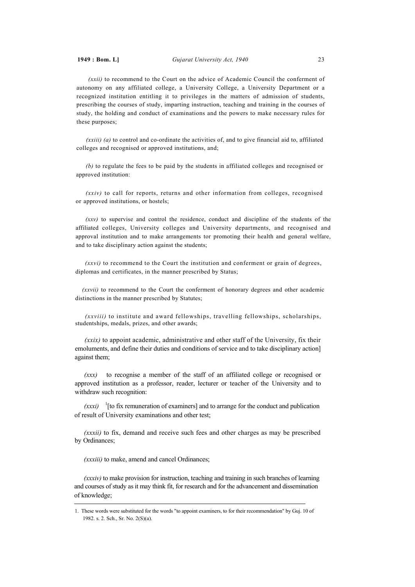*(xxii)* to recommend to the Court on the advice of Academic Council the conferment of autonomy on any affiliated college, a University College, a University Department or a recognized institution entitling it to privileges in the matters of admission of students, prescribing the courses of study, imparting instruction, teaching and training in the courses of study, the holding and conduct of examinations and the powers to make necessary rules for these purposes;

*(xxiii) (a)* to control and co-ordinate the activities of, and to give financial aid to, affiliated colleges and recognised or approved institutions, and;

*(b)* to regulate the fees to be paid by the students in affiliated colleges and recognised or approved institution:

*(xxiv)* to call for reports, returns and other information from colleges, recognised or approved institutions, or hostels;

*(xxv)* to supervise and control the residence, conduct and discipline of the students of the affiliated colleges, University colleges and University departments, and recognised and approval institution and to make arrangements tor promoting their health and general welfare, and to take disciplinary action against the students;

*(xxvi)* to recommend to the Court the institution and conferment or grain of degrees, diplomas and certificates, in the manner prescribed by Status;

*(xxvii)* to recommend to the Court the conferment of honorary degrees and other academic distinctions in the manner prescribed by Statutes;

*(xxviii)* to institute and award fellowships, travelling fellowships, scholarships, studentships, medals, prizes, and other awards;

*(xxix)* to appoint academic, administrative and other staff of the University, fix their emoluments, and define their duties and conditions of service and to take disciplinary action] against them;

*(xxx)* to recognise a member of the staff of an affiliated college or recognised or approved institution as a professor, reader, lecturer or teacher of the University and to withdraw such recognition:

 $(xxxi)$ <sup>1</sup>[to fix remuneration of examiners] and to arrange for the conduct and publication of result of University examinations and other test;

*(xxxii)* to fix, demand and receive such fees and other charges as may be prescribed by Ordinances;

*(xxxiii)* to make, amend and cancel Ordinances;

*(xxxiv)* to make provision for instruction, teaching and training in such branches of learning and courses of study as it may think fit, for research and for the advancement and dissemination of knowledge;

<sup>1.</sup> These words were substituted for the words "to appoint examiners, to for their recommendation" by Guj. 10 of 1982. s. 2. Sch., Sr. No. 2(S)(a).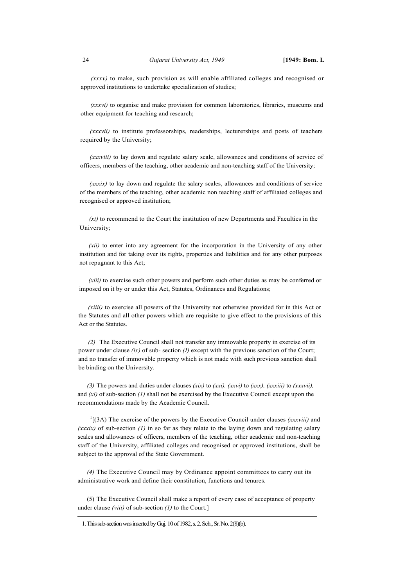*(xxxv)* to make, such provision as will enable affiliated colleges and recognised or approved institutions to undertake specialization of studies;

*(xxxvi)* to organise and make provision for common laboratories, libraries, museums and other equipment for teaching and research;

*(xxxvii)* to institute professorships, readerships, lecturerships and posts of teachers required by the University;

*(xxxviii)* to lay down and regulate salary scale, allowances and conditions of service of officers, members of the teaching, other academic and non-teaching staff of the University;

*(xxxix)* to lay down and regulate the salary scales, allowances and conditions of service of the members of the teaching, other academic non teaching staff of affiliated colleges and recognised or approved institution;

*(xi)* to recommend to the Court the institution of new Departments and Faculties in the University;

*(xii)* to enter into any agreement for the incorporation in the University of any other institution and for taking over its rights, properties and liabilities and for any other purposes not repugnant to this Act;

*(xiii)* to exercise such other powers and perform such other duties as may be conferred or imposed on it by or under this Act, Statutes, Ordinances and Regulations;

*(xiiii)* to exercise all powers of the University not otherwise provided for in this Act or the Statutes and all other powers which are requisite to give effect to the provisions of this Act or the Statutes.

*(2)* The Executive Council shall not transfer any immovable property in exercise of its power under clause *(ix)* of sub- section *(I)* except with the previous sanction of the Court; and no transfer of immovable property which is not made with such previous sanction shall be binding on the University.

*(3)* The powers and duties under clauses *(xix)* to *(xxi), (xxvi)* to *(xxx), (xxxiii)* to *(xxxvii),*  and *(xl)* of sub-section *(1)* shall not be exercised by the Executive Council except upon the recommendations made by the Academic Council.

1 [(3A) The exercise of the powers by the Executive Council under clauses *(xxxviii)* and *(xxxix)* of sub-section *(1)* in so far as they relate to the laying down and regulating salary scales and allowances of officers, members of the teaching, other academic and non-teaching staff of the University, affiliated colleges and recognised or approved institutions, shall be subject to the approval of the State Government.

*(4)* The Executive Council may by Ordinance appoint committees to carry out its administrative work and define their constitution, functions and tenures.

(5) The Executive Council shall make a report of every case of acceptance of property under clause *(viii)* of sub-section *(1)* to the Court.]

<sup>1.</sup> This sub-section was inserted by Guj. 10 of 1982, s. 2. Sch., Sr. No. 2(8)(b).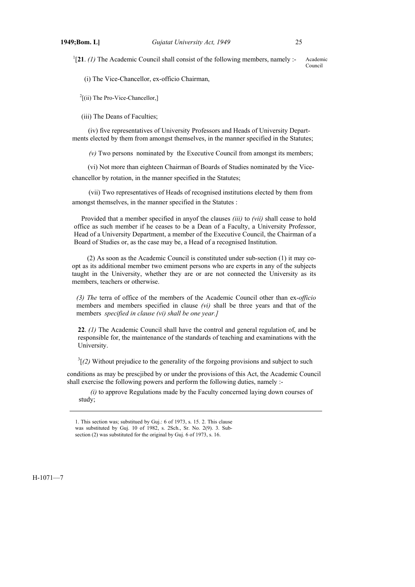$^{1}[21. (1)$  The Academic Council shall consist of the following members, namely :-Academic Council

(i) The Vice-Chancellor, ex-officio Chairman,

 $2$ [(ii) The Pro-Vice-Chancellor,]

(iii) The Deans of Faculties;

(iv) five representatives of University Professors and Heads of University Departments elected by them from amongst themselves, in the manner specified in the Statutes;

*(v)* Two persons nominated by the Executive Council from amongst its members;

(vi) Not more than eighteen Chairman of Boards of Studies nominated by the Vice-

chancellor by rotation, in the manner specified in the Statutes;

(vii) Two representatives of Heads of recognised institutions elected by them from amongst themselves, in the manner specified in the Statutes :

Provided that a member specified in anyof the clauses *(iii)* to *(vii)* shall cease to hold office as such member if he ceases to be a Dean of a Faculty, a University Professor, Head of a University Department, a member of the Executive Council, the Chairman of a Board of Studies or, as the case may be, a Head of a recognised Institution.

(2) As soon as the Academic Council is constituted under sub-section (1) it may coopt as its additional member two emiment persons who are experts in any of the subjects taught in the University, whether they are or are not connected the University as its members, teachers or otherwise.

*(3) The* terra of office of the members of the Academic Council other than ex-*officio* members and members specified in clause *(vi)* shall be three years and that of the members *specified in clause (vi) shall be one year.]*

**22**. *(1)* The Academic Council shall have the control and general regulation of, and be responsible for, the maintenance of the standards of teaching and examinations with the University.

 $3(2)$  Without prejudice to the generality of the forgoing provisions and subject to such

conditions as may be prescjibed by or under the provisions of this Act, the Academic Council shall exercise the following powers and perform the following duties, namely :-

*(i)* to approve Regulations made by the Faculty concerned laying down courses of study;

#### H-1071—7

<sup>1.</sup> This section was; substitued by Guj.: 6 of 1973, s. 15. 2. This clause was substituted by Guj. 10 of 1982, s. 2Sch., Sr. No. 2(9). 3. Subsection (2) was substituted for the original by Guj. 6 of 1973, s. 16.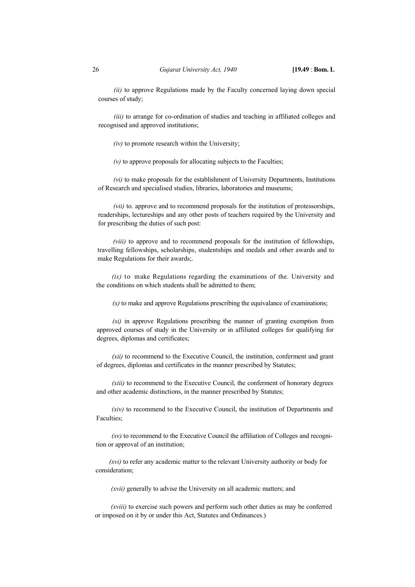*(ii)* to approve Regulations made by the Faculty concerned laying down special courses of study;

*(iii)* to arrange for co-ordination of studies and teaching in affiliated colleges and recognised and approved institutions;

*(iv)* to promote research within the University;

*(v)* to approve proposals for allocating subjects to the Faculties;

*(vi)* to make proposals for the establishment of University Departments, Institutions of Research and specialised studies, libraries, laboratories and museums;

*(vii)* to. approve and to recommend proposals for the institution of protessorships, readerships, lectureships and any other posts of teachers required by the University and for prescribing the duties of such post:

*(viii)* to approve and to recommend proposals for the institution of fellowships, travelling fellowships, scholarships, studentships and medals and other awards and to make Regulations for their awards;.

*(ix)* to make Regulations regarding the examinations of the. University and the conditions on which students shall be admitted to them;

 $(x)$  to make and approve Regulations prescribing the equivalance of examinations;

*(xi)* in approve Regulations prescribing the manner of granting exemption from approved courses of study in the University or in affiliated colleges for qualifying for degrees, diplomas and certificates;

*(xii)* to recommend to the Executive Council, the institution, conferment and grant of degrees, diplomas and certificates in the manner prescribed by Statutes;

*(xiii)* to recommend to the Executive Council, the conferment of honorary degrees and other academic distinctions, in the manner prescribed by Statutes;

*(xiv)* to recommend to the Executive Council, the institution of Departments and Faculties;

*(xv)* to recommend to the Executive Council the affiliation of Colleges and recognition or approval of an institution;

*(xvi)* to refer any academic matter to the relevant University authority or body for consideration;

*(xvii)* generally to advise the University on all academic matters; and

*(xviii)* to exercise such powers and perform such other duties as may be conferred or imposed on it by or under this Act, Statutes and Ordinances.)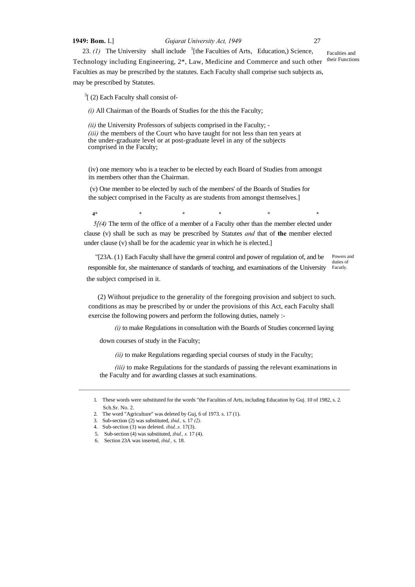# **1949: Bom.** L] *Gujarat University Act, 1949* 27

23.  $(1)$  The University shall include <sup>1</sup>[the Faculties of Arts, Education,) Science, Technology including Engineering, 2\*, Law, Medicine and Commerce and such other their Functions Faculties as may be prescribed by the statutes. Each Faculty shall comprise such subjects as, may be prescribed by Statutes. Faculties and

 $3$ [ (2) Each Faculty shall consist of-

*(i)* All Chairman of the Boards of Studies for the this the Faculty;

*(ii)* the University Professors of subjects comprised in the Faculty; - *(iii)* the members of the Court who have taught for not less than ten years at the under-graduate level or at post-graduate level in any of the subjects comprised in the Faculty;

(iv) one memory who is a teacher to be elected by each Board of Studies from amongst its members other than the Chairman.

 (v) One member to be elected by such of the members' of the Boards of Studies for the subject comprised in the Faculty as are students from amongst themselves.]

**4\* \* \* \* \* \***

*5[(4)* The term of the office of a member of a Faculty other than the member elected under clause (v) shall be such as may be prescribed by Statutes *and* that of **the** member elected under clause (v) shall be for the academic year in which he is elected.]

"[23A. (1) Each Faculty shall have the general control and power of regulation of, and be responsible for, she maintenance of standards of teaching, and examinations of the University Facutly. the subject comprised in it. Powers and duties of

(2) Without prejudice to the generality of the foregoing provision and subject to such. conditions as may be prescribed by or under the provisions of this Act, each Faculty shall exercise the following powers and perform the following duties, namely :-

*(i)* to make Regulations in consultation with the Boards of Studies concerned laying

down courses of study in the Faculty;

*(ii)* to make Regulations regarding special courses of study in the Faculty;

*(iii)* to make Regulations for the standards of passing the relevant examinations in the Faculty and for awarding classes at such examinations.

4. Sub-section (3) was deleted. *ibid..s.* 17(3).

<sup>1.</sup> These words were substituted for the words "the Faculties of Arts, including Education by Guj. 10 of 1982, s. 2*.* Sch.Sr. No. 2.

<sup>2.</sup> The word "Agriculture" was deleted by Guj, 6 of 1973. s. 17 (1).

<sup>3.</sup> Sub-section (2) was substituted, *ibid.,* s. 17 *(2).* 

<sup>5.</sup> Sub-section (4) was substituted, *ibid., s.* 17 (4).

<sup>6.</sup> Section 23A was inserted, *ibid.,* s. 18.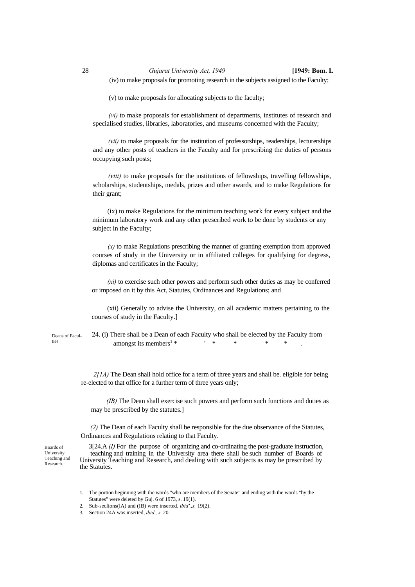(v) to make proposals for allocating subjects to the faculty;

*(vi)* to make proposals for establishment of departments, institutes of research and specialised studies, libraries, laboratories, and museums concerned with the Faculty;

*(vii)* to make proposals for the institution of professorships, readerships, lecturerships and any other posts of teachers in the Faculty and for prescribing the duties of persons occupying such posts;

*(viii)* to make proposals for the institutions of fellowships, travelling fellowships, scholarships, studentships, medals, prizes and other awards, and to make Regulations for their grant;

(ix) to make Regulations for the minimum teaching work for every subject and the minimum laboratory work and any other prescribed work to be done by students or any subject in the Faculty;

*(x)* to make Regulations prescribing the manner of granting exemption from approved courses of study in the University or in affiliated colleges for qualifying for degress, diplomas and certificates in the Faculty;

*(xi)* to exercise such other powers and perform such other duties as may be conferred or imposed on it by this Act, Statutes, Ordinances and Regulations; and

(xii) Generally to advise the University, on all academic matters pertaining to the courses of study in the Faculty.]

Deans of Faculties

24. (i) There shall be a Dean of each Faculty who shall be elected by the Faculty from amongst its members**<sup>1</sup>**  $*$   $*$   $*$   $*$   $*$   $*$  .

*2[1A)* The Dean shall hold office for a term of three years and shall be. eligible for being re-elected to that office for a further term of three years only;

*(IB)* The Dean shall exercise such powers and perform such functions and duties as may be prescribed by the statutes.]

*(2)* The Dean of each Faculty shall be responsible for the due observance of the Statutes, Ordinances and Regulations relating to that Faculty.

Boards of University Teaching and Research.

3[24.A *(I)* For the purpose of organizing and co-ordinating the post-graduate instruction, teaching and training in the University area there shall be such number of Boards of University Teaching and Research, and dealing with such subjects as may be prescribed by the Statutes.

<sup>1.</sup> The portion beginning with the words "who are members of the Senate" and ending with the words "by the Statutes" were deleted by Guj. 6 of 1973, s. 19(1).

<sup>2.</sup> Sub-seclions(lA) and (IB) were inserted, *ibid'.,s.* 19(2).

<sup>3.</sup> Section 24A was inserted, *ibid., s.* 20.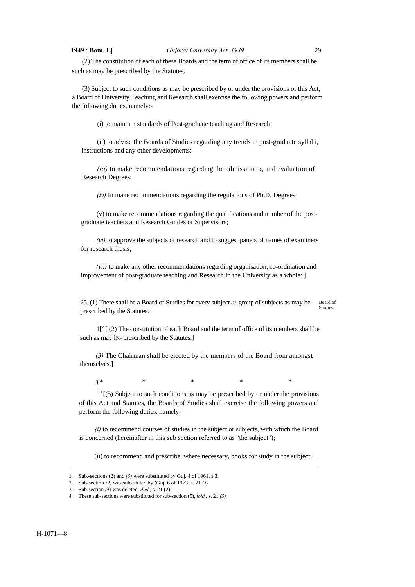## **1949** : **Bom. L]** *Gujarat University Act, 1949* 29

(2) The constitution of each of these Boards and the term of office of its members shall be such as may be prescribed by the Statutes.

(3) Subject to such conditions as may be prescribed by or under the provisions of this Act, a Board of University Teaching and Research shall exercise the following powers and perform the following duties, namely:-

(i) to maintain standards of Post-graduate teaching and Research;

(ii) to advise the Boards of Studies regarding any trends in post-graduate syllabi, instructions and any other developments;

*(iii)* to make recommendations regarding the admission to, and evaluation of Research Degrees;

*(iv)* In make recommendations regarding the regulations of Ph.D. Degrees;

(v) to make recommendations regarding the qualifications and number of the postgraduate teachers and Research Guides or Supervisors;

*(vi)* to approve the subjects of research and to suggest panels of names of examiners for research thesis;

*(vii)* to make any other recommendations regarding organisation, co-ordination and improvement of post-graduate teaching and Research in the University as a whole: ]

25. (1) There shall be a Board of Studies for every subject *or* group of subjects as may be prescribed by the Statutes. Board of Studies.

 $1[^{2}$  [ (2) The constitution of each Board and the term of office of its members shall be such as may IK- prescribed by the Statutes.]

*(3)* The Chairman shall be elected by the members of the Board from amongst themselves.]

3 \* \* \* \* \*

 $\frac{\infty}{15}$  [(5) Subject to such conditions as may be prescribed by or under the provisions of this Act and Statutes, the Boards of Studies shall exercise the following powers and perform the following duties, namely:-

*(i)* to recommend courses of studies in the subject or subjects, with which the Board is concerned (hereinafter in this sub section referred to as "the subject");

(ii) to recommend and prescribe, where necessary, books for study in the subject;

<sup>1.</sup> Sub.-sections (2) and *(3)* were substituted by Guj. 4 of 1961. s.3.

<sup>2.</sup> Sub-section *(2)* was substituted by (Guj. 6 of 1973. s. 21 *(1).*

<sup>3.</sup> Sub-section *(4)* was deleted, *ibid.,* s. 21 (2).

<sup>4.</sup> These sub-sections were substituted for sub-section (5), *ibid,,* s. 21 *(3).*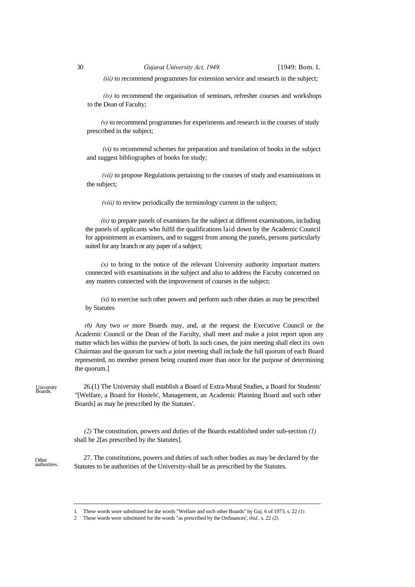*(iii)* to recommend programmes for extension service and research in the subject;

*(iv)* to recommend the organisation of seminars, refresher courses and workshops to the Dean of Faculty;

 *(v)* to recommend programmes for experiments and research in the courses of study prescribed in the subject;

*(vi)* to recommend schemes for preparation and translation of books in the subject and suggest bibliographes of books for study;

*(vii)* to propose Regulations pertaining to the courses of study and examinations in the subject;

*(viii)* to review periodically the terminology current in the subject;

*(ix)* to prepare panels of examiners for the subject at different examinations, including the panels of applicants who fulfil the qualifications laid down by the Academic Council for appointment as examiners, and to suggest from among the panels, persons particularly suited for any branch or any paper of a subject;

 $(x)$  to bring to the notice of the relevant University authority important matters connected with examinations in the subject and also to address the Faculty concerned on any matters connected with the improvement of courses in the subject;

*(xi)* to exercise such other powers and perform such other duties as may be prescribed by Statutes

*(6)* Any two *or* more Boards may, and, at the request the Executive Council or the Academic Council or the Dean of the Faculty, shall meet and make a joint report upon any matter which lies within the purview of both. In such cases, the joint meeting shall elect its own Chairman and the quorum for such *a* joint meeting shall include the full quorum of each Board represented, no member present being counted more than once for the purpose of determining the quorum.]

University<br>Boards.

26.(1) The University shall establish a Board of Extra-Mural Studies, a Board for Students' "[Welfare, a Board for Hostels', Management, an Academic Planning Board and such other Boards] as may be prescribed by the Statutes'.

*(2)* The constitution, powers and duties of the Boards established under sub-section *(1)*  shall be 2[as prescribed by the Statutes].

Other authorities.

27. The constitutions, powers and duties of such other bodies as may be declared by the Statutes to be authorities of the University-shall be as prescribed by the Statutes.

<sup>1.</sup> These words wore substituted for the words "Welfare and such other Boards" by Guj. 6 of 1973, s. 22 *(1).*

*<sup>2.</sup>* These words were substituted for the words "as prescribed by the Ordinances', *ibid.,* s. 22 *(2).*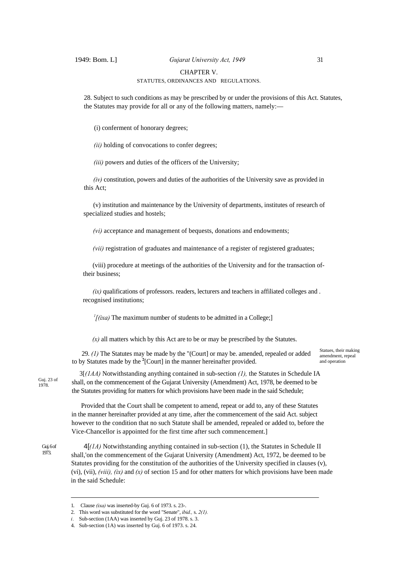# 1949: Bom. L] *Gujarat University Act, 1949* 31

CHAPTER V.

## STATUTES, ORDINANCES AND REGULATIONS.

28. Subject to such conditions as may be prescribed by or under the provisions of this Act. Statutes, the Statutes may provide for all or any of the following matters, namely:—

(i) conferment of honorary degrees;

*(ii)* holding of convocations to confer degrees;

*(iii)* powers and duties of the officers of the University;

*(iv)* constitution, powers and duties of the authorities of the University save as provided in this Act;

(v) institution and maintenance by the University of departments, institutes of research of specialized studies and hostels;

*(vi)* acceptance and management of bequests, donations and endowments;

*(vii)* registration of graduates and maintenance of a register of registered graduates;

(viii) procedure at meetings of the authorities of the University and for the transaction oftheir business;

*(ix)* qualifications of professors. readers, lecturers and teachers in affiliated colleges and. recognised institutions;

 $\frac{1}{i}$  (*ixa*) The maximum number of students to be admitted in a College;

*(x)* all matters which by this Act are to be or may be prescribed by the Statutes.

29. *(1)* The Statutes may be made by the "(Court] or may be. amended, repealed or added to by Statutes made by the **<sup>2</sup>** [Court] in the manner hereinafter provided.

Statues, their making amendment, repeal and operation

Guj. 23 of 1978.

 3[*(1AA)* Notwithstanding anything contained in sub-section *(1),* the Statutes in Schedule IA shall, on the commencement of the Gujarat University (Amendment) Act, 1978, be deemed to be the Statutes providing for matters for which provisions have been made in the said Schedule;

Provided that the Court shall be competent to amend, repeat or add to, any of these Statutes in the manner hereinafter provided at any time, after the commencement of the said Act. subject however to the condition that no such Statute shall be amended, repealed or added to, before the Vice-Chancellor is appointed for the first time after such commencement.]

Gui. 6 of 1973.

4[*(1A)* Notwithstanding anything contained in sub-section (1), the Statutes in Schedule II shall,'on the commencement of the Gujarat University (Amendment) Act, 1972, be deemed to be Statutes providing for the constitution of the authorities of the University specified in clauses (v), (vi), (vii),  $(viii)$ ,  $(ix)$  and  $(x)$  of section 15 and for other matters for which provisions have been made in the said Schedule:

<sup>1.</sup> Clause *(ixa)* was inserted-by Guj. 6 of 1973. s. 23-.

<sup>2.</sup> This word was substituted for the word "Senate", *ibid.,* s. *2(1).* 

*i.* Sub-section (1AA) was inserted by Guj. 23 of 1978. s. 3.

<sup>4.</sup> Sub-section (1A) was inserted by Guj. 6 of 1973. s. 24.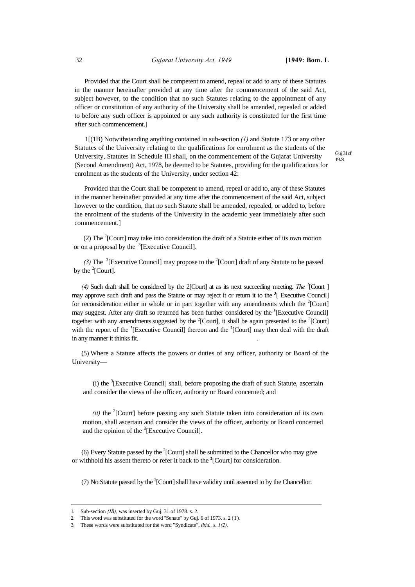Provided that the Court shall be competent to amend, repeal or add to any of these Statutes in the manner hereinafter provided at any time after the commencement of the said Act, subject however, to the condition that no such Statutes relating to the appointment of any officer or constitution of any authority of the University shall be amended, repealed or added to before any such officer is appointed or any such authority is constituted for the first time after such commencement.]

1[(1B) Notwithstanding anything contained in sub-section *(1)* and Statute 173 or any other Statutes of the University relating to the qualifications for enrolment as the students of the University, Statutes in Schedule III shall, on the commencement of the Gujarat University (Second Amendment) Act, 1978, be deemed to be Statutes, providing for the qualifications for enrolment as the students of the University, under section 42:

Guj. 31 of 1978.

Provided that the Court shall be competent to amend, repeal or add to, any of these Statutes in the manner hereinafter provided at any time after the commencement of the said Act, subject however to the condition, that no such Statute shall be amended, repealed, or added to, before the enrolment of the students of the University in the academic year immediately after such commencement.]

(2) The <sup>2</sup>[Court] may take into consideration the draft of a Statute either of its own motion or on a proposal by the  $\mathrm{^{3}}$ [Executive Council].

(3) The <sup>3</sup>[Executive Council] may propose to the <sup>2</sup>[Court] draft of any Statute to be passed by the  $2$ [Court].

(4) Such draft shall be considered by the 2[Court] at as its next succeeding meeting. The <sup>2</sup>[Court ] may approve such draft and pass the Statute or may reject it or return it to the **<sup>3</sup>** [ Executive Council] for reconsideration either in whole or in part together with any amendments which the  $2$ [Court] may suggest. After any draft so returned has been further considered by the **<sup>3</sup>** [Executive Council] together with any amendments.suggested by the <sup>2</sup>[Court], it shall be again presented to the <sup>2</sup>[Court] with the report of the **<sup>3</sup>** [Executive Council] thereon and the **<sup>2</sup>** [Court] may then deal with the draft in any manner it thinks fit.

(5) Where a Statute affects the powers or duties of any officer, authority or Board of the University—

(i) the  ${}^{3}$ [Executive Council] shall, before proposing the draft of such Statute, ascertain and consider the views of the officer, authority or Board concerned; and

 $(ii)$  the <sup>2</sup>[Court] before passing any such Statute taken into consideration of its own motion, shall ascertain and consider the views of the officer, authority or Board concerned and the opinion of the  ${}^{3}$ [Executive Council].

(6) Every Statute passed by the  $2$ [Court] shall be submitted to the Chancellor who may give or withhold his assent thereto or refer it back to the **<sup>2</sup>** [Court] for consideration.

(7) No Statute passed by the  $2$ [Court] shall have validity until assented to by the Chancellor.

<sup>1.</sup> Sub-section *{IB),* was inserted by Guj. 31 of 1978. s. 2.

<sup>2.</sup> This word was substituted for the word ''Senate" by Guj. 6 of 1973. s. 2 (1).

<sup>3.</sup> These words were substituted for the word "Syndicate", *ibid.,* s. *1(2).*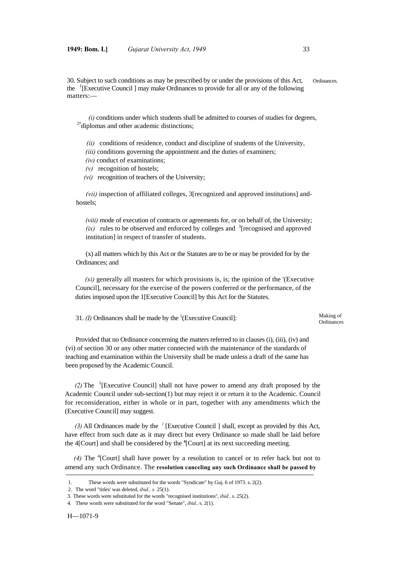30. Subject to such conditions as may be prescribed by or under the provisions of this Act, Ordinances. the <sup>1</sup>[Executive Council ] may make Ordinances to provide for all or any of the following matters:—

 $(i)$  conditions under which students shall be admitted to courses of studies for degrees,  $2^*$  diplomas and other academic distinctions;

*(ii)* conditions of residence, conduct and discipline of students of the University,

*(iii)* conditions governing the appointment and the duties of examiners;

- *(iv)* conduct of examinations;
- *(v)* recognition of hostels;

*(vi)* recognition of teachers of the University;

*(vii)* inspection of affiliated colleges, 3[recognized and approved institutions] andhostels;

*(viii)* mode of execution of contracts or agreements for, or on behalf of, the University;  $(ix)$  rules to be observed and enforced by colleges and <sup>3</sup>[recognised and approved institution] in respect of transfer of students.

(x) all matters which by this Act or the Statutes are to be or may be provided for by the Ordinances; and

*(xi)* generally all masters for which provisions is, is; the opinion of the '(Executive Council], necessary for the exercise of the powers conferred or the performance, of the duties imposed upon the 1[Executive Council] by this Act for the Statutes.

31. *(I)* Ordinances shall be made by the  ${}^{1}$ (Executive Council):

Making of **Ordinances** 

Provided that no Ordinance concerning the matters referred to in clauses (i), (iii), (iv) and (vi) of section 30 or any other matter connected with the maintenance of the standards of teaching and examination within the University shall be made unless a draft of the same has been proposed by the Academic Council.

*(2)* The <sup>1</sup> [Executive Council] shall not have power to amend any draft proposed by the Academic Council under sub-section(1) but may reject it or return it to the Academic. Council for reconsideration, either in whole or in part, together with any amendments which the (Executive Council] may suggest.

*(3)* All Ordinances made by the *<sup>l</sup>* [Executive Council ] shall, except as provided by this Act, have effect from such date as it may direct but every Ordinance so made shall be laid before the 4[Court] and shall be considered by the **<sup>4</sup>** [Court] at its next succeeding meeting.

(4) The <sup>4</sup>[Court] shall have power by a resolution to cancel or to refer back but not to amend any such Ordinance. The **resolution canceling any such Ordinance shall be passed by** 

 <sup>1.</sup> These words were substituted for the words "Syndicate" by Guj. 6 of 1973. s. 2(2).

 <sup>2.</sup> The word "titles' was deleted, *ibid., s.* 25(1).

<sup>3.</sup> These words were substituted for the words "recognised institutions'', *ibid.,* s. 25(2).

<sup>4.</sup> These words were substituted for the word "Senate", *ibid.,* s. 2(1).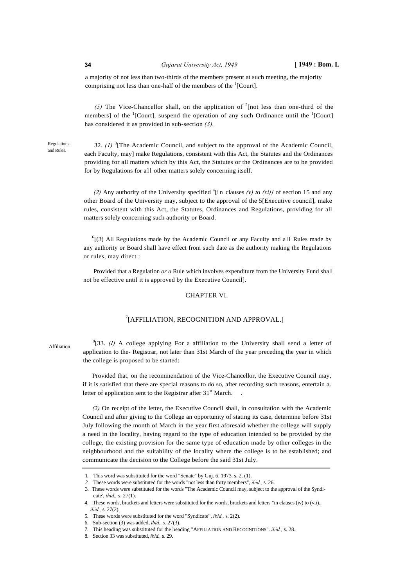a majority of not less than two-thirds of the members present at such meeting, the majority comprising not less than one-half of the members of the  ${}^{1}$ [Court].

(5) The Vice-Chancellor shall, on the application of  $2$  [not less than one-third of the members] of the  ${}^{1}$ [Court], suspend the operation of any such Ordinance until the  ${}^{1}$ [Court] has considered it as provided in sub-section *(3).*

Regulations and Rules.

32.  $(1)$ <sup>3</sup> [The Academic Council, and subject to the approval of the Academic Council, each Faculty, may] make Regulations, consistent with this Act, the Statutes and the Ordinances providing for all matters which by this Act, the Statutes or the Ordinances are to be provided for by Regulations for all other matters solely concerning itself.

(2) Any authority of the University specified  $\binom{4}{1}$  clauses (v) to (xi)] of section 15 and any other Board of the University may, subject to the approval of the 5[Executive council], make rules, consistent with this Act, the Statutes, Ordinances and Regulations, providing for all matters solely concerning such authority or Board.

 $<sup>6</sup>$ [(3) All Regulations made by the Academic Council or any Faculty and all Rules made by</sup> any authority or Board shall have effect from such date as the authority making the Regulations or rules, may direct :

Provided that a Regulation *or a* Rule which involves expenditure from the University Fund shall not be effective until it is approved by the Executive Council].

### CHAPTER VI.

# 7 [AFFILIATION, RECOGNITION AND APPROVAL.]

Affiliation

 ${}^{8}$ [33. *(I)* A college applying For a affiliation to the University shall send a letter of application to the- Registrar, not later than 31st March of the year preceding the year in which the college is proposed to be started:

Provided that, on the recommendation of the Vice-Chancellor, the Executive Council may, if it is satisfied that there are special reasons to do so, after recording such reasons, entertain a. letter of application sent to the Registrar after 31<sup>st</sup> March.

*(2)* On receipt of the letter, the Executive Council shall, in consultation with the Academic Council and after giving to the College an opportunity of stating its case, determine before 31st July following the month of March in the year first aforesaid whether the college will supply a need in the locality, having regard to the type of education intended to be provided by the college, the existing provision for the same type of education made by other colleges in the neighbourhood and the suitability of the locality where the college is to be established; and communicate the decision to the College before the said 31st July.

<sup>1.</sup> This word was substituted for the word "Senate" by Guj. 6. 1973. s. 2. (1).

*<sup>2.</sup>* These words were substituted for the words "not less than forty members", *ibid.,* s. 26.

<sup>3.</sup> These words were substituted for the words "The Academic Council may, subject to the approval of the Syndicate', *ihid.,* s. 27(1).

<sup>4.</sup> These words, brackets and letters were substituted for the words, brackets and letters "in clauses (iv) to (vii).. *ibid.*,  $\binom{27(2)}{27(2)}$ 

<sup>5.</sup> These words were substituted for the word "Syndicate", *ibid.,* s. 2(2).

<sup>6.</sup> Sub-section (3) was added, *ibid., s.* 27(3).

<sup>7.</sup> This heading was substituted for the heading "AFFILIATION AND RECOGNITIONS". *ibid.,* s. 28.

<sup>8.</sup> Section 33 was substituted, *ibid.,* s. 29.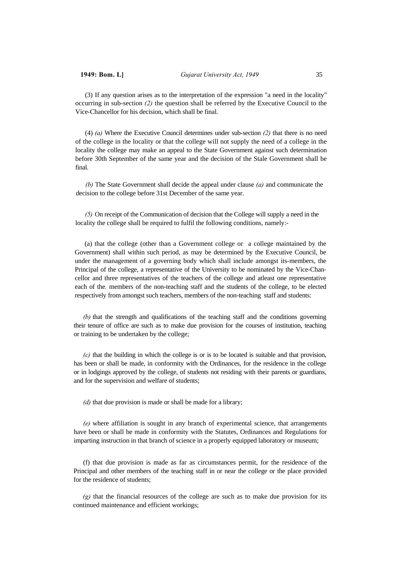(3) If any question arises as to the interpretation of the expression "a need in the locality" occurring in sub-section *(2)* the question shall be referred by the Executive Council to the Vice-Chancellor for his decision, which shall be final.

(4) *(a)* Where the Executive Council determines under sub-section *(2)* that there is no need of the college in the locality or that the college will not supply the need of a college in the locality the college may make an appeal to the State Government against such determination before 30th September of the same year and the decision of the Stale Government shall be final.

*(b)* The State Government shall decide the appeal under clause *(a)* and communicate the decision to the college before 31st December of the same year.

*(5)* On receipt of the Communication of decision that the College will supply a need in the locality the college shall be required to fulfil the following conditions, namely:-

(a) that the college (other than a Government college or a college maintained by the Government) shall within such period, as may be determined by the Executive Council, be under the management of a governing body which shall include amongst its-members, the Principal of the college, a representative of the University to be nominated by the Vice-Chancellor and three representatives of the teachers of the college and atleast one representative each of the*.* members of the non-teaching staff and the students of the college, to be elected respectively from amongst such teachers, members of the non-teaching staff and students:

*(b)* that the strength and qualifications of the teaching staff and the conditions governing their tenure of office are such as to make due provision for the courses of institution, teaching or training to be undertaken by the college;

*(c)* that the building in which the college is or is to be located is suitable and that provision, has been or shall be made, in conformity with the Ordinances, for the residence in the college or in lodgings approved by the college, of students not residing with their parents or guardians, and for the supervision and welfare of students;

*(d)* that due provision is made or shall be made for a library;

*(e)* where affiliation is sought in any branch of experimental science, that arrangements have been or shall be made in conformity with the Statutes, Ordinances and Regulations for imparting instruction in that branch of science in a properly equipped laboratory or museum;

(f) that due provision is made as far as circumstances permit, for the residence of the Principal and other members of the teaching staff in or near the college or the place provided for the residence of students;

*(g)* that the financial resources of the college are such as to make due provision for its continued maintenance and efficient workings;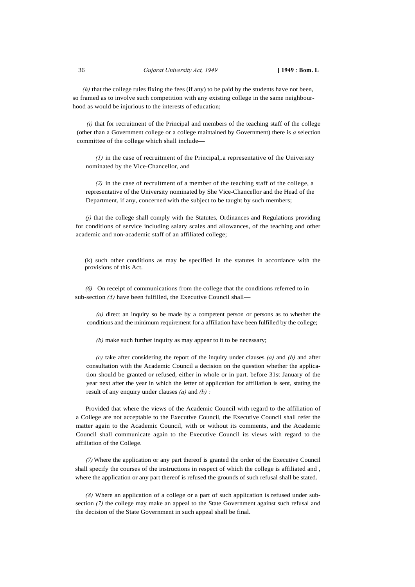*(h)* that the college rules fixing the fees (if any) to be paid by the students have not been, so framed as to involve such competition with any existing college in the same neighbourhood as would be injurious to the interests of education;

*(i)* that for recruitment of the Principal and members of the teaching staff of the college (other than a Government college or a college maintained by Government) there is *a* selection committee of the college which shall include—

*(1)* in the case of recruitment of the Principal,.a representative of the University nominated by the Vice-Chancellor, and

*(2)* in the case of recruitment of a member of the teaching staff of the college, a representative of the University nominated by She Vice-Chancellor and the Head of the Department, if any, concerned with the subject to be taught by such members;

*(j)* that the college shall comply with the Statutes, Ordinances and Regulations providing for conditions of service including salary scales and allowances, of the teaching and other academic and non-academic staff of an affiliated college;

(k) such other conditions as may be specified in the statutes in accordance with the provisions of this Act.

*(6)* On receipt of communications from the college that the conditions referred to in sub-section *(5)* have been fulfilled, the Executive Council shall—

*(a)* direct an inquiry so be made by a competent person or persons as to whether the conditions and the minimum requirement for a affiliation have been fulfilled by the college;

*(b)* make such further inquiry as may appear to it to be necessary;

*(c)* take after considering the report of the inquiry under clauses *(a)* and *(b)* and after consultation with the Academic Council a decision on the question whether the application should be granted or refused, either in whole or in part. before 31st January of the year next after the year in which the letter of application for affiliation is sent, stating the result of any enquiry under clauses *(a)* and *(b) :*

Provided that where the views of the Academic Council with regard to the affiliation of a College are not acceptable to the Executive Council, the Executive Council shall refer the matter again to the Academic Council, with or without its comments, and the Academic Council shall communicate again to the Executive Council its views with regard to the affiliation of the College.

*(7)*Where the application or any part thereof is granted the order of the Executive Council shall specify the courses of the instructions in respect of which the college is affiliated and , where the application or any part thereof is refused the grounds of such refusal shall be stated.

*(8)* Where an application of a college or a part of such application is refused under subsection  $(7)$  the college may make an appeal to the State Government against such refusal and the decision of the State Government in such appeal shall be final.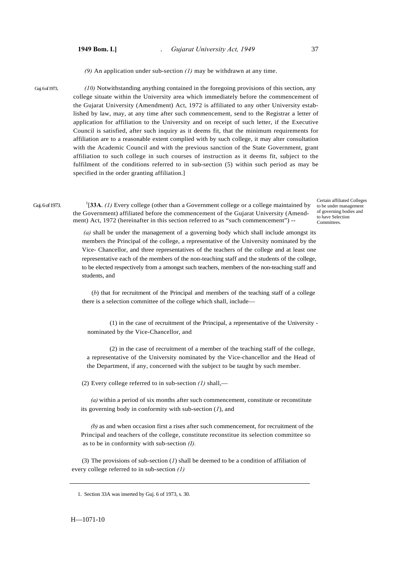*(9)* An application under sub-section *(1)* may be withdrawn at any time.

Guj. 6 of 1973. *(10)* Notwithstanding anything contained in the foregoing provisions of this section, any college situate within the University area which immediately before the commencement of the Gujarat University (Amendment) Act, 1972 is affiliated to any other University established by law, may, at any time after such commencement, send to the Registrar a letter of application for affiliation to the University and on receipt of such letter, if the Executive Council is satisfied, after such inquiry as it deems fit, that the minimum requirements for affiliation are to a reasonable extent complied with by such college, it may alter consultation with the Academic Council and with the previous sanction of the State Government, grant affiliation to such college in such courses of instruction as it deems fit, subject to the fulfilment of the conditions referred to in sub-section (5) within such period as may be specified in the order granting affiliation.]

Guj. 6 of 1973.

[**33A**. *(1)* Every college (other than a Government college or a college maintained by the Government) affiliated before the commencement of the Gujarat University (Amendment) Act, 1972 (hereinafter in this section referred to as "such commencement") --

Certain affiliated Colleges to be under management of governing bodies and to have Selection **Committees** 

 *(a)* shall be under the management of a governing body which shall include amongst its members the Principal of the college, a representative of the University nominated by the Vice- Chancellor, and three representatives of the teachers of the college and at least one representative each of the members of the non-teaching staff and the students of the college, to be elected respectively from a amongst such teachers, members of the non-teaching staff and students, and

(*b*) that for recruitment of the Principal and members of the teaching staff of a college there is a selection committee of the college which shall, include—

(1) in the case of recruitment of the Principal, a representative of the University nominated by the Vice-Chancellor, and

(2) in the case of recruitment of a member of the teaching staff of the college, a representative of the University nominated by the Vice-chancellor and the Head of the Department, if any, concerned with the subject to be taught by such member.

(2) Every college referred to in sub-section *(1)* shall,—

*(a)* within a period of six months after such commencement, constitute or reconstitute its governing body in conformity with sub-section (*1*), and

*(b)* as and when occasion first a rises after such commencement, for recruitment of the Principal and teachers of the college, constitute reconstitue its selection committee so as to be in conformity with sub-section *(I).* 

(3) The provisions of sub-section (*1*) shall be deemed to be a condition of affiliation of every college referred to in sub-section *(1)*

H—1071-10

 <sup>1.</sup> Section 33A was inserted by Guj. 6 of 1973, s. 30.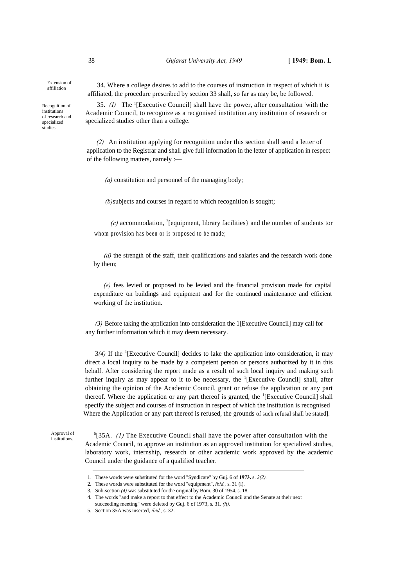Extension of affiliation

Recognition of institutions of research and specialized studies.

34. Where a college desires to add to the courses of instruction in respect of which ii is affiliated, the procedure prescribed by section 33 shall, so far as may be, be followed.

35. *(I)* The <sup>1</sup> [Executive Council] shall have the power, after consultation 'with the Academic Council, to recognize as a recgonised institution any institution of research or specialized studies other than a college.

*(2)* An institution applying for recognition under this section shall send a letter of application to the Registrar and shall give full information in the letter of application in respect of the following matters, namely :—

*(a)* constitution and personnel of the managing body;

*(b)*subjects and courses in regard to which recognition is sought;

*(c)* accommodation, <sup>2</sup> [equipment, library facilities} and the number of students tor whom provision has been or is proposed to be made;

*(d)* the strength of the staff, their qualifications and salaries and the research work done by them;

*(e)* fees levied or proposed to be levied and the financial provision made for capital expenditure on buildings and equipment and for the continued maintenance and efficient working of the institution.

*(3)* Before taking the application into consideration the 1[Executive Council] may call for any further information which it may deem necessary.

 $3(4)$  If the <sup>1</sup>[Executive Council] decides to lake the application into consideration, it may direct a local inquiry to be made by a competent person or persons authorized by it in this behalf. After considering the report made as a result of such local inquiry and making such further inquiry as may appear to it to be necessary, the  ${}^{1}$ [Executive Council] shall, after obtaining the opinion of the Academic Council, grant or refuse the application or any part thereof. Where the application or any part thereof is granted, the <sup>1</sup>[Executive Council] shall specify the subject and courses of instruction in respect of which the institution is recognised Where the Application or any part thereof is refused, the grounds of such refusal shall be stated].

Approval of institutions.

 $5$ [35A. *(1)* The Executive Council shall have the power after consultation with the Academic Council, to approve an institution as an approved institution for specialized studies, laboratory work, internship, research or other academic work approved by the academic Council under the guidance of a qualified teacher.

<sup>1.</sup> These words were substituted for the word "Syndicate" by Guj. 6 of **1973.** s. *2(2).*

<sup>2.</sup> These words were substituted for the word "equipment", *ibid.,* s. 31 (i).

<sup>3.</sup> Sub-section *(4)* was substituted for the original by Bom. 30 of 1954. s. 18.

<sup>4.</sup> The words "and make a report to that effect to the Academic Council and the Senate at their next

succeeding meeting" were deleted by Guj. 6 of 1973, s. 31. *(ii).*

<sup>5.</sup> Section 35A was inserted, *ibid.,* s. 32.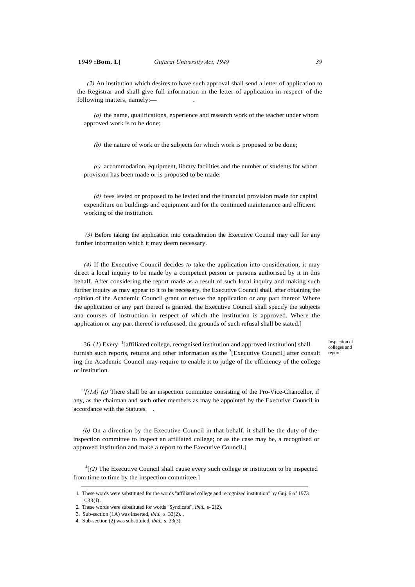*(2)* An institution which desires to have such approval shall send a letter of application to the Registrar and shall give full information in the letter of application in respect' of the following matters, namely:-

*(a)* the name, qualifications, experience and research work of the teacher under whom approved work is to be done;

*(b)* the nature of work or the subjects for which work is proposed to be done;

*(c)* accommodation, equipment, library facilities and the number of students for whom provision has been made or is proposed to be made;

*(d)* fees levied or proposed to be levied and the financial provision made for capital expenditure on buildings and equipment and for the continued maintenance and efficient working of the institution.

*(3)* Before taking the application into consideration the Executive Council may call for any further information which it may deem necessary.

*(4)* If the Executive Council decides *to* take the application into consideration, it may direct a local inquiry to be made by a competent person or persons authorised by it in this behalf. After considering the report made as a result of such local inquiry and making such further inquiry as may appear to it to be necessary, the Executive Council shall, after obtaining the opinion of the Academic Council grant or refuse the application or any part thereof Where the application or any part thereof is granted. the Executive Council shall specify the subjects ana courses of instruction in respect of which the institution is approved. Where the application or any part thereof is refusesed, the grounds of such refusal shall be stated.]

36.  $(I)$  Every  $\frac{1}{I}$  [affiliated college, recognised institution and approved institution] shall furnish such reports, returns and other information as the  $2$ [Executive Council] after consult ing the Academic Council may require to enable it to judge of the efficiency of the college or institution.

Inspection of colleges and report.

<sup>3</sup>[(1A) (a) There shall be an inspection committee consisting of the Pro-Vice-Chancellor, if any, as the chairman and such other members as may be appointed by the Executive Council in accordance with the Statutes. .

*(b)* On a direction by the Executive Council in that behalf, it shall be the duty of theinspection committee to inspect an affiliated college; or as the case may be, a recognised or approved institution and make a report to the Executive Council.]

 ${}^{4}$ [ $(2)$  The Executive Council shall cause every such college or institution to be inspected from time to time by the inspection committee.]

<sup>1.</sup> These words were substituted for the words ''affiliated college and recognized institution" by Guj. 6 of 1973*.* s.33(l).

<sup>2.</sup> These words were substituted for words "Syndicate", *ibid.,* s- 2(2).

<sup>3.</sup> Sub-section (1A) was inserted, *ibid.,* s. 33(2). ,

<sup>4.</sup> Sub-section (2) was substituted, *ibid.,* s. 33(3).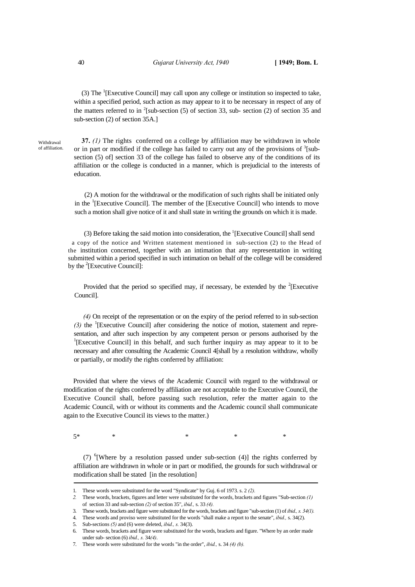(3) The <sup>1</sup>[Executive Council] may call upon any college or institution so inspected to take, within a specified period, such action as may appear to it to be necessary in respect of any of the matters referred to in  $2$ [sub-section (5) of section 33, sub- section (2) of section 35 and sub-section (2) of section 35A.]

Withdrawal of affiliation.

**37.** *(1)* The rights conferred on a college by affiliation may be withdrawn in whole or in part or modified if the college has failed to carry out any of the provisions of  $3$ [subsection (5) of section 33 of the college has failed to observe any of the conditions of its affiliation or the college is conducted in a manner, which is prejudicial to the interests of education.

(2) A motion for the withdrawal or the modification of such rights shall be initiated only in the  ${}^{1}$ [Executive Council]. The member of the [Executive Council] who intends to move such a motion shall give notice of it and shall state in writing the grounds on which it is made.

(3) Before taking the said motion into consideration, the  ${}^{1}$ [Executive Council] shall send a copy of the notice and Written statement mentioned in sub-section (2) to the Head of the institution concerned, together with an intimation that any representation in writing submitted within a period specified in such intimation on behalf of the college will be considered by the  ${}^{2}$ [Executive Council]:

Provided that the period so specified may, if necessary, be extended by the  ${}^{2}$ [Executive Council].

*(4)* On receipt of the representation or on the expiry of the period referred to in sub-section (3) the <sup>1</sup>[Executive Council] after considering the notice of motion, statement and representation, and after such inspection by any competent person or persons authorised by the <sup>1</sup>[Executive Council] in this behalf, and such further inquiry as may appear to it to be necessary and after consulting the Academic Council 4[shall by a resolution withdraw, wholly or partially, or modify the rights conferred by affiliation:

Provided that where the views of the Academic Council with regard to the withdrawal or modification of the rights conferred by affiliation are not acceptable to the Executive Council, the Executive Council shall, before passing such resolution, refer the matter again to the Academic Council, with or without its comments and the Academic council shall communicate again to the Executive Council its views to the matter.)

 $5^*$  \* \* \* \* \* \*

(7) <sup>6</sup> [Where by a resolution passed under sub-section (4)] the rights conferred by affiliation are withdrawn in whole or in part or modified, the grounds for such withdrawal or modification shall be stated [in the resolution]

<sup>1.</sup> These words were substituted for the word "Syndicate" by Guj. 6 of 1973. s. 2 *(2).*

*<sup>2.</sup>* These words, brackets, figures and letter were substituted for the words, brackets and figures "Sub-section *(1)*  of section 33 and sub-section *(2)* of section 35", *ibid.,* s. 33 *(4).* 

<sup>3.</sup> These words, brackets and figure were substituted for the words, brackets and figure "sub-section (1) of *ibid., s. 34(1).*

<sup>4.</sup> These words and proviso were substituted for the words "shall make a report to the senate", *ibid.,* s. 34(2).

Sub-sections (5) and (6) were deleted, *ibid.*, s. 34(3).

<sup>6.</sup> These words, brackets and figure were substituted for the words, brackets and figure. "Where by an order made under sub- section (6) *ibid., s.* 34*(4)*.

<sup>7.</sup> These words were substituted for the words "in the order", *ibid.,* s. 34 *(4) (b).*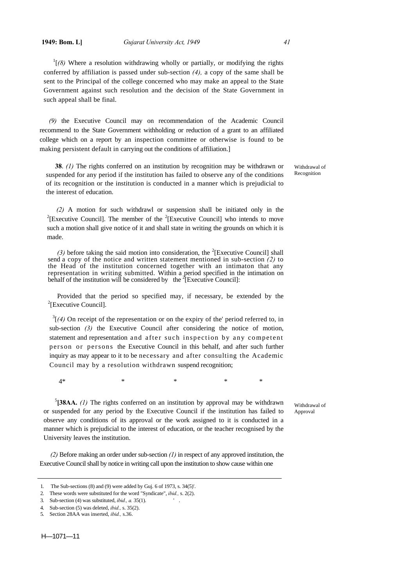$\frac{1}{1}$ (8) Where a resolution withdrawing wholly or partially, or modifying the rights conferred by affiliation is passed under sub-section *(4),* a copy of the same shall be sent to the Principal of the college concerned who may make an appeal to the State Government against such resolution and the decision of the State Government in such appeal shall be final.

*(9)* the Executive Council may on recommendation of the Academic Council recommend to the State Government withholding or reduction of a grant to an affiliated college which on a report by an inspection committee or otherwise is found to be making persistent default in carrying out the conditions of affiliation.]

**38**. *(1)* The rights conferred on an institution by recognition may be withdrawn or suspended for any period if the institution has failed to observe any of the conditions of its recognition or the institution is conducted in a manner which is prejudicial to the interest of education.

(2) A motion for such withdrawl or suspension shall be initiated only in the [Executive Council]. The member of the <sup>2</sup> [Executive Council] who intends to move such a motion shall give notice of it and shall state in writing the grounds on which it is made.

(3) before taking the said motion into consideration, the <sup>2</sup>[Executive Council] shall send a copy of the notice and written statement mentioned in sub-section *(2)* to the Head of the institution concerned together with an intimaton that any representation in writing submitted. Within a period specified in the intimation on behalf of the institution will be considered by the <sup>2</sup>[Executive Council]:

Provided that the period so specified may, if necessary, be extended by the  $2$ [Executive Council].

 $3[(4)$  On receipt of the representation or on the expiry of the' period referred to, in sub-section *(3)* the Executive Council after considering the notice of motion, statement and representation and after such inspection by any competent person or persons the Executive Council in this behalf, and after such further inquiry as may appear to it to be necessary and after consulting the Academic Council may by a resolution withdrawn suspend recognition;

 $4*$  \* \* \* \* \*

5 **[38AA.** *(1)* The rights conferred on an institution by approval may be withdrawn or suspended for any period by the Executive Council if the institution has failed to observe any conditions of its approval or the work assigned to it is conducted in a manner which is prejudicial to the interest of education, or the teacher recognised by the University leaves the institution.

 *(2)* Before making an order under sub-section *(1)* in respect of any approved institution, the Executive Council shall by notice in writing call upon the institution to show cause within one

Withdrawal of Recognition

Withdrawal of

Approval

<sup>1.</sup> The Sub-sections (8) and (9) were added by Guj. 6 of 1973, s. 34(5)'.

<sup>2.</sup> These words were substituted for the word "Syndicate", *ibid.,* s. 2(2).

<sup>3.</sup> Sub-section (4) was substituted, *ibid., a.* 35(1). ' .

<sup>4.</sup> Sub-section (5) was deleted, *ibid.,* s. 35(2).

<sup>5.</sup> Section 28AA was inserted, *ibid.,* s.36.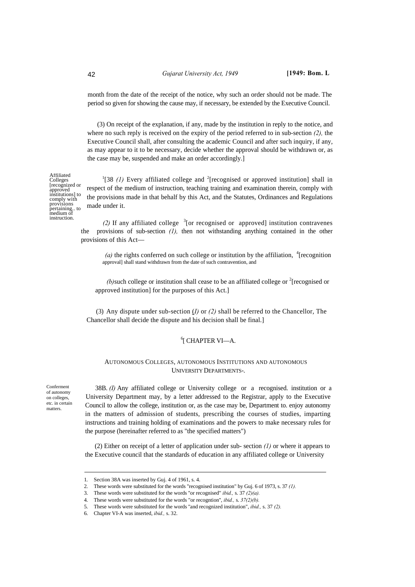month from the date of the receipt of the notice, why such an order should not be made. The period so given for showing the cause may, if necessary, be extended by the Executive Council.

(3) On receipt of the explanation, if any, made by the institution in reply to the notice, and where no such reply is received on the expiry of the period referred to in sub-section *(2),* the Executive Council shall, after consulting the academic Council and after such inquiry, if any, as may appear to it to be necessary, decide whether the approval should be withdrawn or, as the case may be, suspended and make an order accordingly.]

<sup>1</sup>[38 (1) Every affiliated college and <sup>2</sup>[recognised or approved institution] shall in respect of the medium of instruction, teaching training and examination therein, comply with the provisions made in that behalf by this Act, and the Statutes, Ordinances and Regulations made under it.

(2) If any affiliated college  $3$  [or recognised or approved] institution contravenes the provisions of sub-section *(1),* then not withstanding anything contained in the other provisions of this Act—

(a) the rights conferred on such college or institution by the affiliation,  $\frac{4}{3}$  [recognition] approval] shall stand withdrawn from the date of such contravention, and

(b) such college or institution shall cease to be an affiliated college or  $\textsuperscript{2}$  [recognised or approved institution] for the purposes of this Act.]

(3) Any dispute under sub-section (*I)* or *(2)* shall be referred to the Chancellor, The Chancellor shall decide the dispute and his decision shall be final.]

# 6 [ CHAPTER VI—A.

## AUTONOMOUS COLLEGES, AUTONOMOUS INSTITUTIONS AND AUTONOMOUS UNIVERSITY DEPARTMENTS-.

Conferment of autonomy on colleges, etc. in certain matters.

38B. *(I)* Any affiliated college or University college or a recognised. institution or a University Department may, by a letter addressed to the Registrar, apply to the Executive Council to allow the college, institution or, as the case may be, Department to. enjoy autonomy in the matters of admission of students, prescribing the courses of studies, imparting instructions and training holding of examinations and the powers to make necessary rules for the purpose (hereinafter referred to as "the specified matters")

(2) Either on receipt of a letter of application under sub- section *(1)* or where it appears to the Executive council that the standards of education in any affiliated college or University

Affiliated Colleges [recognized or approved institutions] to comply with provisions pertaining.. to medium of instruction.

<sup>1.</sup> Section 38A was inserted by Guj. 4 of 1961, s. 4.

<sup>2.</sup> These words were substituted for the words "recognised institution" by Guj. 6 of 1973, s. 37 *(1).*

<sup>3.</sup> These words were substituted for the words ''or recognised" *ibid.,* s. 37 *(2)(a).*

<sup>4.</sup> These words were substituted for the words "or recogntion'', *ibid.,* s. *37(2)(b).*

<sup>5.</sup> These words were substituted for the words ''and recognized institution", *ibid.,* s. 37 *(2).*

<sup>6.</sup> Chapter VI-A was inserted, *ibid.,* s. 32.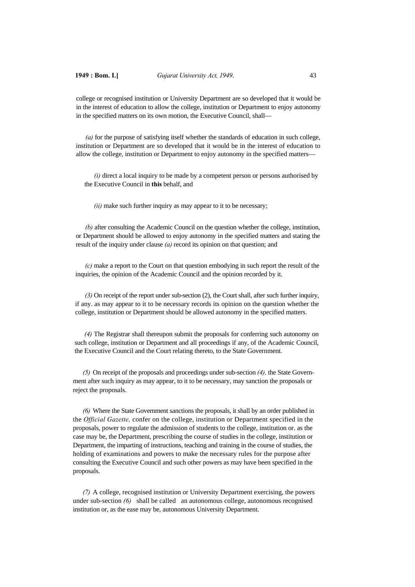college or recognised institution or University Department are so developed that it would be in the interest of education to allow the college, institution or Department to enjoy autonomy in the specified matters on its own motion, the Executive Council, shall—

*(a)* for the purpose of satisfying itself whether the standards of education in such college, institution or Department are so developed that it would be in the interest of education to allow the college, institution or Department to enjoy autonomy in the specified matters—

*(i)* direct a local inquiry to be made by a competent person or persons authorised by the Executive Council in **this** behalf, and

*(ii)* make such further inquiry as may appear to it to be necessary;

*(b)* after consulting the Academic Council on the question whether the college, institution, or Department should be allowed to enjoy autonomy in the specified matters and stating the result of the inquiry under clause *(a)* record its opinion on that question; and

*(c)* make a report to the Court on that question embodying in such report the result of the inquiries, the opinion of the Academic Council and the opinion recorded by it.

*(3)* On receipt of the report under sub-section (2), the Court shall, after such further inquiry, if any. as may appear to it to be necessary records its opinion on the question whether the college, institution or Department should be allowed autonomy in the specified matters.

*(4)* The Registrar shall thereupon submit the proposals for conferring such autonomy on such college, institution or Department and all proceedings if any, of the Academic Council, the Executive Council and the Court relating thereto, to the State Government.

*(5)* On receipt of the proposals and proceedings under sub-section *(4),* the State Government after such inquiry as may appear, to it to be necessary, may sanction the proposals or reject the proposals.

*(6)* Where the State Government sanctions the proposals, it shall by an order published in the *Official Gazette,* confer on the college, institution or Department specified in the proposals, power to regulate the admission of students to the college, institution or. as the case may be, the Department, prescribing the course of studies in the college, institution or Department, the imparting of instructions, teaching and training in the course of studies, the holding of examinations and powers to make the necessary rules for the purpose after consulting the Executive Council and such other powers as may have been specified in the proposals.

*(7)* A college, recognised institution or University Department exercising, the powers under sub-section *(6)* shall be called an autonomous college, autonomous recognised institution or, as the ease may be, autonomous University Department.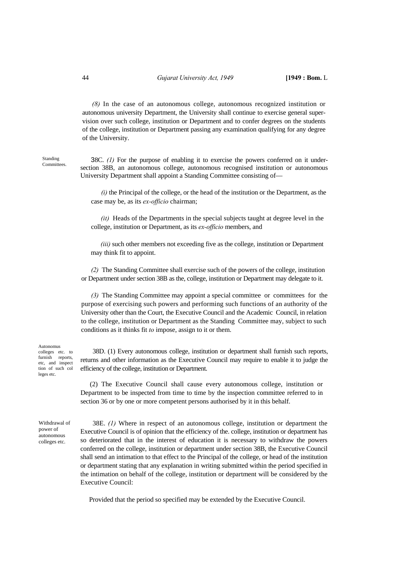*(8)* In the case of an autonomous college, autonomous recognized institution or autonomous university Department, the University shall continue to exercise general supervision over such college, institution or Department and to confer degrees on the students of the college, institution or Department passing any examination qualifying for any degree of the University.

| Standing    |  |
|-------------|--|
| Committees. |  |

38C. *(1)* For the purpose of enabling it to exercise the powers conferred on it undersection 38B, an autonomous college, autonomous recognised institution or autonomous University Department shall appoint a Standing Committee consisting of—

*(i)* the Principal of the college, or the head of the institution or the Department, as the case may be, as its *ex-officio* chairman;

*(it)* Heads of the Departments in the special subjects taught at degree level in the college, institution or Department, as its *ex-officio* members, and

*(iii)* such other members not exceeding five as the college, institution or Department may think fit to appoint.

*(2)* The Standing Committee shall exercise such of the powers of the college, institution or Department under section 38B as the, college, institution or Department may delegate to it.

*(3)* The Standing Committee may appoint a special committee or committees for the purpose of exercising such powers and performing such functions of an authority of the University other than the Court, the Executive Council and the Academic Council, in relation to the college, institution or Department as the Standing Committee may, subject to such conditions as it thinks fit *to* impose, assign to it or them.

Autonomus colleges etc. to furnish reports, etc, and inspect tion of such col leges etc.

38D. (1) Every autonomous college, institution or department shall furnish such reports, returns and other information as the Executive Council may require to enable it to judge the efficiency of the college, institution or Department.

(2) The Executive Council shall cause every autonomous college, institution or Department to be inspected from time to time by the inspection committee referred to in section 36 or by one or more competent persons authorised by it in this behalf.

Withdrawal of power of autonomous colleges etc.

38E. *(1)* Where in respect of an autonomous college, institution or department the Executive Council is of opinion that the efficiency of the. college, institution or department has so deteriorated that in the interest of education it is necessary to withdraw the powers conferred on the college, institution or department under section 38B, the Executive Council shall send an intimation to that effect to the Principal of the college, or head of the institution or department stating that any explanation in writing submitted within the period specified in the intimation on behalf of the college, institution or department will be considered by the Executive Council:

Provided that the period so specified may be extended by the Executive Council.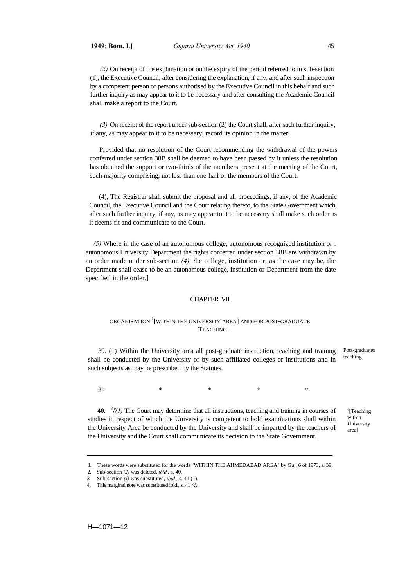*(2)* On receipt of the explanation or on the expiry of the period referred to in sub-section (1), the Executive Council, after considering the explanation, if any, and after such inspection by a competent person or persons authorised by the Executive Council in this behalf and such further inquiry as may appear to it to be necessary and after consulting the Academic Council shall make a report to the Court.

*(3)* On receipt of the report under sub-section (2) the Court shall, after such further inquiry, if any, as may appear to it to be necessary, record its opinion in the matter:

Provided that no resolution of the Court recommending the withdrawal of the powers conferred under section 38B shall be deemed to have been passed by it unless the resolution has obtained the support or two-thirds of the members present at the meeting of the Court, such majority comprising, not less than one-half of the members of the Court.

(4), The Registrar shall submit the proposal and all proceedings, if any, of the Academic Council, the Executive Council and the Court relating thereto, to the State Government which, after such further inquiry, if any, as may appear to it to be necessary shall make such order as it deems fit and communicate to the Court.

 *(5)* Where in the case of an autonomous college, autonomous recognized institution or . autonomous University Department the rights conferred under section 38B are withdrawn by an order made under sub-section *(4), t*he college, institution or, as the case may be, the Department shall cease to be an autonomous college, institution or Department from the date specified in the order.]

## CHAPTER VII

## ORGANISATION  $^{1}[$  WITHIN THE UNIVERSITY AREA] AND FOR POST-GRADUATE TEACHING. .

39. (1) Within the University area all post-graduate instruction, teaching and training shall be conducted by the University or by such affiliated colleges or institutions and in such subjects as may be prescribed by the Statutes. Post-graduates teaching.

 $2^*$  \* \* \* \* \*

**40.**  $\frac{3}{I}(1)$  The Court may determine that all instructions, teaching and training in courses of studies in respect of which the University is competent to hold examinations shall within the University Area be conducted by the University and shall be imparted by the teachers of the University and the Court shall communicate its decision to the State Government.]

4 [Teaching within University area]

H—1071—12

<sup>1.</sup> These words were substituted for the words "WITHIN THE AHMEDABAD AREA" by Guj. 6 of 1973, s. 39.

<sup>2.</sup> Sub-section *(2)* was deleted, *ibid.,* s. 40.

<sup>3.</sup> Sub-section *(I)* was substituted, *ibid.,* s. 41 (1).

<sup>4.</sup> This marginal note was substituted ibid., s. 41 *(4).*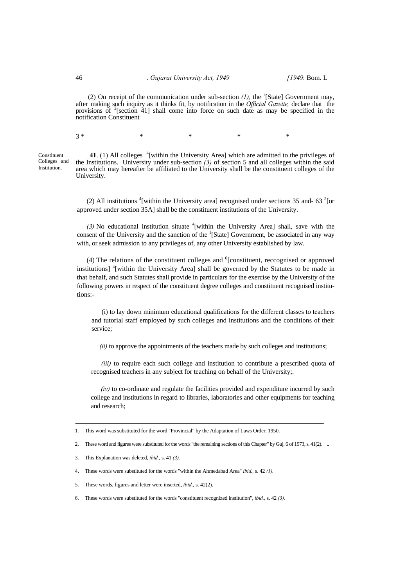(2) On receipt of the communication under sub-section  $(l)$ , the <sup>1</sup>[State] Government may, after making such inquiry as it thinks fit, by notification in the *Official Gazette,* declare that the provisions of <sup>2</sup>[section 41] shall come into force on such date as may be specified in the notification Constituent

 $3 *$  \* \* \* \*

**Constituent** Colleges and Institution.

41. (1) All colleges <sup>4</sup>[within the University Area] which are admitted to the privileges of the Institutions. University under sub-section *(3)* of section 5 and all colleges within the said area which may hereafter be affiliated to the University shall be the constituent colleges of the University.

(2) All institutions  $\frac{4}{1}$  within the University area] recognised under sections 35 and-63  $\frac{5}{1}$  [or approved under section 35A] shall be the constituent institutions of the University.

*(3)* No educational institution situate 4[within the University Area] shall, save with the consent of the University and the sanction of the  ${}^{1}$ [State] Government, be associated in any way with, or seek admission to any privileges of, any other University established by law.

(4) The relations of the constituent colleges and  $6$ [constituent, reccognised or approved institutions] <sup>4</sup>[within the University Area] shall be governed by the Statutes to be made in that behalf, and such Statutes shall provide in particulars for the exercise by the University of the following powers in respect of the constituent degree colleges and constituent recognised institutions:-

(i) to lay down minimum educational qualifications for the different classes to teachers and tutorial staff employed by such colleges and institutions and the conditions of their service;

*(ii)* to approve the appointments of the teachers made by such colleges and institutions;

*(iii)* to require each such college and institution to contribute a prescribed quota of recognised teachers in any subject for teaching on behalf of the University;.

*(iv)* to co-ordinate and regulate the facilities provided and expenditure incurred by such college and institutions in regard to libraries, laboratories and other equipments for teaching and research;

6. These words were substituted for the words "constituent recognized institution", *ibid.,* s. 42 *(3).*

<sup>1.</sup> This word was substituted for the word "Provincial" by the Adaptation of Laws Order. 1950.

<sup>2.</sup> These word and figures were substituted for the words "the remaining sections of this Chapter" by Guj. 6 of 1973, s. 41(2). ..

<sup>3.</sup> This Explanation was deleted, *ibid.,* s. 41 *(3).* 

<sup>4.</sup> These words were substituted for the words "within the Ahmedabad Area" *ibid.,* s. 42 *(1).*

<sup>5.</sup> These words, figures and letter were inserted, *ibid.,* s. 42(2).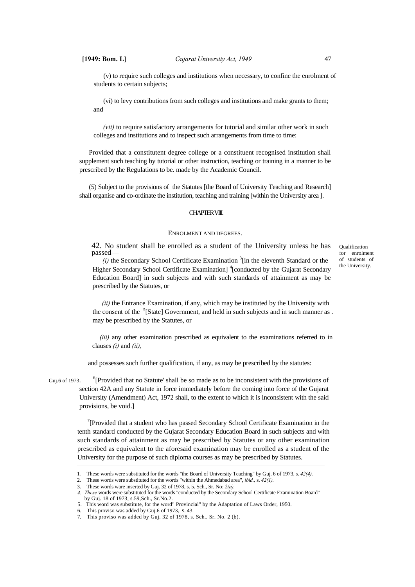(v) to require such colleges and institutions when necessary, to confine the enrolment of students to certain subjects;

(vi) to levy contributions from such colleges and institutions and make grants to them; and

*(vii)* to require satisfactory arrangements for tutorial and similar other work in such colleges and institutions and to inspect such arrangements from time to time:

Provided that a constitutent degree college or a constituent recognised institution shall supplement such teaching by tutorial or other instruction, teaching or training in a manner to be prescribed by the Regulations to be. made by the Academic Council.

(5) Subject to the provisions of the Statutes [the Board of University Teaching and Research] shall organise and co-ordinate the institution, teaching and training [within the University area ].

#### CHAPTER VIII.

#### ENROLMENT AND DEGREES.

42. No student shall be enrolled as a student of the University unless he has passed—

 $(i)$  the Secondary School Certificate Examination<sup>3</sup>[in the eleventh Standard or the Higher Secondary School Certificate Examination]<sup>4</sup>[conducted by the Gujarat Secondary Education Board] in such subjects and with such standards of attainment as may be prescribed by the Statutes, or

Qualification for enrolment of students of the University.

*(ii)* the Entrance Examination, if any, which may be instituted by the University with the consent of the <sup>5</sup>[State] Government, and held in such subjects and in such manner as . may be prescribed by the Statutes, or

*(iii)* any other examination prescribed as equivalent to the examinations referred to in clauses *(i)* and *(ii),*

and possesses such further qualification, if any, as may be prescribed by the statutes:

Guj.6 of 1973.  ${}^{6}$ [Provided that no Statute' shall be so made as to be inconsistent with the provisions of section 42A and any Statute in force immediately before the coming into force of the Gujarat University (Amendment) Act, 1972 shall, to the extent to which it is inconsistent with the said provisions, be void.]

> <sup>7</sup>[Provided that a student who has passed Secondary School Certificate Examination in the tenth standard conducted by the Gujarat Secondary Education Board in such subjects and with such standards of attainment as may be prescribed by Statutes or any other examination prescribed as equivalent to the aforesaid examination may be enrolled as a student of the University for the purpose of such diploma courses as may be prescribed by Statutes.

<sup>1.</sup> These words were substituted for the words "the Board of University Teaching" by Guj. 6 of 1973, s. *42(4).*

<sup>2.</sup> These words were substituted for the words "within the Ahmedabad area", *ibid.,* s. *42(1).*

<sup>3.</sup> These words ware inserted by Guj. 32 of 1978, s. 5. Sch., Sr. No: *2(a).*

*<sup>4.</sup> These* words were substituted for the words "conducted by the Secondary School Certificate Examination Board" by Guj. 18 of 1973, s.59,Sch., Sr.No.2.

<sup>5.</sup> This word was substitute, for the word" Provincial" by the Adaptation of Laws Order, 1950.

This proviso was added by Guj.6 of 1973, S. 43.

<sup>7.</sup> This proviso was added by Guj. 32 of 1978, s. Sch., Sr. No. 2 (b).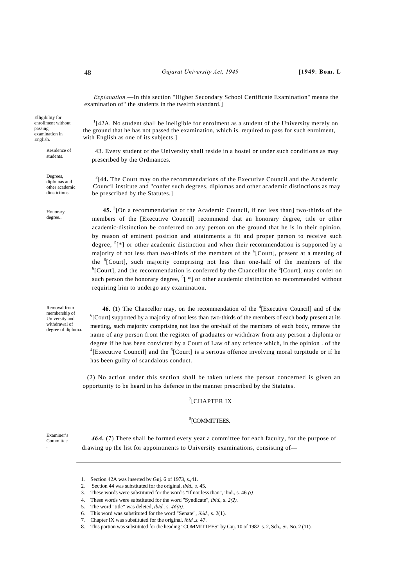*Explanation.*—In this section "Higher Secondary School Certificate Examination" means the examination of" the students in the twelfth standard.]

Elligibility for enrollment without passing examination in English.

> Residence of students.

 <sup>2</sup> diplomas and Degrees, other academic dinstictions.

Honorary degree..

Removal from membership of University and withdrawal of degree of diploma.

<sup>1</sup>[42A. No student shall be ineligible for enrolment as a student of the University merely on the ground that he has not passed the examination, which is. required to pass for such enrolment, with English as one of its subjects.]

43. Every student of the University shall reside in a hostel or under such conditions as may prescribed by the Ordinances.

<sup>2</sup><sup>[44</sup>. The Court may on the recommendations of the Executive Council and the Academic Council institute and "confer such degrees, diplomas and other academic distinctions as may be prescribed by the Statutes.]

**45.** <sup>3</sup> [On a recommendation of the Academic Council, if not less than] two-thirds of the members of the [Executive Council] recommend that an honorary degree, title or other academic-distinction be conferred on any person on the ground that he is in their opinion, by reason of eminent position and attainments a fit and proper person to receive such degree,  $\binom{5}{1}$  or other academic distinction and when their recommendation is supported by a majority of not less than two-thirds of the members of the <sup>6</sup>[Court], present at a meeting of the <sup>6</sup>[Court], such majority comprising not less than one-half of the members of the 6<sup>6</sup>[Court] and the recommendation is conferred by the Chancellar the <sup>6</sup>[Court] may confer an [Court], and the recommendation is conferred by the Chancellor the <sup>6</sup>[Court], may confer on such person the honorary degree,  ${}^{5}$ [  $*$ ] or other academic distinction so recommended without requiring him to undergo any examination.

**46.** (1) The Chancellor may, on the recommendation of the <sup>4</sup>[Executive Council] and of the  $\frac{6}{5}$ [Court] annotated by a majority of not less than two thirds of the mambars of each hody present at its  ${}^6$ [Court] supported by a majority of not less than two-thirds of the members of each body present at its meeting, such majority comprising not less the onr-half of the members of each body, remove the name of any person from the register of graduates or withdraw from any person a diploma or degree if he has been convicted by a Court of Law of any offence which, in the opinion . of the <sup>4</sup>[Executive Council] and the  ${}^{6}$ [Court] is a serious offence involving moral turpitude or if he has been guilty of scandalous conduct.

(2) No action under this section shall be taken unless the person concerned is given an opportunity to be heard in his defence in the manner prescribed by the Statutes.

## 7 [CHAPTER IX

## <sup>8</sup>[COMMITTEES.

Examiner's Committee .

46A. (7) There shall be formed every year a committee for each faculty, for the purpose of drawing up the list for appointments to University examinations, consisting of—

<sup>1.</sup> Section 42A was inserted by Guj. 6 of 1973, s.,41.

<sup>2.</sup> Section 44 was substituted for the original, *ibid., s.* 45.

<sup>3.</sup> These words were substituted for the word's "If not less than", ibid., s. 46 *(i).* 

<sup>4.</sup> These words were substituted for the word "Syndicate", *ibid.,* s. *2(2).*

<sup>5.</sup> The word "title" was deleted, *ibid.,* s. *46(ii).*

<sup>6.</sup> This word was substituted for the word "Senate", *ibid.,* s. 2(1).

<sup>7.</sup> Chapter IX was substituted for the original. *ibid.,s.* 47.

<sup>8.</sup> This portion was substituted for the heading "COMMITTEES" by Guj. 10 of 1982. s. 2, Sch., Sr. No. 2 (11).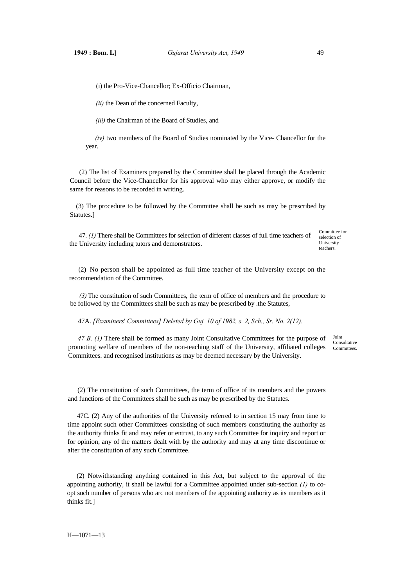(i) the Pro-Vice-Chancellor; Ex-Officio Chairman,

*(ii)* the Dean of the concerned Faculty,

*(iii)* the Chairman of the Board of Studies, and

*(iv)* two members of the Board of Studies nominated by the Vice- Chancellor for the year.

(2) The list of Examiners prepared by the Committee shall be placed through the Academic Council before the Vice-Chancellor for his approval who may either approve, or modify the same for reasons to be recorded in writing.

(3) The procedure to be followed by the Committee shall be such as may be prescribed by Statutes.]

47. *(1)* There shall be Committees for selection of different classes of full time teachers of the University including tutors and demonstrators.

Committee for selection of **University** teachers.

(2) No person shall be appointed as full time teacher of the University except on the recommendation of the Committee.

*(3)* The constitution of such Committees, the term of office of members and the procedure to be followed by the Committees shall be such as may be prescribed by .the Statutes,

47A. *[Examiners*' *Committees] Deleted by Guj. 10 of 1982, s. 2, Sch., Sr. No. 2(12).*

47 B. (1) There shall be formed as many Joint Consultative Committees for the purpose of promoting welfare of members of the non-teaching staff of the University, affiliated colleges Committees. Committees. and recognised institutions as may be deemed necessary by the University.

Joint Consultative

(2) The constitution of such Committees, the term of office of its members and the powers and functions of the Committees shall be such as may be prescribed by the Statutes.

47C. (2) Any of the authorities of the University referred to in section 15 may from time to time appoint such other Committees consisting of such members constituting the authority as the authority thinks fit and may refer or entrust, to any such Committee for inquiry and report or for opinion, any of the matters dealt with by the authority and may at any time discontinue or alter the constitution of any such Committee.

(2) Notwithstanding anything contained in this Act, but subject to the approval of the appointing authority, it shall be lawful for a Committee appointed under sub-section *(1)* to coopt such number of persons who arc not members of the appointing authority as its members as it thinks fit.]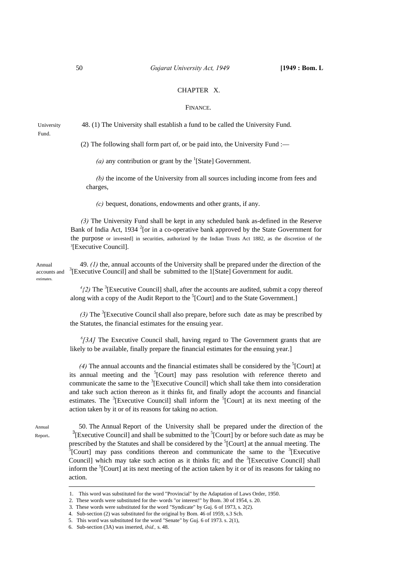## CHAPTER X.

### FINANCE.

University 48. (1) The University shall establish a fund to be called the University Fund. Fund.

(2) The following shall form part of, or be paid into, the University Fund :—

(a) any contribution or grant by the  $<sup>1</sup>$ [State] Government.</sup>

*(b)* the income of the University from all sources including income from fees and charges,

*(c)* bequest, donations, endowments and other grants, if any.

*(3)* The University Fund shall be kept in any scheduled bank as-defined in the Reserve Bank of India Act, 1934  $2$ [or in a co-operative bank approved by the State Government for the purpose or invested] in securities, authorized by the Indian Trusts Act 1882, as the discretion of the 3 [Executive Council].

Annual 49. *(1)* the, annual accounts of the University shall be prepared under the direction of the accounts and  ${}^{3}$ [Executive Council] and shall be submitted to the 1[State] Government for audit. estimates.

> $^{4}$ (2) The <sup>3</sup> [Executive Council] shall, after the accounts are audited, submit a copy thereof along with a copy of the Audit Report to the <sup>5</sup>[Court] and to the State Government.]

> $(3)$  The <sup>3</sup>[Executive Council shall also prepare, before such date as may be prescribed by the Statutes, the financial estimates for the ensuing year.

> *6 [3A]* The Executive Council shall, having regard to The Government grants that are likely to be available, finally prepare the financial estimates for the ensuing year.]

> (4) The annual accounts and the financial estimates shall be considered by the  ${}^{5}$ [Court] at its annual meeting and the  ${}^{5}$ [Court] may pass resolution with reference thereto and communicate the same to the  ${}^{3}$ [Executive Council] which shall take them into consideration and take such action thereon as it thinks fit, and finally adopt the accounts and financial estimates. The  ${}^{3}$ [Executive Council] shall inform the  ${}^{5}$ [Court] at its next meeting of the action taken by it or of its reasons for taking no action.

Report.

Annual 50. The Annual Report of the University shall be prepared under the direction of the [Executive Council] and shall be submitted to the  ${}^5$ [Court] by or before such date as may be prescribed by the Statutes and shall be considered by the <sup>5</sup>[Court] at the annual meeting. The  ${}^{5}$ [Court] may need conditions thereon and communicate the same to the  ${}^{3}$ [Eugentius] [Court] may pass conditions thereon and communicate the same to the  $3$ [Executive Council] which may take such action as it thinks fit; and the <sup>3</sup>[Executive Council] shall inform the <sup>5</sup>[Court] at its next meeting of the action taken by it or of its reasons for taking no action.

<sup>1.</sup> This word was substituted for the word "Provincial" by the Adaptation of Laws Order, 1950.

<sup>2.</sup> These words were substituted for the- words "or interest!" by Bom. 30 of 1954, s. 20.

 <sup>3.</sup> These words were substituted for the word "Syndicate" by Guj. 6 of 1973, s. 2(2).

<sup>4.</sup> Sub-section (2) was substituted for the original by Bom. 46 of 1959, s.3 Sch.

<sup>5.</sup> This word was substituted for the word "Senate" by Guj. 6 of 1973. s. 2(1),

<sup>6.</sup> Sub-section (3A) was inserted, *ibid.,* s. 48.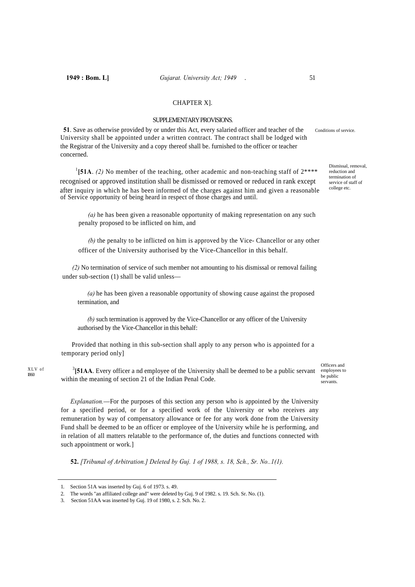# CHAPTER X].

## SUPPLEMENTARY PROVISIONS.

**51**. Save as otherwise provided by or under this Act, every salaried officer and teacher of the conditions of service. University shall be appointed under a written contract. The contract shall be lodged with the Registrar of the University and a copy thereof shall be. furnished to the officer or teacher concerned.

<sup>1</sup>[51A. *(2)* No member of the teaching, other academic and non-teaching staff of  $2***$ recognised or approved institution shall be dismissed or removed or reduced in rank except after inquiry in which he has been informed of the charges against him and given a reasonable of Service opportunity of being heard in respect of those charges and until.

*(a)* he has been given a reasonable opportunity of making representation on any such penalty proposed to be inflicted on him, and

*(b)* the penalty to be inflicted on him is approved by the Vice- Chancellor or any other officer of the University authorised by the Vice-Chancellor in this behalf.

*(2)* No termination of service of such member not amounting to his dismissal or removal failing under sub-section (1) shall be valid unless—

*(a)* he has been given a reasonable opportunity of showing cause against the proposed termination, and

*(b)* such termination is approved by the Vice-Chancellor or any officer of the University authorised by the Vice-Chancellor in this behalf:

Provided that nothing in this sub-section shall apply to any person who is appointed for a temporary period only]

<sup>3</sup>[51AA. Every officer a nd employee of the University shall be deemed to be a public servant within the meaning of section 21 of the Indian Penal Code.

Officers and employees to be public servants.

*Explanation.*—For the purposes of this section any person who is appointed by the University for a specified period, or for a specified work of the University or who receives any remuneration by way of compensatory allowance or fee for any work done from the University Fund shall be deemed to be an officer or employee of the University while he is performing, and in relation of all matters relatable to the performance of, the duties and functions connected with such appointment or work.]

**52.** *[Tribunal of Arbitration.] Deleted by Guj. 1 of 1988, s. 18, Sch., Sr. No..1(1).*

XLV of I860

Dismissal, removal, reduction and termination of service of staff of college etc.

<sup>1.</sup> Section 51A was inserted by Guj. 6 of 1973. s. 49.

<sup>2.</sup> The words "an affiliated college and" were deleted by Guj. 9 of 1982. s. 19. Sch. Sr. No. (1).

<sup>3.</sup> Section 51AA was inserted by Guj. 19 of 1980, s. 2. Sch. No. 2.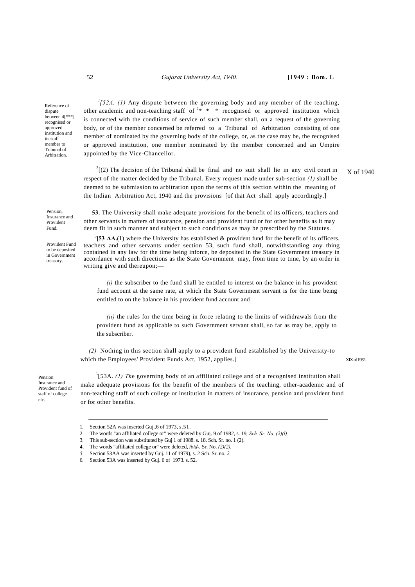## 52 *Gujarat University Act, 1940.* **[1949 : Bom. L**

Reference of dispute between 4[\*\*\*] recognised or approved institution and its staff member to Tribunal of Arbitration.

 *<sup>l</sup> [52A. (1)* Any dispute between the governing body and any member of the teaching, other academic and non-teaching staff of  $2* * *$  recognised or approved institution which is connected with the conditions of service of such member shall, on a request of the governing body, or of the member concerned be referred to a Tribunal of Arbitration consisting of one member of nominated by the governing body of the college, or, as the case may be, the recognised or approved institution, one member nominated by the member concerned and an Umpire appointed by the Vice-Chancellor.

 $3(2)$  The decision of the Tribunal shall be final and no suit shall lie in any civil court in respect of the matter decided by the Tribunal. Every request made under sub-section *(1)* shall be deemed to be submission to arbitration upon the terms of this section within the meaning of the Indian Arbitration Act, 1940 and the provisions [of that Act shall apply accordingly.] X of 1940

Pension, Insurance and Provident Fund.

Provident Fund to be deposited in Government treasury.

**53.** The University shall make adequate provisions for the benefit of its officers, teachers and other servants in matters of insurance, pension and provident fund or for other benefits as it may deem fit in such manner and subject to such conditions as may be prescribed by the Statutes.

 $^5$ [53 AA.(1) where the University has established & provident fund for the benefit of its officers, teachers and other servants under section 53, such fund shall, notwithstanding any thing contained in any law for the time being inforce, be deposited in the State Government treasury in accordance with such directions as the State Government may, from time to time, by an order in writing give and thereupon;-

*(i)* the subscriber to the fund shall be entitled to interest on the balance in his provident fund account at the same rate, at which the State Government servant is for the time being entitled to on the balance in his provident fund account and

*(ii)* the rules for the time being in force relating to the limits of withdrawals from the provident fund as applicable to such Government servant shall, so far as may be, apply to the subscriber.

 *(2)* Nothing in this section shall apply to a provident fund established by the University-to which the Employees' Provident Funds Act, 1952, applies.] XIX of 1952.

Pension Insurance and Provident fund of staff of college etc.

<sup>6</sup>[53A. (1) The governing body of an affiliated college and of a recognised institution shall make adequate provisions for the benefit of the members of the teaching, other-academic and of non-teaching staff of such college or institution in matters of insurance, pension and provident fund or for other benefits.

<sup>1.</sup> Section 52A was inserted Guj..6 of 1973, s.51.

<sup>2.</sup> The words "an affiliated college or" were deleted by Guj. 9 of 1982, s. 19*, Sch. Sr. No. (2)(l).*

<sup>3.</sup> This sub-section was substituted by Guj 1 of 1988. s. 18. Sch. Sr. no. 1 (2).

<sup>4.</sup> The words "affiliated college or" were deleted, *ibid-.* Sr. No. *(2)(2).*

*<sup>5.</sup>* Section 53AA was inserted by Guj. 11 of 1979), s. 2 Sch. Sr. no. *2.* 

<sup>6.</sup> Section 53A was inserted by Guj. 6 of 1973. s. 52.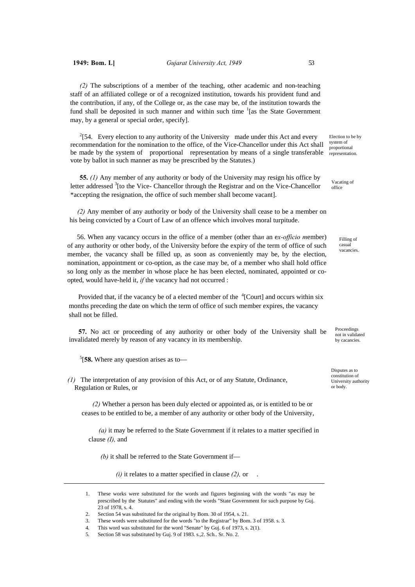*(2)* The subscriptions of a member of the teaching, other academic and non-teaching staff of an affiliated college or of a recognized institution, towards his provident fund and the contribution, if any, of the College or, as the case may be, of the institution towards the fund shall be deposited in such manner and within such time  $\frac{1}{1}$  [as the State Government may, by a general or special order, specify].

 $^{2}[54.$  Every election to any authority of the University made under this Act and every recommendation for the nomination to the office, of the Vice-Chancellor under this Act shall be made by the system of proportional representation by means of a single transferable vote by ballot in such manner as may be prescribed by the Statutes.)

**55.** *(1)* Any member of any authority or body of the University may resign his office by letter addressed  $3$ [to the Vice- Chancellor through the Registrar and on the Vice-Chancellor \*accepting the resignation, the office of such member shall become vacant].

*(2)* Any member of any authority or body of the University shall cease to be a member on his being convicted by a Court of Law of an offence which involves moral turpitude.

56. When any vacancy occurs in the office of a member (other tha*n* an e*x-officio m*ember) of any authority or other body, of the University before the expiry of the term of office of such member, the vacancy shall be filled up, as soon as conveniently may be, by the election, nomination, appointment or co-option, as the case may be, of a member who shall hold office so long only as the member in whose place he has been elected, nominated, appointed or coopted, would have-held it, *if* the vacancy had not occurred :

Provided that, if the vacancy be of a elected member of the  ${}^{4}$ [Court] and occurs within six months preceding the date on which the term of office of such member expires, the vacancy shall not be filled.

**57.** No act or proceeding of any authority or other body of the University shall be invalidated merely by reason of any vacancy in its membership.

5 [**58.** Where any question arises as to—

*(1)* The interpretation of any provision of this Act, or of any Statute, Ordinance, Regulation or Rules, or

*(2)* Whether a person has been duly elected or appointed as, or is entitled to be or ceases to be entitled to be, a member of any authority or other body of the University,

*(a)* it may be referred to the State Government if it relates to a matter specified in clause *(I),* and

*(b)* it shall be referred to the State Government if—

*(i)* it relates to a matter specified in clause *(2),* or .

Election to be by system of proportional representation.

Vacating of office

> Filling of casual vacancies.

**Proceedings** not in validated by cacancies

Disputes as to constitution of University authority or body.

<sup>1.</sup> These works were substituted for the words and figures beginning with the words "as may be prescribed by the Statutes" and ending with the words "State Government for such purpose by Guj. 23 of 1978, s. 4.

<sup>2.</sup> Section 54 was substituted for the original by Bom. 30 of 1954, s. 21.

<sup>3.</sup> These words were substituted for the words "to the Registrar" by Bom. 3 of 1958. s. 3.

<sup>4.</sup> This word was substituted for the word "Senate" by Guj. 6 of 1973, s. 2(1).

<sup>5.</sup> Section 58 was substituted by Guj. 9 of 1983. s.,2. Sch.. Sr. No. 2.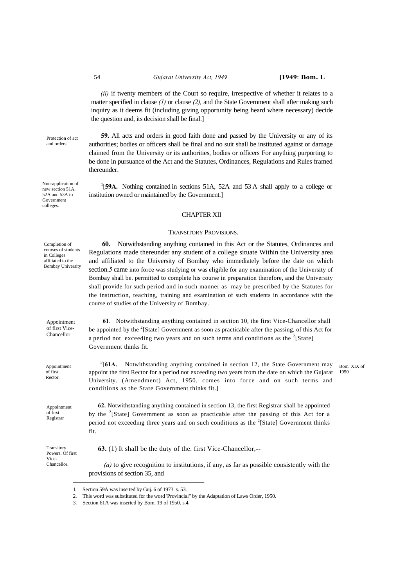#### 54 *Gujarat University Act, 1949* **[1949**: **Bom. L**

*(ii)* if twenty members of the Court so require, irrespective of whether it relates to a matter specified in clause *(1)* or clause *(2),* and the State Government shall after making such inquiry as it deems fit (including giving opportunity being heard where necessary) decide the question and, its decision shall be final.]

**59.** All acts and orders in good faith done and passed by the University or any of its

Protection of act and orders.

Non-application of new section 51A. 52A and 53A to Government colleges.

authorities; bodies or officers shall be final and no suit shall be instituted against or damage claimed from the University or its authorities, bodies or officers For anything purporting to be done in pursuance of the Act and the Statutes, Ordinances, Regulations and Rules framed thereunder.

<sup>1</sup>[59A. Nothing contained in sections 51A, 52A and 53A shall apply to a college or institution owned or maintained by the Government.]

### CHAPTER XII

#### TRANSITORY PROVISIONS.

**60.** Notwithstanding anything contained in this Act or the Statutes, Ordinances and Regulations made thereunder any student of a college situate Within the University area and affiliated to the University of Bombay who immediately before the date on which section.*5* came into force was studying or was eligible for any examination of the University of Bombay shall be. permitted to complete his course in preparation therefore, and the University shall provide for such period and in such manner as may be prescribed by the Statutes for the instruction, teaching, training and examination of such students in accordance with the course of studies of the University of Bombay.

 **61**. Notwithstanding anything contained in section 10, the first Vice-Chancellor shall be appointed by the  $2$ [State] Government as soon as practicable after the passing, of this Act for a period not exceeding two years and on such terms and conditions as the  $2$ [State] Government thinks fit.

 $3$ [61A. Notwithstanding anything contained in section 12, the State Government may appoint the first Rector for a period not exceeding two years from the date on which the Gujarat University. (Amendment) Act, 1950, comes into force and on such terms and conditions as the State Government thinks fit.]

Bom. XIX of 1950

**62.** Notwithstanding anything contained in section 13, the first Registrar shall be appointed by the  $2$ [State] Government as soon as practicable after the passing of this Act for a period not exceeding three years and on such conditions as the  $2$ [State] Government thinks fit.

**Transitory** Powers. Of first Vice-Chancellor.

**63.** (1) It shall be the duty of the. first Vice-Chancellor,--

 *(a)* to give recognition to institutions, if any, as far as possible consistently with the provisions of section 35, and

Completion of courses of students in Colleges affiliated to the Bombay University

Appointment of first Vice-Chancellor

Appointment of first Rector.

Appointment of first Registrar

<sup>1.</sup> Section 59A was inserted by Guj. 6 of 1973. s. 53.

<sup>2.</sup> This word was substituted for the word 'Provincial" by the Adaptation of Laws Order, 1950.

<sup>3.</sup> Section 61A was inserted by Bom. 19 of 1950. s.4.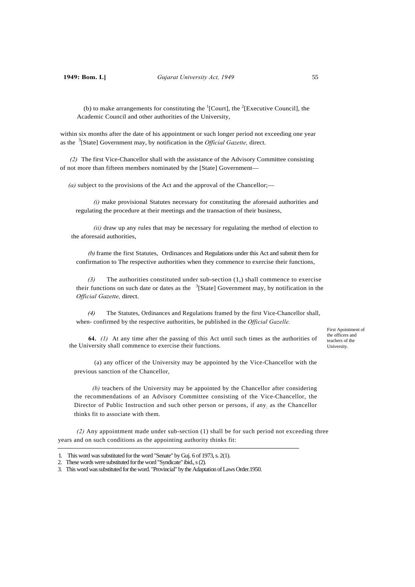(b) to make arrangements for constituting the  ${}^{1}$ [Court], the  ${}^{2}$ [Executive Council], the Academic Council and other authorities of the University,

within six months after the date of his appointment or such longer period not exceeding one year as the <sup>3</sup> [State] Government may, by notification in the *Official Gazette,* direct.

*(2)* The first Vice-Chancellor shall with the assistance of the Advisory Committee consisting of not more than fifteen members nominated by the [State] Government—

*(a)* subject to the provisions of the Act and the approval of the Chancellor;—

*(i)* make provisional Statutes necessary for constituting the aforesaid authorities and regulating the procedure at their meetings and the transaction of their business,

*(ii)* draw up any rules that may be necessary for regulating the method of election to the aforesaid authorities,

*(b)* frame the first Statutes, Ordinances and Regulations under this Act and submit them for confirmation to The respective authorities when they commence to exercise their functions,

*(3)* The authorities constituted under sub-section (1,) shall commence to exercise their functions on such date or dates as the  $3$ [State] Government may, by notification in the *Official Gazette,* direct.

*(4)* The Statutes, Ordinances and Regulations framed by the first Vice-Chancellor shall, when- confirmed by the respective authorities, be published in the *Official Gazelle.*

**64.** *(1)* At any time after the passing of this Act until such times as the authorities of the University shall commence to exercise their functions.

 (a) any officer of the University may be appointed by the Vice-Chancellor with the previous sanction of the Chancellor,

*(b)* teachers of the University may be appointed by the Chancellor after considering the recommendations of an Advisory Committee consisting of the Vice-Chancellor, the Director of Public Instruction and such other person or persons, if any; as the Chancellor thinks fit to associate with them.

*(2)* Any appointment made under sub-section (1) shall be for such period not exceeding three years and on such conditions as the appointing authority thinks fit:

First Apointment of the officers and teachers of the University.

<sup>1.</sup> This word was substituted for the word "Senate" by Guj. 6 of 1973, s. 2(1).

<sup>2.</sup> These words were substituted for the word "Syndicate" ibid., s (2).

<sup>3.</sup> This word was substituted for the word. "Provincial" by the Adaptation of Laws Order.1950.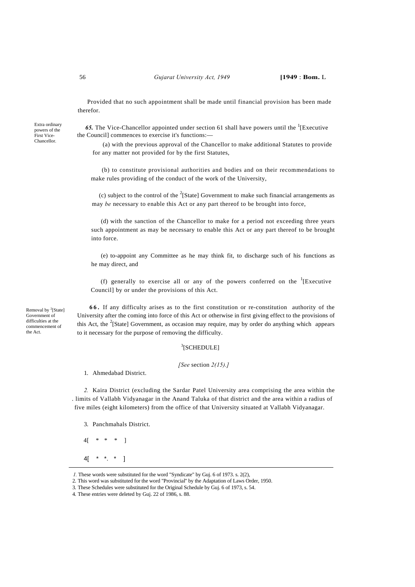#### 56 *Gujarat University Act, 1949* **[1949** : **Bom.** L

Provided that no such appointment shall be made until financial provision has been made therefor.

Extra ordinary powers of the First Vice-Chancellor.

65. The Vice-Chancellor appointed under section 61 shall have powers until the <sup>1</sup>[Executive the Council] commences to exercise it's functions:—

 (a) with the previous approval of the Chancellor to make additional Statutes to provide for any matter not provided for by the first Statutes,

(b) to constitute provisional authorities and bodies and on their recommendations to make rules providing of the conduct of the work of the University,

 (c) subject to the control of the <sup>2</sup> [State] Government to make such financial arrangements as may *be* necessary to enable this Act or any part thereof to be brought into force,

(d) with the sanction of the Chancellor to make for a period not exceeding three years such appointment as may be necessary to enable this Act or any part thereof to be brought into force.

(e) to-appoint any Committee as he may think fit, to discharge such of his functions as he may direct, and

(f) generally to exercise all or any of the powers conferred on the  ${}^{1}$ [Executive Council] by or under the provisions of this Act.

Removal by <sup>2</sup>[State] Government of difficulties at the commencement of the Act.

**66.** If any difficulty arises as to the first constitution or re-constitution authority of the University after the coming into force of this Act or otherwise in first giving effect to the provisions of this Act, the  $2$ [State] Government, as occasion may require, may by order do anything which appears to it necessary for the purpose of removing the difficulty.

## 3 [SCHEDULE]

### *[See* section *2(15).]*

1. Ahmedabad District.

*2.* Kaira District (excluding the Sardar Patel University area comprising the area within the . limits of Vallabh Vidyanagar in the Anand Taluka of that district and the area within a radius of five miles (eight kilometers) from the office of that University situated at Vallabh Vidyanagar.

3. Panchmahals District.

4[ \* \* \* ]

4[  $*$   $*$   $*$  ]

*<sup>1.</sup>* These words were substituted for the word "Syndicate" by Guj. 6 of 1973. s. 2(2),

<sup>2.</sup> This word was substituted for the word "Provincial'' by the Adaptation of Laws Order, 1950.

<sup>3.</sup> These Schedules were substituted for the Original Schedule by Guj. 6 of 1973, s. 54.

<sup>4.</sup> These entries were deleted by Guj. 22 of 1986, s. 88.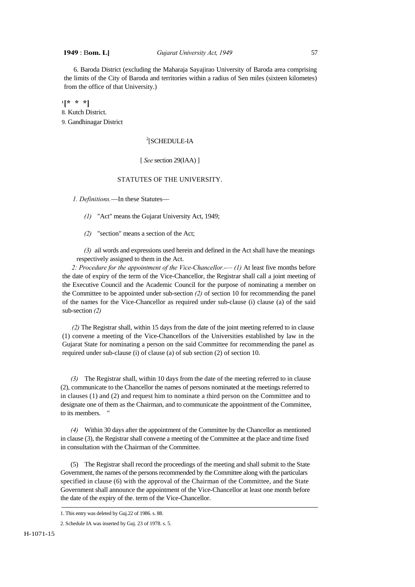6. Baroda District (excluding the Maharaja Sayajirao University of Baroda area comprising the limits of the City of Baroda and territories within a radius of Sen miles (sixteen kilometes) from the office of that University.)

**1 [\* \* \*]** 8. Kutch District. 9. Gandhinagar District

# 2 [SCHEDULE-IA

## [ *See* section 29(IAA) ]

# STATUTES OF THE UNIVERSITY.

*1. Definitions.*—In these Statutes—

*(1)* "Act" means the Gujarat University Act, 1949;

*(2)* "section" means a section of the Act;

*(3)* ail words and expressions used herein and defined in the Act shall have the meanings respectively assigned to them in the Act.

*2: Procedure for the appointment of the Vice-Chancellor.-— (1)* At least five months before the date of expiry of the term of the Vice-Chancellor, the Registrar shall call a joint meeting of the Executive Council and the Academic Council for the purpose of nominating a member on the Committee to be appointed under sub-section *(2)* of section 10 for recommending the panel of the names for the Vice-Chancellor as required under sub-clause (i) clause (a) of the said sub-section *(2)*

*(2)* The Registrar shall, within 15 days from the date of the joint meeting referred to in clause (1) convene a meeting of the Vice-Chancellors of the Universities established by law in the Gujarat State for nominating a person on the said Committee for recommending the panel as required under sub-clause (i) of clause (a) of sub section (2) of section 10.

*(3)* The Registrar shall, within 10 days from the date of the meeting referred to in clause (2), communicate to the Chancellor the names of persons nominated at the meetings referred to in clauses (1) and (2) and request him to nominate a third person on the Committee and to designate one of them as the Chairman, and to communicate the appointment of the Committee, to its members. "

*(4)* Within 30 days after the appointment of the Committee by the Chancellor as mentioned in clause (3), the Registrar shall convene a meeting of the Committee at the place and time fixed in consultation with the Chairman of the Committee.

(5) The Registrar shall record the proceedings of the meeting and shall submit to the State Government, the names of the persons recommended by the Committee along with the particulars specified in clause (6) with the approval of the Chairman of the Committee, and the State Government shall announce the appointment of the Vice-Chancellor at least one month before the date of the expiry of the. term of the Vice-Chancellor.

<sup>1.</sup> This entry was deleted by Guj.22 of 1986. s. 88.

<sup>2.</sup> Schedule IA was inserted by Guj. 23 of 1978. s. 5.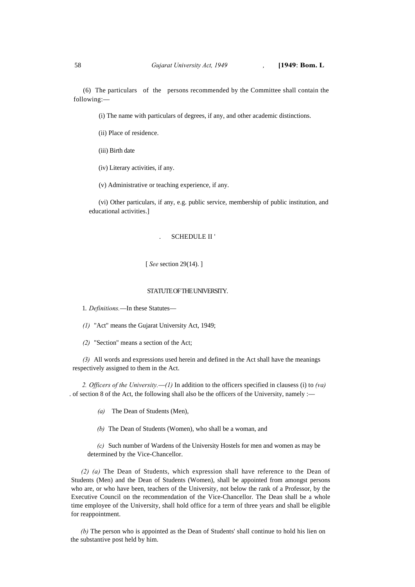(6) The particulars of the persons recommended by the Committee shall contain the following:—

(i) The name with particulars of degrees, if any, and other academic distinctions.

(ii) Place of residence.

(iii) Birth date

(iv) Literary activities, if any.

(v) Administrative or teaching experience, if any.

(vi) Other particulars, if any, e.g. public service, membership of public institution, and educational activities.]

## . SCHEDULE II '

## [ *See* section 29(14). ]

### STATUTE OF THE UNIVERSITY.

1. *Definitions.*—In these Statutes—

*(1)* "Act" means the Gujarat University Act, 1949;

*(2)* "Section" means a section of the Act;

*(3)* All words and expressions used herein and defined in the Act shall have the meanings respectively assigned to them in the Act.

*2. Officers of the University.*—*(1)* In addition to the officers specified in clausess (i) to *(va)*  . of section 8 of the Act, the following shall also be the officers of the University, namely :—

*(a)* The Dean of Students (Men),

*(b)* The Dean of Students (Women), who shall be a woman, and

*(c)* Such number of Wardens of the University Hostels for men and women as may be determined by the Vice-Chancellor.

*(2) (a)* The Dean of Students, which expression shall have reference to the Dean of Students (Men) and the Dean of Students (Women), shall be appointed from amongst persons who are, or who have been, teachers of the University, not below the rank of a Professor, by the Executive Council on the recommendation of the Vice-Chancellor. The Dean shall be a whole time employee of the University, shall hold office for a term of three years and shall be eligible for reappointment.

*(b)* The person who is appointed as the Dean of Students' shall continue to hold his lien on the substantive post held by him.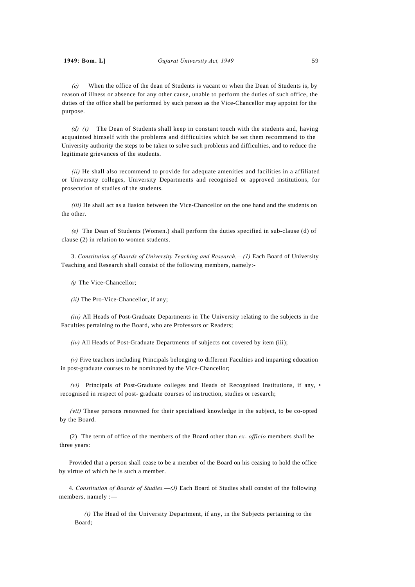*(c)* When the office of the dean of Students is vacant or when the Dean of Students is, by reason of illness or absence for any other cause, unable to perform the duties of such office, the duties of the office shall be performed by such person as the Vice-Chancellor may appoint for the purpose.

*(d) (i)* The Dean of Students shall keep in constant touch with the students and, having acquainted himself with the problems and difficulties which be set them recommend to the University authority the steps to be taken to solve such problems and difficulties, and to reduce the legitimate grievances of the students.

*(ii)* He shall also recommend to provide for adequate amenities and facilities in a affiliated or University colleges, University Departments and recognised or approved institutions, for prosecution of studies of the students.

*(iii)* He shall act as a liasion between the Vice-Chancellor on the one hand and the students on the other.

*(e)* The Dean of Students (Women.) shall perform the duties specified in sub-clause (d) of clause (2) in relation to women students.

3. *Constitution of Boards of University Teaching and Research.*—*(1)* Each Board of University Teaching and Research shall consist of the following members, namely:-

*(i)* The Vice-Chancellor;

*(ii)* The Pro-Vice-Chancellor, if any;

*(iii)* All Heads of Post-Graduate Departments in The University relating to the subjects in the Faculties pertaining to the Board, who are Professors or Readers;

*(iv)* All Heads of Post-Graduate Departments of subjects not covered by item (iii);

*(v)* Five teachers including Principals belonging to different Faculties and imparting education in post-graduate courses to be nominated by the Vice-Chancellor;

*(vi)* Principals of Post-Graduate colleges and Heads of Recognised Institutions, if any, • recognised in respect of post- graduate courses of instruction, studies or research;

*(vii)* These persons renowned for their specialised knowledge in the subject, to be co-opted by the Board.

(2) The term of office of the members of the Board other than *ex- officio* members shall be three years:

Provided that a person shall cease to be a member of the Board on his ceasing to hold the office by virtue of which he is such a member.

4. *Constitution of Boards of Studies.*—*(J)* Each Board of Studies shall consist of the following members, namely :—

*(i)* The Head of the University Department, if any, in the Subjects pertaining to the Board;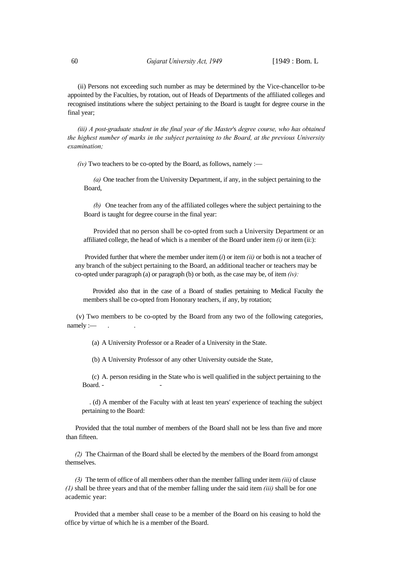(ii) Persons not exceeding such number as may be determined by the Vice-chancellor to-be appointed by the Faculties, by rotation, out of Heads of Departments of the affiliated colleges and recognised institutions where the subject pertaining to the Board is taught for degree course in the final year;

*(iii) A post-graduate student in the final year of the Master*'s *degree course, who has obtained the highest number of marks in the subject pertaining to the Board, at the previous University examination;*

 $(iv)$  Two teachers to be co-opted by the Board, as follows, namely :-

*(a)* One teacher from the University Department, if any, in the subject pertaining to the Board,

*(b)* One teacher from any of the affiliated colleges where the subject pertaining to the Board is taught for degree course in the final year:

Provided that no person shall be co-opted from such a University Department or an affiliated college, the head of which is a member of the Board under item *(i)* or item (ii:):

Provided further that where the member under item (*i*) or item *(ii)* or both is not a teacher of any branch of the subject pertaining to the Board, an additional teacher or teachers may be co-opted under paragraph (a) or paragraph (b) or both, as the case may be, of item *(iv):*

Provided also that in the case of a Board of studies pertaining to Medical Faculty the members shall be co-opted from Honorary teachers, if any, by rotation;

(v) Two members to be co-opted by the Board from any two of the following categories,  $namely:$ 

(a) A University Professor or a Reader of a University in the State.

(b) A University Professor of any other University outside the State,

(c) A. person residing in the State who is well qualified in the subject pertaining to the Board. -

. (d) A member of the Faculty with at least ten years' experience of teaching the subject pertaining to the Board:

Provided that the total number of members of the Board shall not be less than five and more than fifteen.

*(2)* The Chairman of the Board shall be elected by the members of the Board from amongst themselves.

*(3)* The term of office of all members other than the member falling under item *(iii)* of clause *(1)* shall be three years and that of the member falling under the said item *(iii)* shall be for one academic year:

Provided that a member shall cease to be a member of the Board on his ceasing to hold the office by virtue of which he is a member of the Board.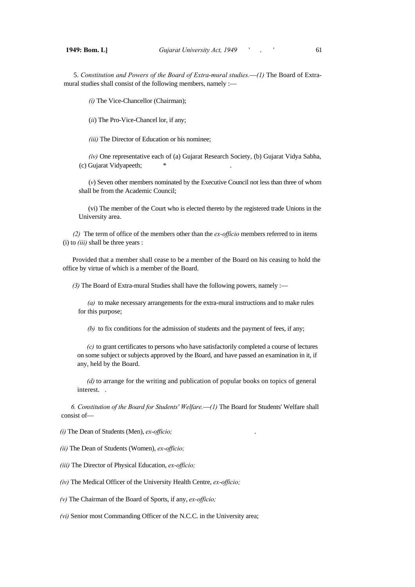5. *Constitution and Powers of the Board of Extra-mural studies.*—*(1)* The Board of Extramural studies shall consist of the following members, namely :-

*(i)* The Vice-Chancellor (Chairman);

(*ii*) The Pro-Vice-Chancel lor, if any;

*(iii)* The Director of Education or his nominee;

*(iv)* One representative each of (a) Gujarat Research Society, (b) Gujarat Vidya Sabha, (c) Gujarat Vidyapeeth;

(*v*) Seven other members nominated by the Executive Council not less than three of whom shall be from the Academic Council;

(vi) The member of the Court who is elected thereto by the registered trade Unions in the University area.

*(2)* The term of office of the members other than the *ex-officio* members referred to in items (i) to *(iii)* shall be three years :

Provided that a member shall cease to be a member of the Board on his ceasing to hold the office by virtue of which is a member of the Board.

*(3)* The Board of Extra-mural Studies shall have the following powers, namely :—

*(a)* to make necessary arrangements for the extra-mural instructions and to make rules for this purpose;

*(b)* to fix conditions for the admission of students and the payment of fees, if any;

*(c)* to grant certificates to persons who have satisfactorily completed a course of lectures on some subject or subjects approved by the Board, and have passed an examination in it, if any, held by the Board.

*(d)* to arrange for the writing and publication of popular books on topics of general interest. .

*6. Constitution of the Board for Students' Welfare.*—*(1)* The Board for Students' Welfare shall consist of—

*(i)* The Dean of Students (Men), *ex-officio;* .

*(ii)* The Dean of Students (Women), *ex-officio;* 

*(iii)* The Director of Physical Education, *ex-officio;* 

*(iv)* The Medical Officer of the University Health Centre, *ex-officio;* 

*(v)* The Chairman of the Board of Sports, if any, *ex-officio;* 

*(vi)* Senior most Commanding Officer of the N.C.C. in the University area;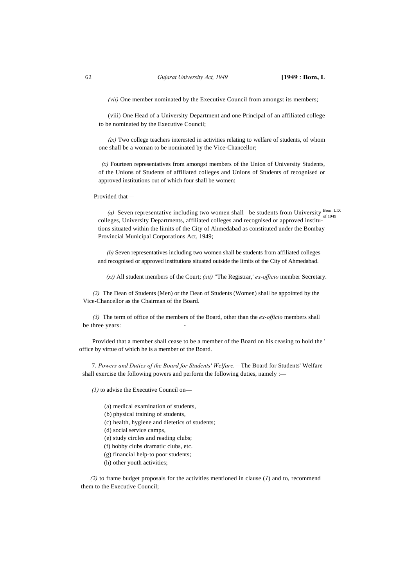*(vii)* One member nominated by the Executive Council from amongst its members;

(viii) One Head of a University Department and one Principal of an affiliated college to be nominated by the Executive Council;

*(ix)* Two college teachers interested in activities relating to welfare of students, of whom one shall be a woman to be nominated by the Vice-Chancellor;

 $(x)$  Fourteen representatives from amongst members of the Union of University Students, of the Unions of Students of affiliated colleges and Unions of Students of recognised or approved institutions out of which four shall be women:

Provided that—

(a) Seven representative including two women shall be students from University  $\frac{B_{\text{om. LIX}}}{\text{of 1949}}}$ colleges, University Departments, affiliated colleges and recognised or approved institutions situated within the limits of the City of Ahmedabad as constituted under the Bombay Provincial Municipal Corporations Act, 1949;

*(b)* Seven representatives including two women shall be students from affiliated colleges and recognised or approved institutions situated outside the limits of the City of Ahmedabad.

*(xi)* All student members of the Court; *(xii)* "The Registrar,' *ex-officio* member Secretary.

*(2)* The Dean of Students (Men) or the Dean of Students (Women) shall be appointed by the Vice-Chancellor as the Chairman of the Board.

*(3)* The term of office of the members of the Board, other than the *ex-officio* members shall be three years:

Provided that a member shall cease to be a member of the Board on his ceasing to hold the ' office by virtue of which he is a member of the Board.

7. *Powers and Duties of the Board for Students' Welfare.*—The Board for Students' Welfare shall exercise the following powers and perform the following duties, namely :-

*(1)* to advise the Executive Council on—

- (a) medical examination of students,
- (b) physical training of students,
- (c) health, hygiene and dietetics of students;
- (d) social service camps,
- (e) study circles and reading clubs;
- (f) hobby clubs dramatic clubs, etc.
- (g) financial help-to poor students;
- (h) other youth activities;

*(2)* to frame budget proposals for the activities mentioned in clause (*1*) and to, recommend them to the Executive Council;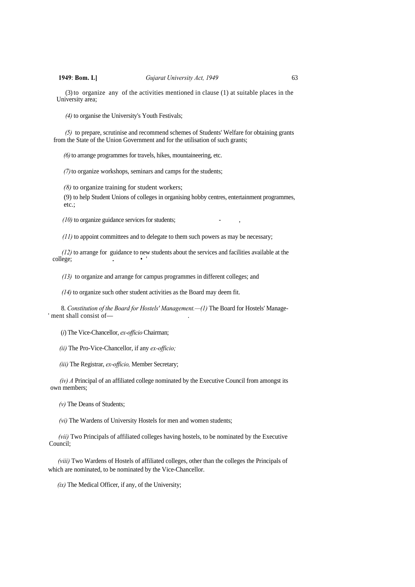(3) to organize any of the activities mentioned in clause (1) at suitable places in the University area;

*(4)* to organise the University's Youth Festivals;

*(5)* to prepare, scrutinise and recommend schemes of Students' Welfare for obtaining grants from the State of the Union Government and for the utilisation of such grants;

*(6)*to arrange programmes for travels, hikes, mountaineering, etc.

*(7)*to organize workshops, seminars and camps for the students;

*(8)* to organize training for student workers;

(9) to help Student Unions of colleges in organising hobby centres, entertainment programmes, etc.;

 $(10)$  to organize guidance services for students;

*(11)* to appoint committees and to delegate to them such powers as may be necessary;

*(12)* to arrange for guidance to new students about the services and facilities available at the college;

*(13)* to organize and arrange for campus programmes in different colleges; and

*(14)* to organize such other student activities as the Board may deem fit.

8. *Constitution of the Board for Hostels' Management.*—(1) The Board for Hostels' Manage-' ment shall consist of-

(*i*) The Vice-Chancellor, *ex-officio* Chairman;

*(ii)* The Pro-Vice-Chancellor, if any *ex-officio;* 

*(iii)* The Registrar, *ex-officio,* Member Secretary;

*(iv) A* Principal of an affiliated college nominated by the Executive Council from amongst its own members;

*(v)* The Deans of Students;

*(vi)* The Wardens of University Hostels for men and women students;

*(vii)* Two Principals of affiliated colleges having hostels, to be nominated by the Executive Council;

*(viii)* Two Wardens of Hostels of affiliated colleges, other than the colleges the Principals of which are nominated, to be nominated by the Vice-Chancellor.

*(ix)* The Medical Officer, if any, of the University;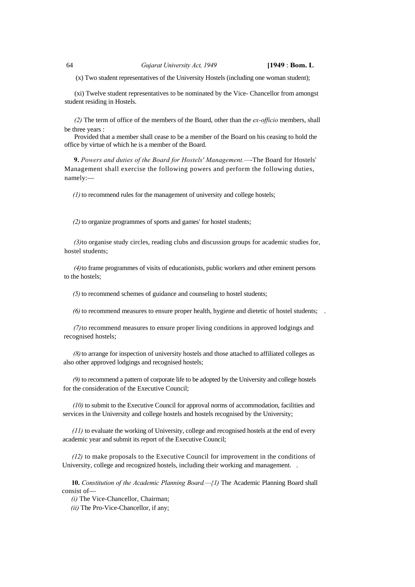(x) Two student representatives of the University Hostels (including one woman student);

(xi) Twelve student representatives to be nominated by the Vice- Chancellor from amongst student residing in Hostels.

*(2)* The term of office of the members of the Board, other than the *ex-officio* members, shall be three years :

Provided that a member shall cease to be a member of the Board on his ceasing to hold the office by virtue of which he is a member of the Board.

**9.** *Powers and duties of the Board for Hostels' Management.—*-The Board for Hostels' Management shall exercise the following powers and perform the following duties, namely:—

*(1)* to recommend rules for the management of university and college hostels;

*(2)* to organize programmes of sports and games' for hostel students;

*(3)* to organise study circles, reading clubs and discussion groups for academic studies for, hostel students;

*(4)* to frame programmes of visits of educationists, public workers and other eminent persons to the hostels;

*(5)* to recommend schemes of guidance and counseling to hostel students;

*(6)* to recommend measures to ensure proper health, hygiene and dietetic of hostel students; .

*(7)* to recommend measures to ensure proper living conditions in approved lodgings and recognised hostels;

*(8)* to arrange for inspection of university hostels and those attached to affiliated colleges as also other approved lodgings and recognised hostels;

*(9)* to recommend a pattern of corporate life to be adopted by the University and college hostels for the consideration of the Executive Council;

*(10)* to submit to the Executive Council for approval norms of accommodation, facilities and services in the University and college hostels and hostels recognised by the University;

*(11)* to evaluate the working of University, college and recognised hostels at the end of every academic year and submit its report of the Executive Council;

*(12)* to make proposals to the Executive Council for improvement in the conditions of University, college and recognized hostels, including their working and management. .

**10.** *Constitution of the Academic Planning Board.—{1)* The Academic Planning Board shall consist of—

*(i)* The Vice-Chancellor, Chairman;

*(ii)* The Pro-Vice-Chancellor, if any;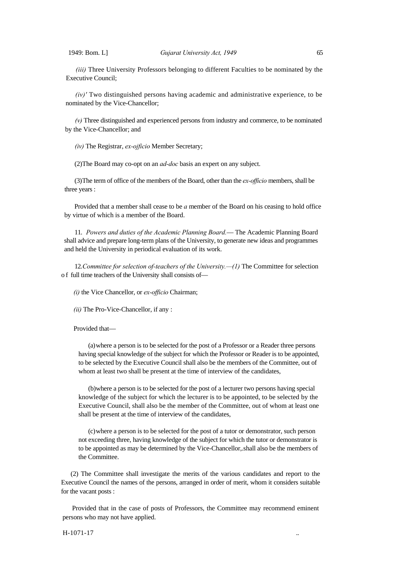*(iii)* Three University Professors belonging to different Faculties to be nominated by the Executive Council;

*(iv)'* Two distinguished persons having academic and administrative experience, to be nominated by the Vice-Chancellor;

*(v)* Three distinguished and experienced persons from industry and commerce, to be nominated by the Vice-Chancellor; and

*(iv)* The Registrar, *ex-ojficio* Member Secretary;

(2)The Board may co-opt on an *ad-doc* basis an expert on any subject.

(3)The term of office of the members of the Board, other than the *ex-officio* members, shall be three years :

Provided that a member shall cease to be *a* member of the Board on his ceasing to hold office by virtue of which is a member of the Board.

11. *Powers and duties of the Academic Planning Board.*— The Academic Planning Board shall advice and prepare long-term plans of the University, to generate new ideas and programmes and held the University in periodical evaluation of its work.

12. *Committee for selection of-teachers of the University.* -- (1) The Committee for selection o f full time teachers of the University shall consists of—

*(i)* the Vice Chancellor, or *ex-officio* Chairman;

*(ii)* The Pro-Vice-Chancellor, if any :

Provided that—

(a)where a person is to be selected for the post of a Professor or a Reader three persons having special knowledge of the subject for which the Professor or Reader is to be appointed, to be selected by the Executive Council shall also be the members of the Committee, out of whom at least two shall be present at the time of interview of the candidates,

(b)where a person is to be selected for the post of a lecturer two persons having special knowledge of the subject for which the lecturer is to be appointed, to be selected by the Executive Council, shall also be the member of the Committee, out of whom at least one shall be present at the time of interview of the candidates,

(c)where a person is to be selected for the post of a tutor or demonstrator, such person not exceeding three, having knowledge of the subject for which the tutor or demonstrator is to be appointed as may be determined by the Vice-Chancellor,.shall also be the members of the Committee.

(2) The Committee shall investigate the merits of the various candidates and report to the Executive Council the names of the persons, arranged in order of merit, whom it considers suitable for the vacant posts :

Provided that in the case of posts of Professors, the Committee may recommend eminent persons who may not have applied.

 $H-1071-17$  ...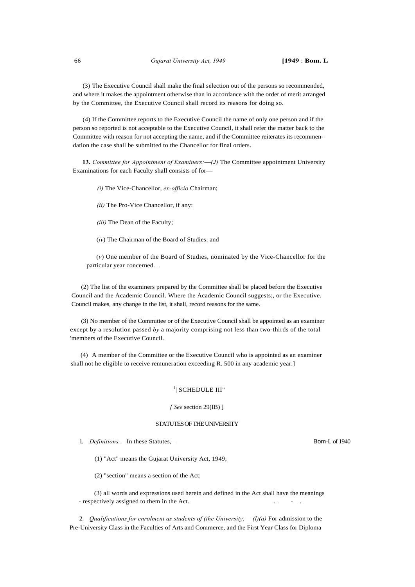(3) The Executive Council shall make the final selection out of the persons so recommended, and where it makes the appointment otherwise than in accordance with the order of merit arranged by the Committee, the Executive Council shall record its reasons for doing so.

(4) If the Committee reports to the Executive Council the name of only one person and if the person so reported is not acceptable to the Executive Council, it shall refer the matter back to the Committee with reason for not accepting the name, and if the Committee reiterates its recommendation the case shall be submitted to the Chancellor for final orders.

**13.** *Committee for Appointment of Examiners:*—*(J)* The Committee appointment University Examinations for each Faculty shall consists of for—

*(i)* The Vice-Chancellor, *ex-officio* Chairman;

*(ii)* The Pro-Vice Chancellor, if any:

*(iii)* The Dean of the Faculty;

(*iv*) The Chairman of the Board of Studies: and

(*v*) One member of the Board of Studies, nominated by the Vice-Chancellor for the particular year concerned. .

(2) The list of the examiners prepared by the Committee shall be placed before the Executive Council and the Academic Council. Where the Academic Council suggests;, or the Executive. Council makes, any change in the list, it shall, record reasons for the same.

(3) No member of the Committee or of the Executive Council shall be appointed as an examiner except by a resolution passed *by* a majority comprising not less than two-thirds of the total 'members of the Executive Council.

(4) A member of the Committee or the Executive Council who is appointed as an examiner shall not he eligible to receive remuneration exceeding R. 500 in any academic year.]

## $1$ | SCHEDULE III"

## *[ See* section 29(IB) ]

## STATUTES OF THE UNIVERSITY

1. *Definitions.*—In these Statutes,— Bom-L of 1940

(1) "Act" means the Gujarat University Act, 1949;

(2) "section" means a section of the Act;

(3) all words and expressions used herein and defined in the Act shall have the meanings - respectively assigned to them in the Act.

2. *Qualifications for enrolment as students of (the University.*— *(l)(a)* For admission to the Pre-University Class in the Faculties of Arts and Commerce, and the First Year Class for Diploma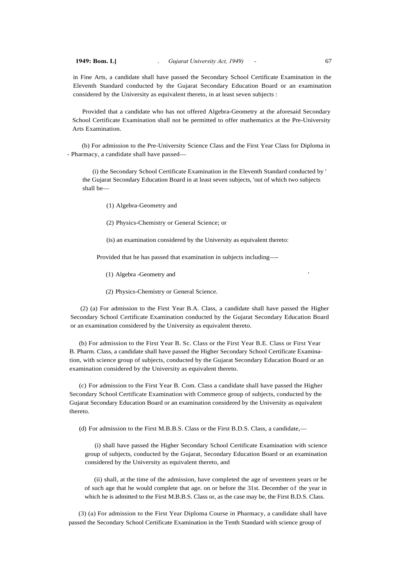in Fine Arts, a candidate shall have passed the Secondary School Certificate Examination in the Eleventh Standard conducted by the Gujarat Secondary Education Board or an examination considered by the University as equivalent thereto, in at least seven subjects :

Provided that a candidate who has not offered Algebra-Geometry at the aforesaid Secondary School Certificate Examination shall not be permitted to offer mathematics at the Pre-University Arts Examination.

(b) For admission to the Pre-University Science Class and the First Year Class for Diploma in - Pharmacy, a candidate shall have passed—

(i) the Secondary School Certificate Examination in the Eleventh Standard conducted by ' the Gujarat Secondary Education Board in at least seven subjects, 'out of which two subjects shall be—

(1) Algebra-Geometry and

(2) Physics-Chemistry or General Science; or

(is) an examination considered by the University as equivalent thereto:

Provided that he has passed that examination in subjects including—-

- (1) Algebra -Geometry and '
- (2) Physics-Chemistry or General Science.

(2) (a) For admission to the First Year B.A. Class, a candidate shall have passed the Higher Secondary School Certificate Examination conducted by the Gujarat Secondary Education Board or an examination considered by the University as equivalent thereto.

(b) For admission to the First Year B. Sc. Class or the First Year B.E. Class or First Year B. Pharm. Class, a candidate shall have passed the Higher Secondary School Certificate Examination, with science group of subjects, conducted by the Gujarat Secondary Education Board or an examination considered by the University as equivalent thereto.

(c) For admission to the First Year B. Com. Class a candidate shall have passed the Higher Secondary School Certificate Examination with Commerce group of subjects, conducted by the Gujarat Secondary Education Board or an examination considered by the University as equivalent thereto.

(d) For admission to the First M.B.B.S. Class or the First B.D.S. Class, a candidate,—

(i) shall have passed the Higher Secondary School Certificate Examination with science group of subjects, conducted by the Gujarat, Secondary Education Board or an examination considered by the University as equivalent thereto, and

(ii) shall, at the time of the admission, have completed the age of seventeen years or be of such age that he would complete that age. on or before the 31st. December of the year in which he is admitted to the First M.B.B.S. Class or, as the case may be, the First B.D.S. Class.

(3) (a) For admission to the First Year Diploma Course in Pharmacy, a candidate shall have passed the Secondary School Certificate Examination in the Tenth Standard with science group of